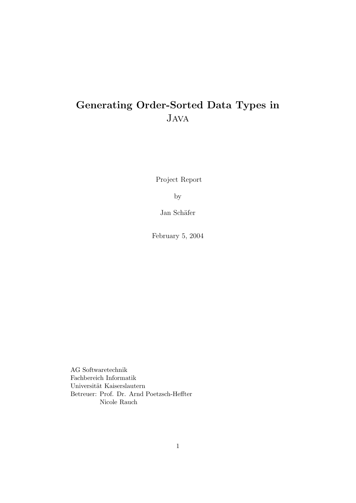# Generating Order-Sorted Data Types in Java

Project Report

by

Jan Schäfer

February 5, 2004

AG Softwaretechnik Fachbereich Informatik Universität Kaiserslautern Betreuer: Prof. Dr. Arnd Poetzsch-Heffter Nicole Rauch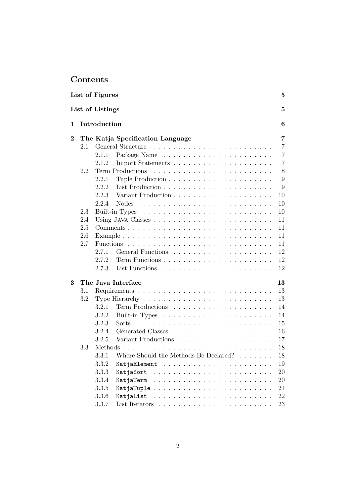# Contents

|          |         | List of Figures  |                                                         | 5              |
|----------|---------|------------------|---------------------------------------------------------|----------------|
|          |         | List of Listings |                                                         | 5              |
| 1        |         | Introduction     |                                                         | 6              |
| $\bf{2}$ |         |                  | The Katja Specification Language                        | 7              |
|          | 2.1     |                  | General Structure                                       | $\overline{7}$ |
|          |         | 2.1.1            |                                                         | $\overline{7}$ |
|          |         | 2.1.2            |                                                         | 7              |
|          | 2.2     |                  | Term Productions                                        | 8              |
|          |         | 2.2.1            |                                                         | 9              |
|          |         | 2.2.2            |                                                         | 9              |
|          |         | 2.2.3            | Variant Production                                      | 10             |
|          |         | 2.2.4            |                                                         | 10             |
|          | 2.3     |                  |                                                         | 10             |
|          | 2.4     |                  |                                                         | 11             |
|          | 2.5     |                  |                                                         | 11             |
|          | 2.6     |                  |                                                         | 11             |
|          | 2.7     | <b>Functions</b> |                                                         | 11             |
|          |         | 2.7.1            |                                                         | 12             |
|          |         | 2.7.2            |                                                         | 12             |
|          |         | 2.7.3            |                                                         | 12             |
| 3        |         |                  | The Java Interface                                      | 13             |
|          | $3.1\,$ |                  |                                                         | 13             |
|          | 3.2     |                  |                                                         | 13             |
|          |         | 3.2.1            |                                                         | 14             |
|          |         | 3.2.2            |                                                         | 14             |
|          |         | 3.2.3            |                                                         | 15             |
|          |         | 3.2.4            | Generated Classes                                       | 16             |
|          |         | 3.2.5            | Variant Productions.                                    | 17             |
|          | 3.3     | Methods          | .                                                       | 18             |
|          |         | 3.3.1            | Where Should the Methods Be Declared?<br>and a straight | 18             |
|          |         | 3.3.2            |                                                         | 19             |
|          |         | 3.3.3            | KatjaSort                                               | 20             |
|          |         | 3.3.4            | KatjaTerm                                               | 20             |
|          |         | 3.3.5            | KatjaTuple                                              | 21             |
|          |         | 3.3.6            | KatjaList                                               | 22             |
|          |         | 3.3.7            |                                                         | 23             |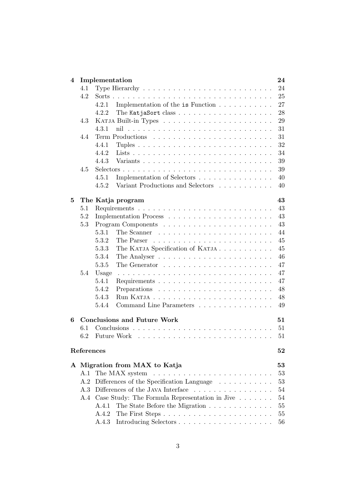| 4 |            | Implementation<br>24                                                                  |  |
|---|------------|---------------------------------------------------------------------------------------|--|
|   | 4.1        | 24<br>Type Hierarchy $\ldots \ldots \ldots \ldots \ldots \ldots \ldots \ldots \ldots$ |  |
|   | 4.2        | 25                                                                                    |  |
|   |            | 4.2.1<br>Implementation of the is Function<br>27                                      |  |
|   |            | 28<br>4.2.2<br>The KatjaSort class $\ldots$                                           |  |
|   | 4.3        | 29                                                                                    |  |
|   |            | 31<br>4.3.1                                                                           |  |
|   | 4.4        | 31                                                                                    |  |
|   |            | 32<br>4.4.1                                                                           |  |
|   |            | 4.4.2<br>34                                                                           |  |
|   |            | 39<br>4.4.3                                                                           |  |
|   | 4.5        | 39                                                                                    |  |
|   |            | 4.5.1<br>Implementation of Selectors<br>40                                            |  |
|   |            | Variant Productions and Selectors<br>4.5.2<br>40                                      |  |
| 5 |            | 43<br>The Katja program                                                               |  |
|   | 5.1        | 43                                                                                    |  |
|   | 5.2        | 43                                                                                    |  |
|   | 5.3        | 43                                                                                    |  |
|   |            | 44<br>5.3.1                                                                           |  |
|   |            | 5.3.2<br>45                                                                           |  |
|   |            | The KATJA Specification of KATJA<br>45<br>5.3.3                                       |  |
|   |            | 46<br>5.3.4                                                                           |  |
|   |            | 47<br>5.3.5<br>The Generator $\dots \dots \dots \dots \dots \dots \dots \dots$        |  |
|   | 5.4        | 47<br>Usage<br>.                                                                      |  |
|   |            | 47<br>5.4.1<br>Requirements $\ldots \ldots \ldots \ldots \ldots \ldots \ldots \ldots$ |  |
|   |            | 48<br>5.4.2<br>Preparations                                                           |  |
|   |            | 48<br>5.4.3                                                                           |  |
|   |            | 5.4.4<br>Command Line Parameters<br>49                                                |  |
| 6 |            | <b>Conclusions and Future Work</b><br>51                                              |  |
|   | 6.1        | 51                                                                                    |  |
|   | 6.2        | 51                                                                                    |  |
|   | References | 52                                                                                    |  |
|   |            | A Migration from MAX to Katja<br>53                                                   |  |
|   | A.1        | 53                                                                                    |  |
|   | A.2        | Differences of the Specification Language<br>53                                       |  |
|   | A.3        | Differences of the JAVA Interface<br>54                                               |  |
|   | A.4        | Case Study: The Formula Representation in Jive<br>54                                  |  |
|   |            | 55<br>A.4.1<br>The State Before the Migration                                         |  |
|   |            | A.4.2<br>55                                                                           |  |
|   |            | A.4.3<br>56                                                                           |  |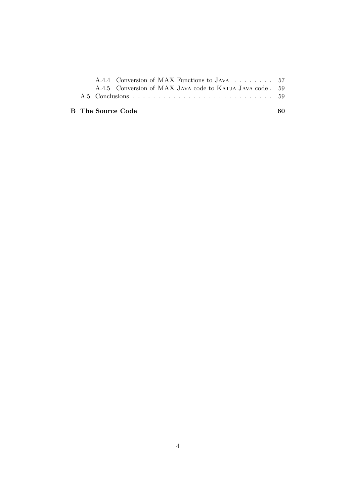|  | A.4.4 Conversion of MAX Functions to JAVA 57             |  |
|--|----------------------------------------------------------|--|
|  | A.4.5 Conversion of MAX JAVA code to KATJA JAVA code. 59 |  |
|  |                                                          |  |
|  |                                                          |  |

## B The Source Code 60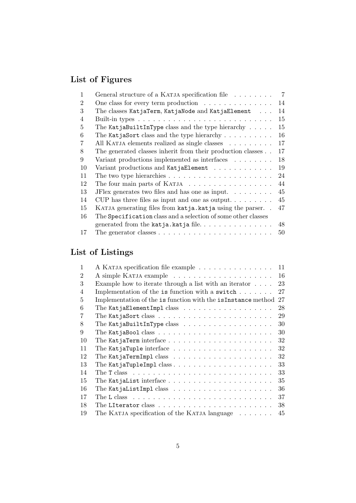# List of Figures

| 1  | General structure of a KATJA specification file                                 | $\overline{7}$ |
|----|---------------------------------------------------------------------------------|----------------|
| 2  | One class for every term production $\ldots \ldots \ldots \ldots$               | 14             |
| 3  | The classes KatjaTerm, KatjaNode and KatjaElement                               | 14             |
| 4  |                                                                                 | 15             |
| 5  | The KatjaBuiltInType class and the type hierarchy $\ldots$ .                    | 15             |
| 6  | The KatjaSort class and the type hierarchy $\dots \dots \dots$                  | 16             |
| 7  | All KATJA elements realized as single classes                                   | 17             |
| 8  | The generated classes inherit from their production classes                     | 17             |
| 9  | Variant productions implemented as interfaces $\ldots \ldots$                   | 18             |
| 10 | Variant productions and KatjaElement                                            | 19             |
| 11 | The two type hierarchies $\dots \dots \dots \dots \dots \dots \dots \dots$      | 24             |
| 12 | The four main parts of KATJA                                                    | 44             |
| 13 | JFlex generates two files and has one as input. $\ldots \ldots$                 | 45             |
| 14 | CUP has three files as input and one as output                                  | 45             |
| 15 | KATJA generating files from katja.katja using the parser                        | 47             |
| 16 | The Specification class and a selection of some other classes                   |                |
|    |                                                                                 | 48             |
| 17 | The generator classes $\ldots \ldots \ldots \ldots \ldots \ldots \ldots \ldots$ | 50             |

# List of Listings

| 1              | A KATJA specification file example                                                    | 11 |
|----------------|---------------------------------------------------------------------------------------|----|
| $\overline{2}$ |                                                                                       | 16 |
| 3              | Example how to iterate through a list with an iterator $\dots$ .                      | 23 |
| $\overline{4}$ | Implementation of the is function with a switch $\dots \dots$                         | 27 |
| 5              | Implementation of the is function with the isInstance method                          | 27 |
| 6              | The KatjaElementImpl class $\ldots \ldots \ldots \ldots \ldots \ldots$                | 28 |
| 7              | The KatjaSort class $\ldots \ldots \ldots \ldots \ldots \ldots \ldots \ldots$         | 29 |
| 8              | The KatjaBuiltInType class $\ldots \ldots \ldots \ldots \ldots \ldots$                | 30 |
| 9              | The KatjaBool class $\ldots \ldots \ldots \ldots \ldots \ldots \ldots \ldots$         | 30 |
| 10             | The KatjaTerm interface $\ldots \ldots \ldots \ldots \ldots \ldots \ldots$            | 32 |
| 11             | The KatjaTuple interface $\ldots \ldots \ldots \ldots \ldots \ldots \ldots$           | 32 |
| 12             | The KatjaTermImpl class $\ldots \ldots \ldots \ldots \ldots \ldots \ldots$            | 32 |
| 13             |                                                                                       | 33 |
| 14             | The T class $\ldots \ldots \ldots \ldots \ldots \ldots \ldots \ldots \ldots \ldots$   | 33 |
| 15             | The KatjaList interface $\ldots \ldots \ldots \ldots \ldots \ldots \ldots$            | 35 |
| 16             | The KatjaListImpl class $\ldots \ldots \ldots \ldots \ldots \ldots$                   | 36 |
| 17             | The L class $\dots \dots \dots \dots \dots \dots \dots \dots \dots \dots \dots \dots$ | 37 |
| 18             | The LIterator class $\ldots \ldots \ldots \ldots \ldots \ldots \ldots \ldots \ldots$  | 38 |
| 19             | The KATJA specification of the KATJA language $\dots \dots$                           | 45 |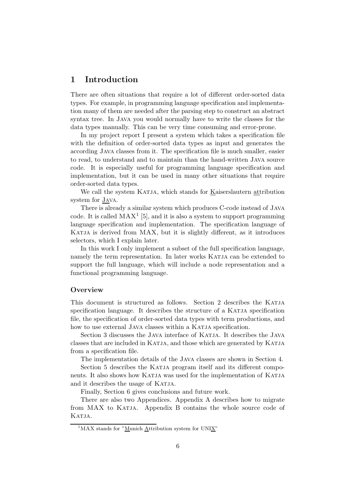## 1 Introduction

There are often situations that require a lot of different order-sorted data types. For example, in programming language specification and implementation many of them are needed after the parsing step to construct an abstract syntax tree. In Java you would normally have to write the classes for the data types manually. This can be very time consuming and error-prone.

In my project report I present a system which takes a specification file with the definition of order-sorted data types as input and generates the according Java classes from it. The specification file is much smaller, easier to read, to understand and to maintain than the hand-written Java source code. It is especially useful for programming language specification and implementation, but it can be used in many other situations that require order-sorted data types.

We call the system KATJA, which stands for Kaiserslautern attribution system for JAVA.

There is already a similar system which produces C-code instead of Java code. It is called  $MAX^1$  [5], and it is also a system to support programming language specification and implementation. The specification language of KATJA is derived from MAX, but it is slightly different, as it introduces selectors, which I explain later.

In this work I only implement a subset of the full specification language, namely the term representation. In later works KATJA can be extended to support the full language, which will include a node representation and a functional programming language.

## **Overview**

This document is structured as follows. Section 2 describes the Katja specification language. It describes the structure of a KATJA specification file, the specification of order-sorted data types with term productions, and how to use external JAVA classes within a KATJA specification.

Section 3 discusses the Java interface of Katja. It describes the Java classes that are included in Katja, and those which are generated by Katja from a specification file.

The implementation details of the Java classes are shown in Section 4.

Section 5 describes the KATJA program itself and its different components. It also shows how KATJA was used for the implementation of KATJA and it describes the usage of KATJA.

Finally, Section 6 gives conclusions and future work.

There are also two Appendices. Appendix A describes how to migrate from MAX to KATJA. Appendix B contains the whole source code of KATJA.

 $1$ MAX stands for "Munich Attribution system for UNIX"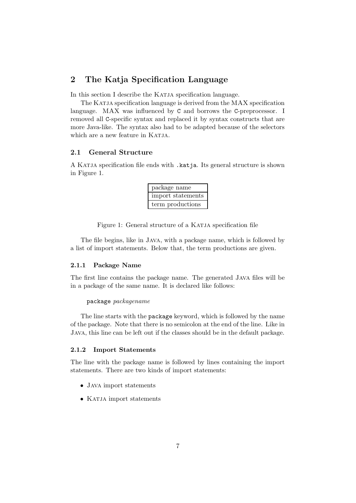## 2 The Katja Specification Language

In this section I describe the KATJA specification language.

The KATJA specification language is derived from the MAX specification language. MAX was influenced by C and borrows the C-preprocessor. I removed all C-specific syntax and replaced it by syntax constructs that are more Java-like. The syntax also had to be adapted because of the selectors which are a new feature in KATJA.

## 2.1 General Structure

A Katja specification file ends with .katja. Its general structure is shown in Figure 1.

| package name      |  |  |  |  |
|-------------------|--|--|--|--|
| import statements |  |  |  |  |
| term productions  |  |  |  |  |

Figure 1: General structure of a KATJA specification file

The file begins, like in Java, with a package name, which is followed by a list of import statements. Below that, the term productions are given.

#### 2.1.1 Package Name

The first line contains the package name. The generated Java files will be in a package of the same name. It is declared like follows:

#### package packagename

The line starts with the package keyword, which is followed by the name of the package. Note that there is no semicolon at the end of the line. Like in Java, this line can be left out if the classes should be in the default package.

#### 2.1.2 Import Statements

The line with the package name is followed by lines containing the import statements. There are two kinds of import statements:

- Java import statements
- $\bullet$  KATJA import statements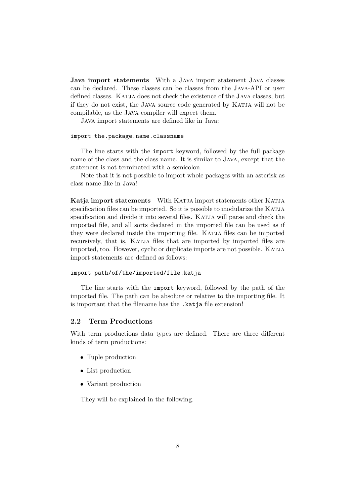Java import statements With a Java import statement Java classes can be declared. These classes can be classes from the Java-API or user defined classes. KATJA does not check the existence of the JAVA classes, but if they do not exist, the Java source code generated by Katja will not be compilable, as the Java compiler will expect them.

Java import statements are defined like in Java:

#### import the.package.name.classname

The line starts with the import keyword, followed by the full package name of the class and the class name. It is similar to Java, except that the statement is not terminated with a semicolon.

Note that it is not possible to import whole packages with an asterisk as class name like in Java!

Katja import statements With KATJA import statements other KATJA specification files can be imported. So it is possible to modularize the KATJA specification and divide it into several files. KATJA will parse and check the imported file, and all sorts declared in the imported file can be used as if they were declared inside the importing file. KATJA files can be imported recursively, that is, KATJA files that are imported by imported files are imported, too. However, cyclic or duplicate imports are not possible. Katja import statements are defined as follows:

#### import path/of/the/imported/file.katja

The line starts with the import keyword, followed by the path of the imported file. The path can be absolute or relative to the importing file. It is important that the filename has the .katja file extension!

#### 2.2 Term Productions

With term productions data types are defined. There are three different kinds of term productions:

- Tuple production
- List production
- Variant production

They will be explained in the following.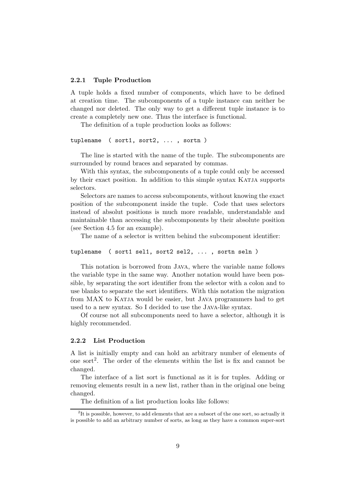#### 2.2.1 Tuple Production

A tuple holds a fixed number of components, which have to be defined at creation time. The subcomponents of a tuple instance can neither be changed nor deleted. The only way to get a different tuple instance is to create a completely new one. Thus the interface is functional.

The definition of a tuple production looks as follows:

```
tuplename ( sort1, sort2, ... , sortn )
```
The line is started with the name of the tuple. The subcomponents are surrounded by round braces and separated by commas.

With this syntax, the subcomponents of a tuple could only be accessed by their exact position. In addition to this simple syntax KATJA supports selectors.

Selectors are names to access subcomponents, without knowing the exact position of the subcomponent inside the tuple. Code that uses selectors instead of absolut positions is much more readable, understandable and maintainable than accessing the subcomponents by their absolute position (see Section 4.5 for an example).

The name of a selector is written behind the subcomponent identifier:

```
tuplename ( sort1 sel1, sort2 sel2, ... , sortn seln )
```
This notation is borrowed from Java, where the variable name follows the variable type in the same way. Another notation would have been possible, by separating the sort identifier from the selector with a colon and to use blanks to separate the sort identifiers. With this notation the migration from MAX to KATJA would be easier, but JAVA programmers had to get used to a new syntax. So I decided to use the Java-like syntax.

Of course not all subcomponents need to have a selector, although it is highly recommended.

#### 2.2.2 List Production

A list is initially empty and can hold an arbitrary number of elements of one sort<sup>2</sup>. The order of the elements within the list is fix and cannot be changed.

The interface of a list sort is functional as it is for tuples. Adding or removing elements result in a new list, rather than in the original one being changed.

The definition of a list production looks like follows:

 $2^2$ It is possible, however, to add elements that are a subsort of the one sort, so actually it is possible to add an arbitrary number of sorts, as long as they have a common super-sort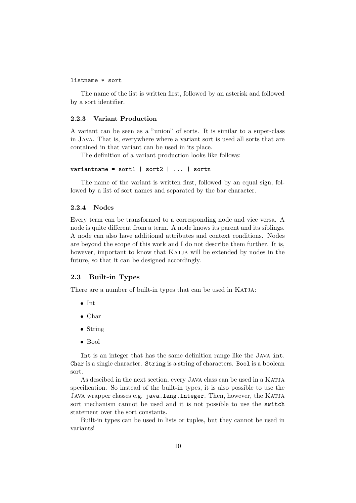#### listname \* sort

The name of the list is written first, followed by an asterisk and followed by a sort identifier.

#### 2.2.3 Variant Production

A variant can be seen as a "union" of sorts. It is similar to a super-class in Java. That is, everywhere where a variant sort is used all sorts that are contained in that variant can be used in its place.

The definition of a variant production looks like follows:

```
variantname = sort1 | sort2 | \dots | sortn
```
The name of the variant is written first, followed by an equal sign, followed by a list of sort names and separated by the bar character.

#### 2.2.4 Nodes

Every term can be transformed to a corresponding node and vice versa. A node is quite different from a term. A node knows its parent and its siblings. A node can also have additional attributes and context conditions. Nodes are beyond the scope of this work and I do not describe them further. It is, however, important to know that KATJA will be extended by nodes in the future, so that it can be designed accordingly.

## 2.3 Built-in Types

There are a number of built-in types that can be used in KATJA:

- Int
- Char
- String
- Bool

Int is an integer that has the same definition range like the Java int. Char is a single character. String is a string of characters. Bool is a boolean sort.

As descibed in the next section, every JAVA class can be used in a KATJA specification. So instead of the built-in types, it is also possible to use the Java wrapper classes e.g. java.lang.Integer. Then, however, the Katja sort mechanism cannot be used and it is not possible to use the switch statement over the sort constants.

Built-in types can be used in lists or tuples, but they cannot be used in variants!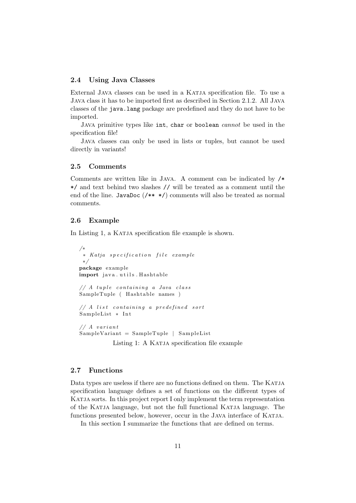### 2.4 Using Java Classes

External Java classes can be used in a Katja specification file. To use a Java class it has to be imported first as described in Section 2.1.2. All Java classes of the java.lang package are predefined and they do not have to be imported.

JAVA primitive types like int, char or boolean *cannot* be used in the specification file!

Java classes can only be used in lists or tuples, but cannot be used directly in variants!

## 2.5 Comments

Comments are written like in Java. A comment can be indicated by /\* \*/ and text behind two slashes // will be treated as a comment until the end of the line. JavaDoc (/\*\* \*/) comments will also be treated as normal comments.

## 2.6 Example

In Listing 1, a KATJA specification file example is shown.

```
/∗
 ∗ Katja s p e c i f i c a t i o n f i l e example
 ∗/
package example
import java.utils.Hashtable
// A tuple containing a Java class
SampleTuple ( Hashtable names )
// A list containing a predefined sort
SampleList * Int
// A variantSampleVariable = SampleTuple | SampleList
           Listing 1: A KATJA specification file example
```
## 2.7 Functions

Data types are useless if there are no functions defined on them. The KATJA specification language defines a set of functions on the different types of Katja sorts. In this project report I only implement the term representation of the Katja language, but not the full functional Katja language. The functions presented below, however, occur in the JAVA interface of KATJA.

In this section I summarize the functions that are defined on terms.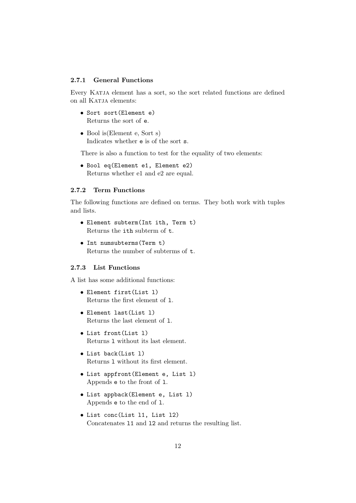#### 2.7.1 General Functions

Every KATJA element has a sort, so the sort related functions are defined on all KATJA elements:

- Sort sort(Element e) Returns the sort of e.
- Bool is (Element e, Sort s) Indicates whether e is of the sort s.

There is also a function to test for the equality of two elements:

• Bool eq(Element e1, Element e2) Returns whether e1 and e2 are equal.

#### 2.7.2 Term Functions

The following functions are defined on terms. They both work with tuples and lists.

- Element subterm(Int ith, Term t) Returns the ith subterm of t.
- Int numsubterms(Term t) Returns the number of subterms of t.

## 2.7.3 List Functions

A list has some additional functions:

- Element first(List l) Returns the first element of l.
- Element last(List l) Returns the last element of l.
- List front(List l) Returns l without its last element.
- List back(List l) Returns l without its first element.
- List appfront(Element e, List l) Appends e to the front of l.
- List appback(Element e, List l) Appends e to the end of l.
- List conc(List l1, List l2) Concatenates l1 and l2 and returns the resulting list.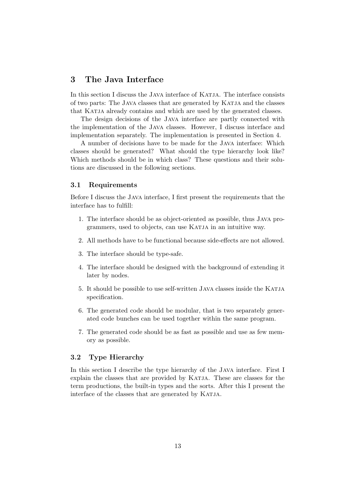## 3 The Java Interface

In this section I discuss the JAVA interface of KATJA. The interface consists of two parts: The Java classes that are generated by Katja and the classes that KATJA already contains and which are used by the generated classes.

The design decisions of the Java interface are partly connected with the implementation of the Java classes. However, I discuss interface and implementation separately. The implementation is presented in Section 4.

A number of decisions have to be made for the Java interface: Which classes should be generated? What should the type hierarchy look like? Which methods should be in which class? These questions and their solutions are discussed in the following sections.

### 3.1 Requirements

Before I discuss the Java interface, I first present the requirements that the interface has to fulfill:

- 1. The interface should be as object-oriented as possible, thus Java programmers, used to objects, can use KATJA in an intuitive way.
- 2. All methods have to be functional because side-effects are not allowed.
- 3. The interface should be type-safe.
- 4. The interface should be designed with the background of extending it later by nodes.
- 5. It should be possible to use self-written JAVA classes inside the KATJA specification.
- 6. The generated code should be modular, that is two separately generated code bunches can be used together within the same program.
- 7. The generated code should be as fast as possible and use as few memory as possible.

#### 3.2 Type Hierarchy

In this section I describe the type hierarchy of the Java interface. First I explain the classes that are provided by KATJA. These are classes for the term productions, the built-in types and the sorts. After this I present the interface of the classes that are generated by KATJA.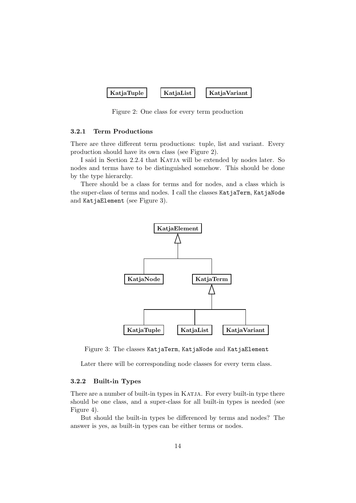| KatjaList | KatjaTuple | <b>KatjaVariant</b> |
|-----------|------------|---------------------|
|-----------|------------|---------------------|

Figure 2: One class for every term production

#### 3.2.1 Term Productions

There are three different term productions: tuple, list and variant. Every production should have its own class (see Figure 2).

I said in Section 2.2.4 that KATJA will be extended by nodes later. So nodes and terms have to be distinguished somehow. This should be done by the type hierarchy.

There should be a class for terms and for nodes, and a class which is the super-class of terms and nodes. I call the classes KatjaTerm, KatjaNode and KatjaElement (see Figure 3).



Figure 3: The classes KatjaTerm, KatjaNode and KatjaElement

Later there will be corresponding node classes for every term class.

#### 3.2.2 Built-in Types

There are a number of built-in types in KATJA. For every built-in type there should be one class, and a super-class for all built-in types is needed (see Figure 4).

But should the built-in types be differenced by terms and nodes? The answer is yes, as built-in types can be either terms or nodes.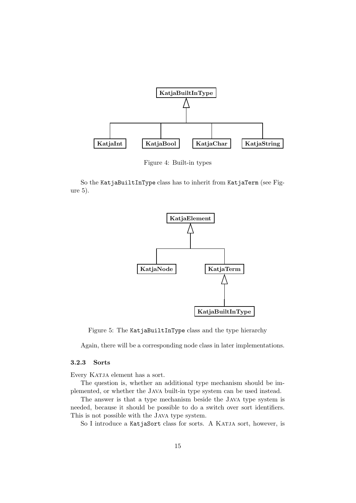

Figure 4: Built-in types

So the KatjaBuiltInType class has to inherit from KatjaTerm (see Figure 5).



Figure 5: The KatjaBuiltInType class and the type hierarchy

Again, there will be a corresponding node class in later implementations.

## 3.2.3 Sorts

Every KATJA element has a sort.

The question is, whether an additional type mechanism should be implemented, or whether the Java built-in type system can be used instead.

The answer is that a type mechanism beside the Java type system is needed, because it should be possible to do a switch over sort identifiers. This is not possible with the Java type system.

So I introduce a KatjaSort class for sorts. A KATJA sort, however, is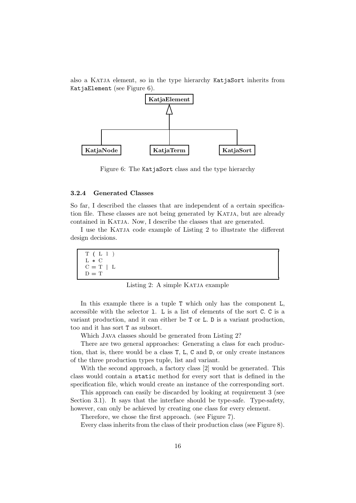also a Katja element, so in the type hierarchy KatjaSort inherits from KatjaElement (see Figure 6).



Figure 6: The KatjaSort class and the type hierarchy

#### 3.2.4 Generated Classes

So far, I described the classes that are independent of a certain specification file. These classes are not being generated by KATJA, but are already contained in KATJA. Now, I describe the classes that are generated.

I use the KATJA code example of Listing 2 to illustrate the different design decisions.

| T(L1)<br>$L * C$ |  |  |
|------------------|--|--|
| $C = T \mid L$   |  |  |
| $D = T$          |  |  |

Listing 2: A simple KATJA example

In this example there is a tuple T which only has the component L, accessible with the selector l. L is a list of elements of the sort C. C is a variant production, and it can either be T or L. D is a variant production, too and it has sort T as subsort.

Which Java classes should be generated from Listing 2?

There are two general approaches: Generating a class for each production, that is, there would be a class T, L, C and D, or only create instances of the three production types tuple, list and variant.

With the second approach, a factory class [2] would be generated. This class would contain a static method for every sort that is defined in the specification file, which would create an instance of the corresponding sort.

This approach can easily be discarded by looking at requirement 3 (see Section 3.1). It says that the interface should be type-safe. Type-safety, however, can only be achieved by creating one class for every element.

Therefore, we chose the first approach. (see Figure 7).

Every class inherits from the class of their production class (see Figure 8).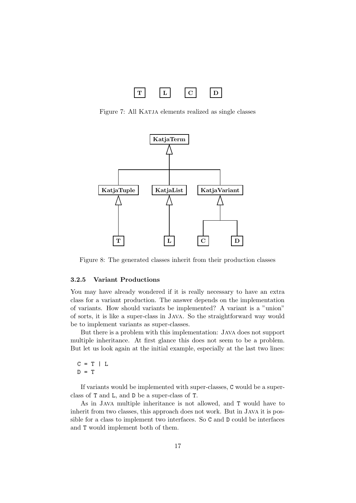

Figure 7: All KATJA elements realized as single classes



Figure 8: The generated classes inherit from their production classes

#### 3.2.5 Variant Productions

You may have already wondered if it is really necessary to have an extra class for a variant production. The answer depends on the implementation of variants. How should variants be implemented? A variant is a "union" of sorts, it is like a super-class in Java. So the straightforward way would be to implement variants as super-classes.

But there is a problem with this implementation: Java does not support multiple inheritance. At first glance this does not seem to be a problem. But let us look again at the initial example, especially at the last two lines:

 $C = T \mid L$  $D = T$ 

If variants would be implemented with super-classes, C would be a superclass of T and L, and D be a super-class of T.

As in Java multiple inheritance is not allowed, and T would have to inherit from two classes, this approach does not work. But in Java it is possible for a class to implement two interfaces. So C and D could be interfaces and T would implement both of them.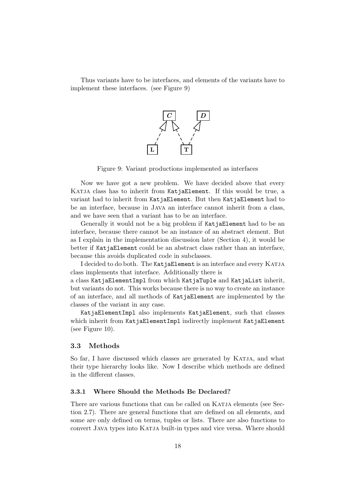Thus variants have to be interfaces, and elements of the variants have to implement these interfaces. (see Figure 9)



Figure 9: Variant productions implemented as interfaces

Now we have got a new problem. We have decided above that every KATJA class has to inherit from KatjaElement. If this would be true, a variant had to inherit from KatjaElement. But then KatjaElement had to be an interface, because in Java an interface cannot inherit from a class, and we have seen that a variant has to be an interface.

Generally it would not be a big problem if KatjaElement had to be an interface, because there cannot be an instance of an abstract element. But as I explain in the implementation discussion later (Section 4), it would be better if KatjaElement could be an abstract class rather than an interface. because this avoids duplicated code in subclasses.

I decided to do both. The KatjaElement is an interface and every KATJA class implements that interface. Additionally there is

a class KatjaElementImpl from which KatjaTuple and KatjaList inherit, but variants do not. This works because there is no way to create an instance of an interface, and all methods of KatjaElement are implemented by the classes of the variant in any case.

KatjaElementImpl also implements KatjaElement, such that classes which inherit from KatjaElementImpl indirectly implement KatjaElement (see Figure 10).

#### 3.3 Methods

So far, I have discussed which classes are generated by KATJA, and what their type hierarchy looks like. Now I describe which methods are defined in the different classes.

#### 3.3.1 Where Should the Methods Be Declared?

There are various functions that can be called on KATJA elements (see Section 2.7). There are general functions that are defined on all elements, and some are only defined on terms, tuples or lists. There are also functions to convert Java types into Katja built-in types and vice versa. Where should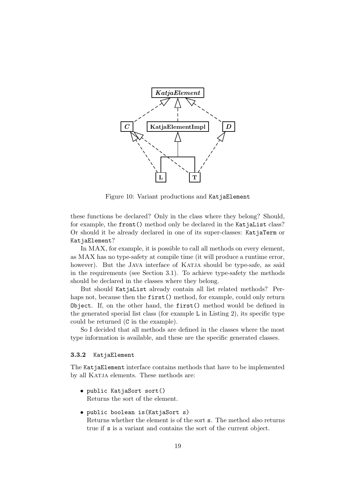

Figure 10: Variant productions and KatjaElement

these functions be declared? Only in the class where they belong? Should, for example, the front() method only be declared in the KatjaList class? Or should it be already declared in one of its super-classes: KatjaTerm or KatjaElement?

In MAX, for example, it is possible to call all methods on every element, as MAX has no type-safety at compile time (it will produce a runtime error, however). But the JAVA interface of KATJA should be type-safe, as said in the requirements (see Section 3.1). To achieve type-safety the methods should be declared in the classes where they belong.

But should KatjaList already contain all list related methods? Perhaps not, because then the first() method, for example, could only return Object. If, on the other hand, the first() method would be defined in the generated special list class (for example L in Listing 2), its specific type could be returned (C in the example).

So I decided that all methods are defined in the classes where the most type information is available, and these are the specific generated classes.

#### 3.3.2 KatjaElement

The KatjaElement interface contains methods that have to be implemented by all KATJA elements. These methods are:

- public KatjaSort sort() Returns the sort of the element.
- public boolean is(KatjaSort s) Returns whether the element is of the sort s. The method also returns true if s is a variant and contains the sort of the current object.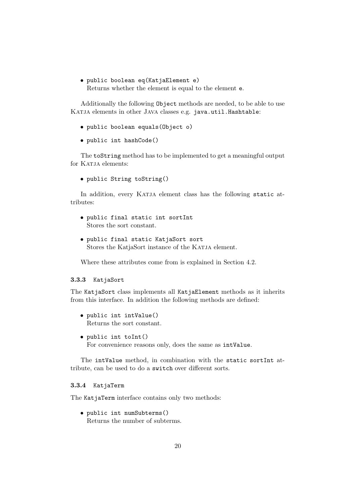• public boolean eq(KatjaElement e) Returns whether the element is equal to the element e.

Additionally the following Object methods are needed, to be able to use KATJA elements in other JAVA classes e.g. java.util.Hashtable:

- public boolean equals(Object o)
- public int hashCode()

The toString method has to be implemented to get a meaningful output for KATJA elements:

• public String toString()

In addition, every KATJA element class has the following static attributes:

```
• public final static int sortInt
  Stores the sort constant.
```
• public final static KatjaSort sort Stores the KatjaSort instance of the KATJA element.

Where these attributes come from is explained in Section 4.2.

#### 3.3.3 KatjaSort

The KatjaSort class implements all KatjaElement methods as it inherits from this interface. In addition the following methods are defined:

- public int intValue() Returns the sort constant.
- public int toInt() For convenience reasons only, does the same as intValue.

The intValue method, in combination with the static sortInt attribute, can be used to do a switch over different sorts.

#### 3.3.4 KatjaTerm

The KatjaTerm interface contains only two methods:

• public int numSubterms() Returns the number of subterms.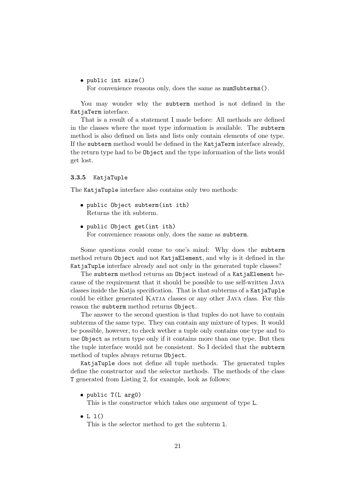• public int size() For convenience reasons only, does the same as numSubterms().

You may wonder why the subterm method is not defined in the KatjaTerm interface.

That is a result of a statement I made before: All methods are defined in the classes where the most type information is available. The subterm method is also defined on lists and lists only contain elements of one type. If the subterm method would be defined in the KatjaTerm interface already, the return type had to be Object and the type information of the lists would get lost.

#### 3.3.5 KatjaTuple

The KatjaTuple interface also contains only two methods:

- public Object subterm(int ith) Returns the ith subterm.
- public Object get(int ith) For convenience reasons only, does the same as subterm.

Some questions could come to one's mind: Why does the subterm method return Object and not KatjaElement, and why is it defined in the KatjaTuple interface already and not only in the generated tuple classes?

The subterm method returns an Object instead of a KatjaElement because of the requirement that it should be possible to use self-written Java classes inside the Katja specification. That is that subterms of a KatjaTuple could be either generated KATJA classes or any other JAVA class. For this reason the subterm method returns Object.

The answer to the second question is that tuples do not have to contain subterms of the same type. They can contain any mixture of types. It would be possible, however, to check wether a tuple only contains one type and to use Object as return type only if it contains more than one type. But then the tuple interface would not be consistent. So I decided that the subterm method of tuples always returns Object.

KatjaTuple does not define all tuple methods. The generated tuples define the constructor and the selector methods. The methods of the class T generated from Listing 2, for example, look as follows:

• public T(L arg0)

This is the constructor which takes one argument of type L.

 $\bullet$  L 1()

This is the selector method to get the subterm l.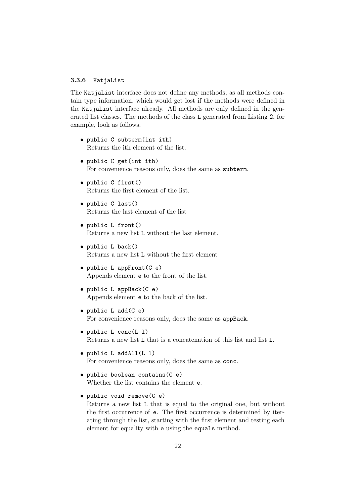#### 3.3.6 KatjaList

The KatjaList interface does not define any methods, as all methods contain type information, which would get lost if the methods were defined in the KatiaList interface already. All methods are only defined in the generated list classes. The methods of the class L generated from Listing 2, for example, look as follows.

- public C subterm(int ith) Returns the ith element of the list.
- public C get(int ith) For convenience reasons only, does the same as subterm.
- public C first() Returns the first element of the list.
- public C last() Returns the last element of the list
- public L front() Returns a new list L without the last element.
- public L back() Returns a new list L without the first element
- public L appFront(C e) Appends element e to the front of the list.
- public L appBack(C e) Appends element e to the back of the list.
- public L add(C e) For convenience reasons only, does the same as appBack.
- public L conc(L l) Returns a new list L that is a concatenation of this list and list l.
- public L addAll(L l) For convenience reasons only, does the same as conc.
- public boolean contains(C e) Whether the list contains the element e.
- public void remove(C e)

Returns a new list L that is equal to the original one, but without the first occurrence of e. The first occurrence is determined by iterating through the list, starting with the first element and testing each element for equality with e using the equals method.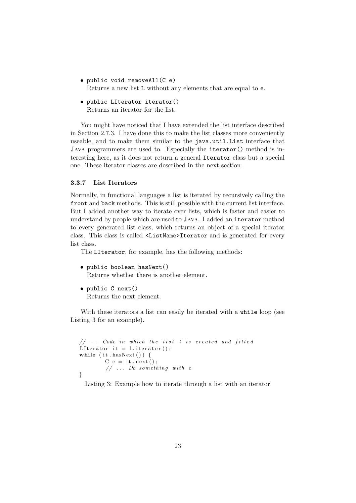- public void removeAll(C e) Returns a new list L without any elements that are equal to e.
- public LIterator iterator() Returns an iterator for the list.

You might have noticed that I have extended the list interface described in Section 2.7.3. I have done this to make the list classes more conveniently useable, and to make them similar to the java.util.List interface that Java programmers are used to. Especially the iterator() method is interesting here, as it does not return a general Iterator class but a special one. These iterator classes are described in the next section.

### 3.3.7 List Iterators

Normally, in functional languages a list is iterated by recursively calling the front and back methods. This is still possible with the current list interface. But I added another way to iterate over lists, which is faster and easier to understand by people which are used to Java. I added an iterator method to every generated list class, which returns an object of a special iterator class. This class is called <ListName>Iterator and is generated for every list class.

The LIterator, for example, has the following methods:

```
• public boolean hasNext()
```
Returns whether there is another element.

• public C next() Returns the next element.

With these iterators a list can easily be iterated with a while loop (see Listing 3 for an example).

```
// ... Code in which the list <math>l</math> is created and filledLI terator it = l. iterator ();
while (i t \cdot hasNext()) {
         C c = it \cdot next();
         // ... Do something with c}
```
Listing 3: Example how to iterate through a list with an iterator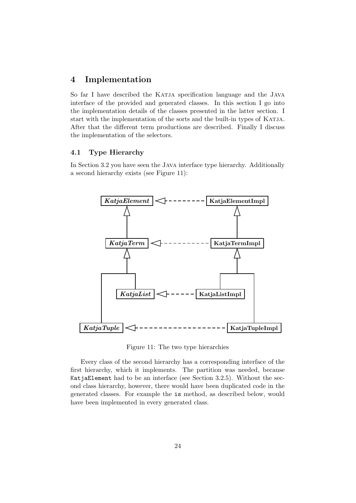## 4 Implementation

So far I have described the KATJA specification language and the JAVA interface of the provided and generated classes. In this section I go into the implementation details of the classes presented in the latter section. I start with the implementation of the sorts and the built-in types of KATJA. After that the different term productions are described. Finally I discuss the implementation of the selectors.

## 4.1 Type Hierarchy

In Section 3.2 you have seen the Java interface type hierarchy. Additionally a second hierarchy exists (see Figure 11):



Figure 11: The two type hierarchies

Every class of the second hierarchy has a corresponding interface of the first hierarchy, which it implements. The partition was needed, because KatjaElement had to be an interface (see Section 3.2.5). Without the second class hierarchy, however, there would have been duplicated code in the generated classes. For example the is method, as described below, would have been implemented in every generated class.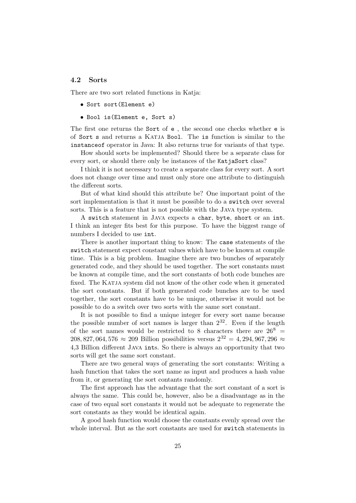## 4.2 Sorts

There are two sort related functions in Katja:

- Sort sort(Element e)
- Bool is(Element e, Sort s)

The first one returns the Sort of e , the second one checks whether e is of Sort s and returns a Katja Bool. The is function is similar to the instanceof operator in Java: It also returns true for variants of that type.

How should sorts be implemented? Should there be a separate class for every sort, or should there only be instances of the KatjaSort class?

I think it is not necessary to create a separate class for every sort. A sort does not change over time and must only store one attribute to distinguish the different sorts.

But of what kind should this attribute be? One important point of the sort implementation is that it must be possible to do a switch over several sorts. This is a feature that is not possible with the Java type system.

A switch statement in Java expects a char, byte, short or an int. I think an integer fits best for this purpose. To have the biggest range of numbers I decided to use int.

There is another important thing to know: The case statements of the switch statement expect constant values which have to be known at compile time. This is a big problem. Imagine there are two bunches of separately generated code, and they should be used together. The sort constants must be known at compile time, and the sort constants of both code bunches are fixed. The KATJA system did not know of the other code when it generated the sort constants. But if both generated code bunches are to be used together, the sort constants have to be unique, otherwise it would not be possible to do a switch over two sorts with the same sort constant.

It is not possible to find a unique integer for every sort name because the possible number of sort names is larger than  $2^{32}$ . Even if the length of the sort names would be restricted to 8 characters there are  $26^8$  = 208, 827, 064, 576 ≈ 209 Billion possibilities versus  $2^{32} = 4,294,967,296$  ≈ 4,3 Billion different Java ints. So there is always an opportunity that two sorts will get the same sort constant.

There are two general ways of generating the sort constants: Writing a hash function that takes the sort name as input and produces a hash value from it, or generating the sort contants randomly.

The first approach has the advantage that the sort constant of a sort is always the same. This could be, however, also be a disadvantage as in the case of two equal sort constants it would not be adequate to regenerate the sort constants as they would be identical again.

A good hash function would choose the constants evenly spread over the whole interval. But as the sort constants are used for switch statements in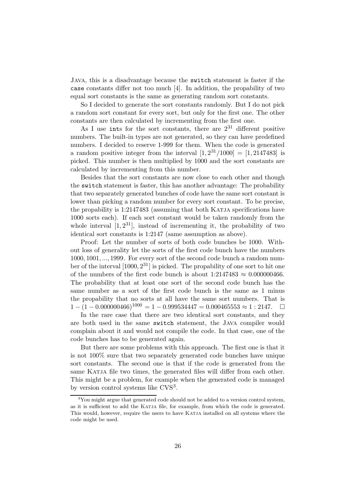Java, this is a disadvantage because the switch statement is faster if the case constants differ not too much [4]. In addition, the propability of two equal sort constants is the same as generating random sort constants.

So I decided to generate the sort constants randomly. But I do not pick a random sort constant for every sort, but only for the first one. The other constants are then calculated by incrementing from the first one.

As I use ints for the sort constants, there are  $2^{31}$  different positive numbers. The built-in types are not generated, so they can have predefined numbers. I decided to reserve 1-999 for them. When the code is generated a random positive integer from the interval  $[1, 2^{31}/1000] = [1, 2147483]$  is picked. This number is then multiplied by 1000 and the sort constants are calculated by incrementing from this number.

Besides that the sort constants are now close to each other and though the switch statement is faster, this has another advantage: The probability that two separately generated bunches of code have the same sort constant is lower than picking a random number for every sort constant. To be precise, the propability is 1:2147483 (assuming that both KATJA specifications have 1000 sorts each). If each sort constant would be taken randomly from the whole interval  $[1, 2^{31}]$ , instead of incrementing it, the probability of two identical sort constants is 1:2147 (same assumption as above).

Proof: Let the number of sorts of both code bunches be 1000. Without loss of generality let the sorts of the first code bunch have the numbers 1000, 1001, ..., 1999. For every sort of the second code bunch a random number of the interval  $[1000, 2^{31}]$  is picked. The propability of one sort to hit one of the numbers of the first code bunch is about 1:2147483  $\approx 0.000000466$ . The probability that at least one sort of the second code bunch has the same number as a sort of the first code bunch is the same as 1 minus the propability that no sorts at all have the same sort numbers. That is  $1 - (1 - 0.000000466)^{1000} = 1 - 0.999534447 = 0.000465553 \approx 1 : 2147.$ 

In the rare case that there are two identical sort constants, and they are both used in the same switch statement, the Java compiler would complain about it and would not compile the code. In that case, one of the code bunches has to be generated again.

But there are some problems with this approach. The first one is that it is not 100% sure that two separately generated code bunches have unique sort constants. The second one is that if the code is generated from the same KATJA file two times, the generated files will differ from each other. This might be a problem, for example when the generated code is managed by version control systems like CVS<sup>3</sup>.

 $3$ You might argue that generated code should not be added to a version control system, as it is sufficient to add the Katja file, for example, from which the code is generated. This would, however, require the users to have KATJA installed on all systems where the code might be used.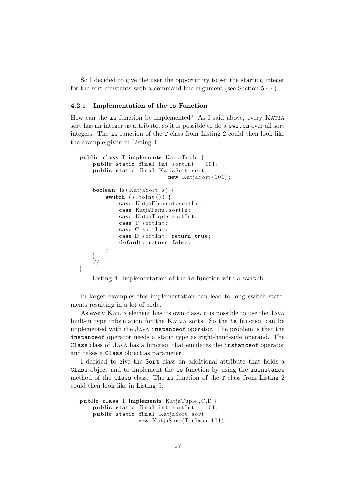So I decided to give the user the opportunity to set the starting integer for the sort constants with a command line argument (see Section 5.4.4).

#### 4.2.1 Implementation of the is Function

How can the is function be implemented? As I said above, every KATJA sort has an integer as attribute, so it is possible to do a switch over all sort integers. The is function of the T class from Listing 2 could then look like the example given in Listing 4.

```
public class T implements KatjaTuple {
    public static final int sortInt = 101;
    public static final KatjaSort sort =new KatjaSort(101);
    boolean is (KatjaSort s) {
        switch (s.tolnt() ) {
             case KatjaElement.sortInt:
             case KatiaTerm.sortInt:
             case KatjaTuple.sortInt:
             case T. sortInt:
             case C. sortInt:
             case D. sortInt: return true;
             default: return false;
        }
    }
    .<br>// ...
}
```
Listing 4: Implementation of the is function with a switch

In larger examples this implementation can lead to long switch statements resulting in a lot of code.

As every KATJA element has its own class, it is possible to use the JAVA built-in type information for the KATJA sorts. So the is function can be implemented with the Java instanceof operator. The problem is that the instanceof operator needs a static type as right-hand-side operand. The Class class of Java has a function that emulates the instanceof operator and takes a Class object as parameter.

I decided to give the Sort class an additional attribute that holds a Class object and to implement the is function by using the isInstance method of the Class class. The is function of the T class from Listing 2 could then look like in Listing 5.

```
public class T implements KatjaTuple, C, D {
    public static final int sortInt = 101;
    public static final KatjaSort sort =new KatjaSort (T. class, 101);
```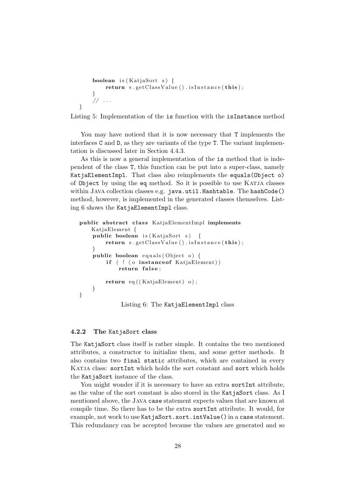```
boolean is (KatiaSort s) {
        return s.getClass Value().isInstance(this);}
    // \ldots}
```
Listing 5: Implementation of the is function with the isInstance method

You may have noticed that it is now necessary that T implements the interfaces C and D, as they are variants of the type T. The variant implementation is discussed later in Section 4.4.3.

As this is now a general implementation of the is method that is independent of the class T, this function can be put into a super-class, namely KatjaElementImpl. That class also reimplements the equals(Object o) of Object by using the eq method. So it is possible to use KATJA classes within JAVA collection classes e.g. java.util.Hashtable. The hashCode() method, however, is implemented in the generated classes themselves. Listing 6 shows the KatjaElementImpl class.

```
public abstract class KatjaElementImpl implements
   KatjaElement {
    public boolean is (KatjaSort s) {
        return s.getClassValue ().isInstance(this);
    }
    public boolean equals (Object o) {
        if ( ! (o instanceof KatjaElement))
            return false;
        return eq((KatjaElement) o);}
}
             Listing 6: The KatjaElementImpl class
```
## 4.2.2 The KatjaSort class

The KatjaSort class itself is rather simple. It contains the two mentioned attributes, a constructor to initialize them, and some getter methods. It also contains two final static attributes, which are contained in every KATJA class: sortInt which holds the sort constant and sort which holds the KatjaSort instance of the class.

You might wonder if it is necessary to have an extra sortInt attribute, as the value of the sort constant is also stored in the KatjaSort class. As I mentioned above, the Java case statement expects values that are known at compile time. So there has to be the extra sortInt attribute. It would, for example, not work to use KatjaSort.sort.intValue() in a case statement. This redundancy can be accepted because the values are generated and so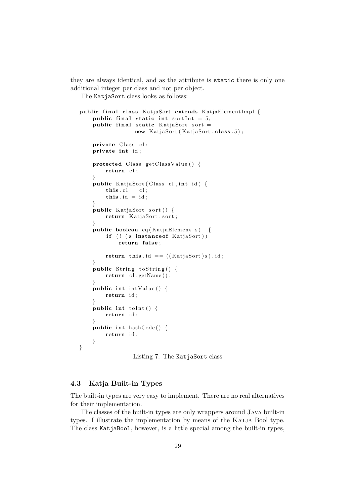they are always identical, and as the attribute is static there is only one additional integer per class and not per object.

The KatjaSort class looks as follows:

```
public final class KatjaSort extends KatjaElementImpl {
    public final static int sortInt = 5;
    public final static KatjaSort sort =new KatjaSort (KatjaSort . class , 5);
    private Class cl;
    private int id ;
    protected Class getClassValue () {
        return cl;
    }
    public KatjaSort (Class cl, int id) {
        this \text{cl} = \text{cl};
        this . id = id;}
    public KatjaSort sort () {
        return KatjaSort.sort;
    }
    public boolean eq (KatjaElement s) {
        if (! (s instance of KatjaSort))
             return false;
        return this id == ((KatjaSort)s). id;
    }
    public String to String () {
        return cl.getName();
    }
    public int intValue () {
        return id ;
    }
    public int to Int () {
        return id ;
    }
    public int hashCode ( ) {
        return id ;
    }
}
```
Listing 7: The KatjaSort class

## 4.3 Katja Built-in Types

The built-in types are very easy to implement. There are no real alternatives for their implementation.

The classes of the built-in types are only wrappers around Java built-in types. I illustrate the implementation by means of the KATJA Bool type. The class KatjaBool, however, is a little special among the built-in types,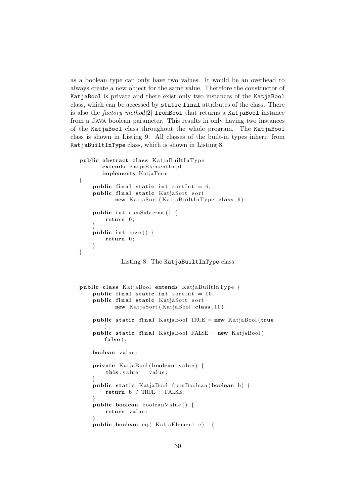as a boolean type can only have two values. It would be an overhead to always create a new object for the same value. Therefore the constructor of KatjaBool is private and there exist only two instances of the KatjaBool class, which can be accessed by static final attributes of the class. There is also the factory method[2] fromBool that returns a KatjaBool instance from a Java boolean parameter. This results in only having two instances of the KatjaBool class throughout the whole program. The KatjaBool class is shown in Listing 9. All classes of the built-in types inherit from KatjaBuiltInType class, which is shown in Listing 8.

```
public abstract class KatjaBuiltInType
       extends KatjaElementImpl
       implements KatjaTerm
{
    public final static int sortInt = 6;
    public final static KatjaSort sort =new KatjaSort (KatjaBuiltInType.class, 6);
    public int numSubterms ( ) {
        return 0;
    }
    public int size () {
        return 0;
    }
}
             Listing 8: The KatjaBuiltInType class
public class KatjaBool extends KatjaBuiltInType {
    public final static int sortInt = 10;
    public final static KatiaSort sort =new KatjaSort (KatjaBool . class , 10);
    public static final KatjaBool TRUE = new KatjaBool (true) ;
    public static final KatjaBool FALSE = new KatjaBool (
        false);
    boolean value ;
    private KatjaBool (boolean value ) {
        this value = value;
    }
    public static KatjaBool fromBoolean (boolean b) {
        return b ? TRUE : FALSE;
    }
    public boolean booleanValue ( ) {
        return value ;
    }
    public boolean eq ( KatjaElement e) {
```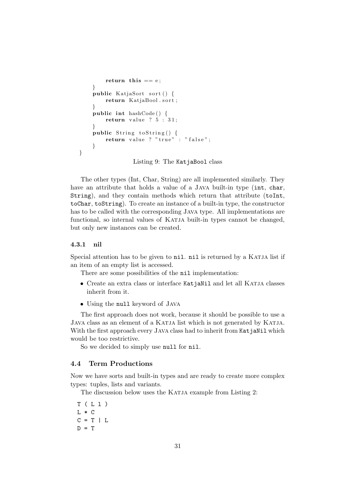```
return this == e;
    }
    public KatjaSort sort () {
        return KatjaBool.sort;
    }
    public int hashCode() {
        return value ? 5:31;}
    public String to String () {
        return value ? "true" : "false";
    }
}
```
Listing 9: The KatjaBool class

The other types (Int, Char, String) are all implemented similarly. They have an attribute that holds a value of a JAVA built-in type (int, char, String), and they contain methods which return that attribute (toInt, toChar, toString). To create an instance of a built-in type, the constructor has to be called with the corresponding Java type. All implementations are functional, so internal values of Katja built-in types cannot be changed, but only new instances can be created.

## 4.3.1 nil

Special attention has to be given to nil. nil is returned by a KATJA list if an item of an empty list is accessed.

There are some possibilities of the nil implementation:

- Create an extra class or interface KatjaNil and let all KATJA classes inherit from it.
- Using the null keyword of Java

The first approach does not work, because it should be possible to use a JAVA class as an element of a KATJA list which is not generated by KATJA. With the first approach every JAVA class had to inherit from KatjaNil which would be too restrictive.

So we decided to simply use null for nil.

### 4.4 Term Productions

Now we have sorts and built-in types and are ready to create more complex types: tuples, lists and variants.

The discussion below uses the KATJA example from Listing 2:

T ( L l ) L \* C  $C = T \mid L$  $D = T$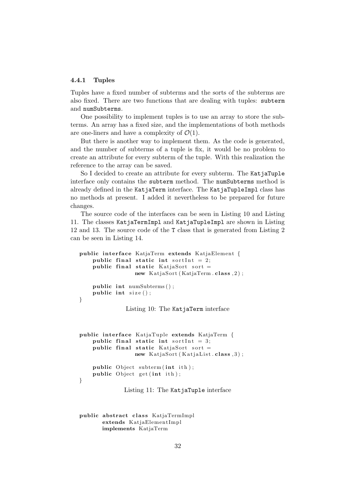#### 4.4.1 Tuples

Tuples have a fixed number of subterms and the sorts of the subterms are also fixed. There are two functions that are dealing with tuples: subterm and numSubterms.

One possibility to implement tuples is to use an array to store the subterms. An array has a fixed size, and the implementations of both methods are one-liners and have a complexity of  $\mathcal{O}(1)$ .

But there is another way to implement them. As the code is generated, and the number of subterms of a tuple is fix, it would be no problem to create an attribute for every subterm of the tuple. With this realization the reference to the array can be saved.

So I decided to create an attribute for every subterm. The KatjaTuple interface only contains the subterm method. The numSubterms method is already defined in the KatjaTerm interface. The KatjaTupleImpl class has no methods at present. I added it nevertheless to be prepared for future changes.

The source code of the interfaces can be seen in Listing 10 and Listing 11. The classes KatjaTermImpl and KatjaTupleImpl are shown in Listing 12 and 13. The source code of the T class that is generated from Listing 2 can be seen in Listing 14.

```
public interface KatjaTerm extends KatjaElement {
    public final static int sortInt = 2;
    public final static KatiaSort sort =new KatjaSort (KatjaTerm.class, 2);
    public int numSubterms();
    public int size();
}
```
Listing 10: The KatjaTerm interface

```
public interface KatjaTuple extends KatjaTerm {
    public final static int sortInt = 3;
    public final static KatjaSort sort =new KatjaSort (KatjaList.class, 3);
    public Object subterm (int ith);
    public Object get (int ith);
}
```
Listing 11: The KatjaTuple interface

public abstract class KatjaTermImpl extends KatjaElementImpl implements KatjaTerm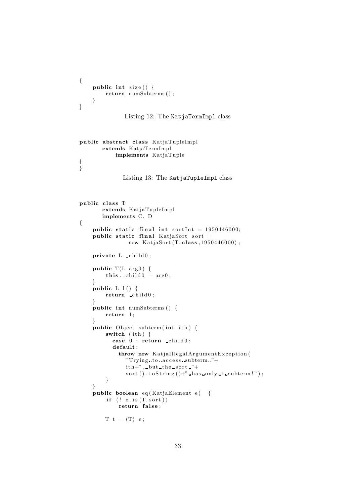```
{
    public int size () {
        return numSubterms ( ) ;
    }
}
               Listing 12: The KatjaTermImpl class
public abstract class KatjaTupleImpl
       extends KatjaTermImpl
            implements KatjaTuple
{
}
              Listing 13: The KatjaTupleImpl class
public class T
       extends KatjaTupleImpl
       implements C, D
{
    public static final int sortInt = 1950446000;
    public static final KatjaSort sort =new KatjaSort (T. class, 1950446000);
    private L _child0;
    public T(L \arg 0) {
         this. \text{\_}child0 = \arg0;}
    public L l() \{return child0;
    }
    public int numSubterms ( ) {
        return 1;
    }
    public Object subterm (int ith) {
        switch (i<sup>th</sup>) {
           case 0 : return \text{child}0;
           default :
             throw new KatjaIllegalArgumentException (
               " Trying to access subterm "+
               ith+", but the sort "+
               sort (). \text{toString} ()+" has only 1 subterm!" );
         }
    }
    public boolean eq (KatjaElement e) {
         if (! e.is(T.sort))return false;
        T t = (T) e;
```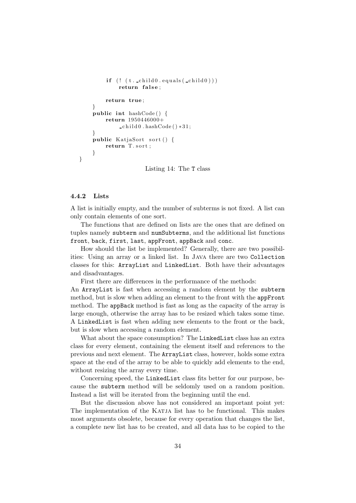```
if (! (t \cdot \text{child0.equals(child0))})return false;
         return true ;
    }
    public int hashCode() {
         return 1950446000+
              \text{child0}. hashCode () *31;
    }
    public KatjaSort sort () {
         return T. sort;
    }
}
```
Listing 14: The T class

#### 4.4.2 Lists

A list is initially empty, and the number of subterms is not fixed. A list can only contain elements of one sort.

The functions that are defined on lists are the ones that are defined on tuples namely subterm and numSubterms, and the additional list functions front, back, first, last, appFront, appBack and conc.

How should the list be implemented? Generally, there are two possibilities: Using an array or a linked list. In Java there are two Collection classes for this: ArrayList and LinkedList. Both have their advantages and disadvantages.

First there are differences in the performance of the methods:

An ArrayList is fast when accessing a random element by the subterm method, but is slow when adding an element to the front with the appFront method. The appBack method is fast as long as the capacity of the array is large enough, otherwise the array has to be resized which takes some time. A LinkedList is fast when adding new elements to the front or the back, but is slow when accessing a random element.

What about the space consumption? The LinkedList class has an extra class for every element, containing the element itself and references to the previous and next element. The ArrayList class, however, holds some extra space at the end of the array to be able to quickly add elements to the end, without resizing the array every time.

Concerning speed, the LinkedList class fits better for our purpose, because the subterm method will be seldomly used on a random position. Instead a list will be iterated from the beginning until the end.

But the discussion above has not considered an important point yet: The implementation of the KATJA list has to be functional. This makes most arguments obsolete, because for every operation that changes the list, a complete new list has to be created, and all data has to be copied to the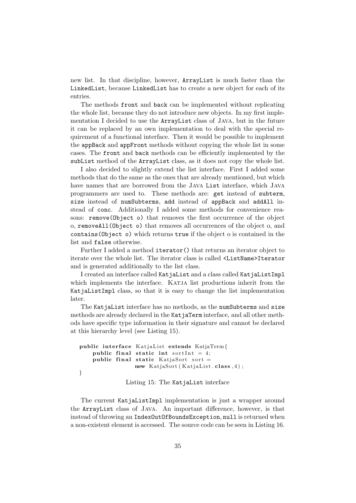new list. In that discipline, however, ArrayList is much faster than the LinkedList, because LinkedList has to create a new object for each of its entries.

The methods front and back can be implemented without replicating the whole list, because they do not introduce new objects. In my first implementation I decided to use the ArrayList class of Java, but in the future it can be replaced by an own implementation to deal with the special requirement of a functional interface. Then it would be possible to implement the appBack and appFront methods without copying the whole list in some cases. The front and back methods can be efficiently implemented by the subList method of the ArrayList class, as it does not copy the whole list.

I also decided to slightly extend the list interface. First I added some methods that do the same as the ones that are already mentioned, but which have names that are borrowed from the Java List interface, which Java programmers are used to. These methods are: get instead of subterm, size instead of numSubterms, add instead of appBack and addAll instead of conc. Additionally I added some methods for convenience reasons: remove(Object o) that removes the first occurrence of the object o, removeAll(Object o) that removes all occurrences of the object o, and contains(Object o) which returns true if the object o is contained in the list and false otherwise.

Further I added a method iterator() that returns an iterator object to iterate over the whole list. The iterator class is called <ListName>Iterator and is generated additionally to the list class.

I created an interface called KatjaList and a class called KatjaListImpl which implements the interface. KATJA list productions inherit from the KatjaListImpl class, so that it is easy to change the list implementation later.

The KatjaList interface has no methods, as the numSubterms and size methods are already declared in the KatjaTerm interface, and all other methods have specific type information in their signature and cannot be declared at this hierarchy level (see Listing 15).

```
public interface KatjaList extends KatjaTerm{
    public final static int sortInt = 4;
    public final static KatjaSort sort =new KatjaSort (KatjaList.class, 4);
}
```
Listing 15: The KatjaList interface

The current KatjaListImpl implementation is just a wrapper around the ArrayList class of Java. An important difference, however, is that instead of throwing an IndexOutOfBoundsException, null is returned when a non-existent element is accessed. The source code can be seen in Listing 16.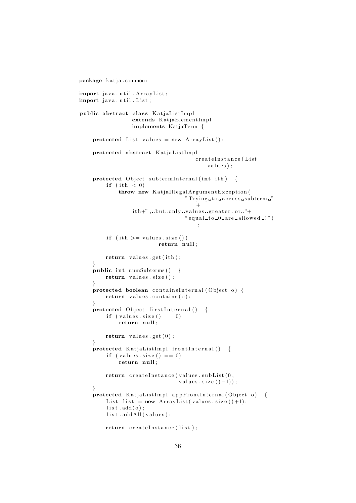```
package katja.common;
import java.util.ArrayList;
import java.util.List;
public abstract class KatjaListImpl
                 extends KatjaElementImpl
                 implements KatjaTerm {
    protected List values = new ArrayList();
    protected abstract KatjaListImpl
                                      createInstance (List
                                          values);
    protected Object subtermInternal (int ith) {
        if (int h < 0)throw new KatjaIllegalArgumentException (
                                  " Trying to access subterm."
                                      +ith+", but only values greater or "+
                                  " equal_to_0_are_allowed_!";
        if (ith \rangle = values size())
                          return null ;
        return values.get(ith);
    }
    public int numSubterms () {
        return values.size();
    }
    protected boolean containsInternal (Object o) {
        return values \text{contains}(0);
    }
    protected Object firstInternal() {
        if (values.size () == 0)return null ;
        return values.get(0);
    }
    \frac{1}{2} protected KatjaListImpl frontInternal() {
        if (values \text{size}() == 0)return null ;
        return createInstance(values.subList(0,
                                values.size ( ) -1 ) );
    }
    protected KatjaListImpl appFrontInternal (Object o) {
        List list = new ArrayList (values . size ( )+1);
        list.add(o);list.addAll(values);
        return \; createInstance(\; list \;):
```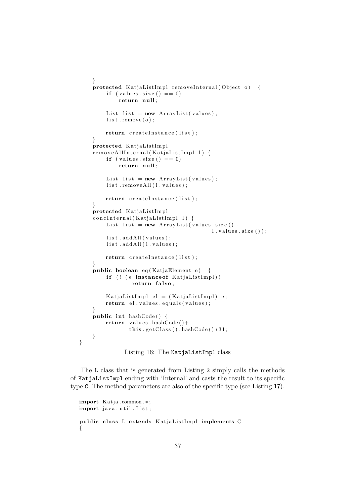```
}
protected KatjaListImpl removeInternal (Object o) {
    if (values \text{size}() == 0)return null ;
    List list = new ArrayList(values);list. remove(o);
    return createInstance(list);
}
protected KatjaListImpl
removeAllInternal (KatjaListImpl 1) {
    if (values \text{size}() == 0)return null ;
    List list = new ArrayList(values);list.removeAll(l.values);
    return createInstance(list);
}
protected KatjaListImpl
concInternal(KatjaListImpl 1) {
    List list = new ArrayList(values.size() +l. values. size() );
    list.addAll(values);
    list.addAll(1.values);
    return createInstance(list);
}
public boolean eq (KatjaElement e) {
    if (! (e instanceof KatjaListImpl))
            return false;
    KatjaListImpl el = (KatjaListImpl) e;
    return el . values . equals (values);
}
public int hashCode() {
    return values . hashCode()+
           this .getClass(). hashCode() *31;
}
```
Listing 16: The KatjaListImpl class

The L class that is generated from Listing 2 simply calls the methods of KatjaListImpl ending with 'Internal' and casts the result to its specific type C. The method parameters are also of the specific type (see Listing 17).

```
import Katja . common . ∗ ;
import java.util.List;
public class L extends KatjaListImpl implements C
{
```
}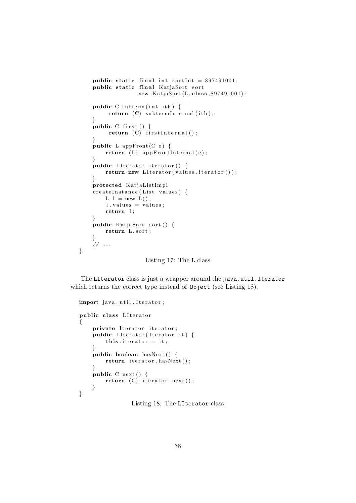```
public static final int sortInt = 897491001;
public static final KatjaSort sort =new KatjaSort (L. class, 897491001);
public C subterm (int ith) \{return (C) subtermInternal(ith);
}
public C first () {
     return (C) first Internal ();
}
public L appFront (C e) \{return (L) appFrontInternal(e);
}
public LIterator iterator () {
    return new LI terator (values . iterator ());
}
protected KatjaListImpl
createInstance (List values) {
    L l = new L();l. values = values;
    return l ;
}
public KatjaSort sort () {
    return L. sort;
}
// \dots
```
Listing 17: The L class

The LIterator class is just a wrapper around the java.util.Iterator which returns the correct type instead of Object (see Listing 18).

```
import java.util.Iterator;
public class LIterator
{
    private Iterator iterator;
    public LI terator (I terator it) \{this i iterator i = it;
    }
    public boolean hasNext() {
        return iterator.hasNext();
    }
    public C next () {
        return (C) iterator.next();
    }
}
```
}

Listing 18: The LIterator class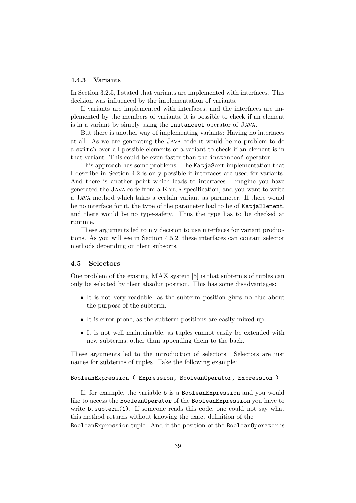#### 4.4.3 Variants

In Section 3.2.5, I stated that variants are implemented with interfaces. This decision was influenced by the implementation of variants.

If variants are implemented with interfaces, and the interfaces are implemented by the members of variants, it is possible to check if an element is in a variant by simply using the instanceof operator of Java.

But there is another way of implementing variants: Having no interfaces at all. As we are generating the Java code it would be no problem to do a switch over all possible elements of a variant to check if an element is in that variant. This could be even faster than the instanceof operator.

This approach has some problems. The KatjaSort implementation that I describe in Section 4.2 is only possible if interfaces are used for variants. And there is another point which leads to interfaces. Imagine you have generated the Java code from a Katja specification, and you want to write a Java method which takes a certain variant as parameter. If there would be no interface for it, the type of the parameter had to be of KatjaElement, and there would be no type-safety. Thus the type has to be checked at runtime.

These arguments led to my decision to use interfaces for variant productions. As you will see in Section 4.5.2, these interfaces can contain selector methods depending on their subsorts.

#### 4.5 Selectors

One problem of the existing MAX system [5] is that subterms of tuples can only be selected by their absolut position. This has some disadvantages:

- It is not very readable, as the subterm position gives no clue about the purpose of the subterm.
- It is error-prone, as the subterm positions are easily mixed up.
- It is not well maintainable, as tuples cannot easily be extended with new subterms, other than appending them to the back.

These arguments led to the introduction of selectors. Selectors are just names for subterms of tuples. Take the following example:

#### BooleanExpression ( Expression, BooleanOperator, Expression )

If, for example, the variable b is a BooleanExpression and you would like to access the BooleanOperator of the BooleanExpression you have to write b.subterm(1). If someone reads this code, one could not say what this method returns without knowing the exact definition of the BooleanExpression tuple. And if the position of the BooleanOperator is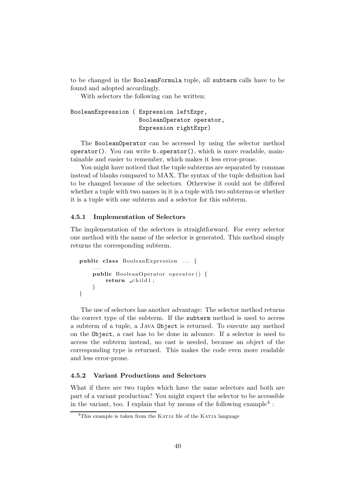to be changed in the BooleanFormula tuple, all subterm calls have to be found and adopted accordingly.

With selectors the following can be written:

# BooleanExpression ( Expression leftExpr, BooleanOperator operator, Expression rightExpr)

The BooleanOperator can be accessed by using the selector method operator(). You can write b.operator(), which is more readable, maintainable and easier to remember, which makes it less error-prone.

You might have noticed that the tuple subterms are separated by commas instead of blanks compared to MAX. The syntax of the tuple definition had to be changed because of the selectors. Otherwise it could not be differed whether a tuple with two names in it is a tuple with two subterms or whether it is a tuple with one subterm and a selector for this subterm.

#### 4.5.1 Implementation of Selectors

The implementation of the selectors is straightforward. For every selector one method with the name of the selector is generated. This method simply returns the corresponding subterm.

```
public class BooleanExpression \ldots {
    . . .
    public BooleanOperator operator() {
        return child1;
    }
}
```
The use of selectors has another advantage: The selector method returns the correct type of the subterm. If the subterm method is used to access a subterm of a tuple, a Java Object is returned. To execute any method on the Object, a cast has to be done in advance. If a selector is used to access the subterm instead, no cast is needed, because an object of the corresponding type is returned. This makes the code even more readable and less error-prone.

### 4.5.2 Variant Productions and Selectors

What if there are two tuples which have the same selectors and both are part of a variant production? You might expect the selector to be accessible in the variant, too. I explain that by means of the following example<sup>4</sup>:

<sup>&</sup>lt;sup>4</sup>This example is taken from the KATJA file of the KATJA language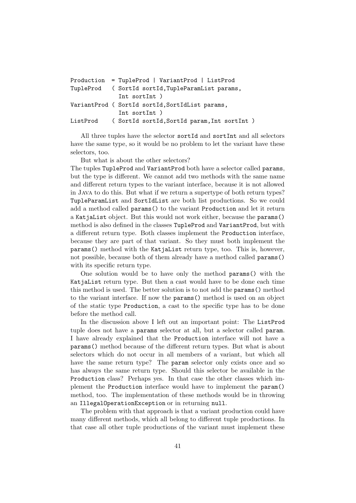```
Production = TupleProd | VariantProd | ListProd
TupleProd ( SortId sortId,TupleParamList params,
              Int sortInt )
VariantProd ( SortId sortId,SortIdList params,
              Int sortInt )
ListProd ( SortId sortId,SortId param,Int sortInt )
```
All three tuples have the selector sortId and sortInt and all selectors have the same type, so it would be no problem to let the variant have these selectors, too.

But what is about the other selectors?

The tuples TupleProd and VariantProd both have a selector called params, but the type is different. We cannot add two methods with the same name and different return types to the variant interface, because it is not allowed in Java to do this. But what if we return a supertype of both return types? TupleParamList and SortIdList are both list productions. So we could add a method called params() to the variant Production and let it return a KatjaList object. But this would not work either, because the params() method is also defined in the classes TupleProd and VariantProd, but with a different return type. Both classes implement the Production interface, because they are part of that variant. So they must both implement the params() method with the KatjaList return type, too. This is, however, not possible, because both of them already have a method called params() with its specific return type.

One solution would be to have only the method params() with the KatjaList return type. But then a cast would have to be done each time this method is used. The better solution is to not add the params() method to the variant interface. If now the params() method is used on an object of the static type Production, a cast to the specific type has to be done before the method call.

In the discussion above I left out an important point: The ListProd tuple does not have a params selector at all, but a selector called param. I have already explained that the Production interface will not have a params() method because of the different return types. But what is about selectors which do not occur in all members of a variant, but which all have the same return type? The **param** selector only exists once and so has always the same return type. Should this selector be available in the Production class? Perhaps yes. In that case the other classes which implement the Production interface would have to implement the param() method, too. The implementation of these methods would be in throwing an IllegalOperationException or in returning null.

The problem with that approach is that a variant production could have many different methods, which all belong to different tuple productions. In that case all other tuple productions of the variant must implement these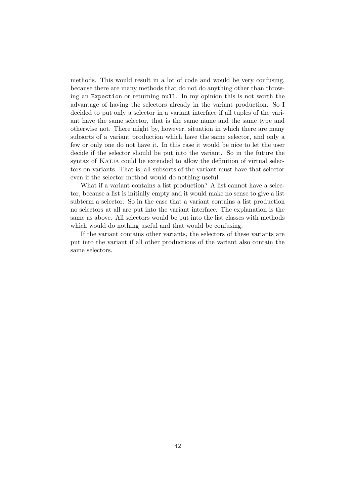methods. This would result in a lot of code and would be very confusing, because there are many methods that do not do anything other than throwing an Expection or returning null. In my opinion this is not worth the advantage of having the selectors already in the variant production. So I decided to put only a selector in a variant interface if all tuples of the variant have the same selector, that is the same name and the same type and otherwise not. There might by, however, situation in which there are many subsorts of a variant production which have the same selector, and only a few or only one do not have it. In this case it would be nice to let the user decide if the selector should be put into the variant. So in the future the syntax of KATJA could be extended to allow the definition of virtual selectors on variants. That is, all subsorts of the variant must have that selector even if the selector method would do nothing useful.

What if a variant contains a list production? A list cannot have a selector, because a list is initially empty and it would make no sense to give a list subterm a selector. So in the case that a variant contains a list production no selectors at all are put into the variant interface. The explanation is the same as above. All selectors would be put into the list classes with methods which would do nothing useful and that would be confusing.

If the variant contains other variants, the selectors of these variants are put into the variant if all other productions of the variant also contain the same selectors.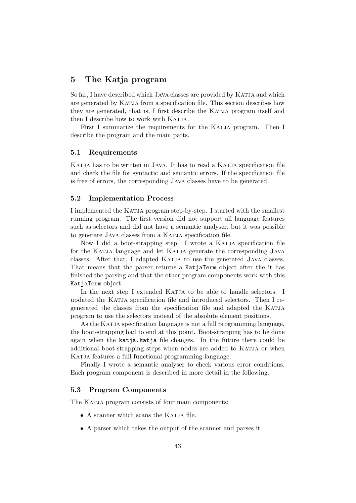# 5 The Katja program

So far, I have described which JAVA classes are provided by KATJA and which are generated by KATJA from a specification file. This section describes how they are generated, that is, I first describe the KATJA program itself and then I describe how to work with KATJA.

First I summarize the requirements for the KATJA program. Then I describe the program and the main parts.

# 5.1 Requirements

KATJA has to be written in JAVA. It has to read a KATJA specification file and check the file for syntactic and semantic errors. If the specification file is free of errors, the corresponding Java classes have to be generated.

### 5.2 Implementation Process

I implemented the Katja program step-by-step. I started with the smallest running program. The first version did not support all language features such as selectors and did not have a semantic analyser, but it was possible to generate JAVA classes from a KATJA specification file.

Now I did a boot-strapping step. I wrote a KATJA specification file for the KATJA language and let KATJA generate the corresponding JAVA classes. After that, I adapted Katja to use the generated Java classes. That means that the parser returns a KatjaTerm object after the it has finished the parsing and that the other program components work with this KatjaTerm object.

In the next step I extended KATJA to be able to handle selectors. I updated the Katja specification file and introduced selectors. Then I regenerated the classes from the specification file and adapted the Katja program to use the selectors instead of the absolute element positions.

As the KATJA specification language is not a full programming language, the boot-strapping had to end at this point. Boot-strapping has to be done again when the katja.katja file changes. In the future there could be additional boot-strapping steps when nodes are added to KATJA or when KATJA features a full functional programming language.

Finally I wrote a semantic analyser to check various error conditions. Each program component is described in more detail in the following.

# 5.3 Program Components

The KATJA program consists of four main components:

- A scanner which scans the KATJA file.
- A parser which takes the output of the scanner and parses it.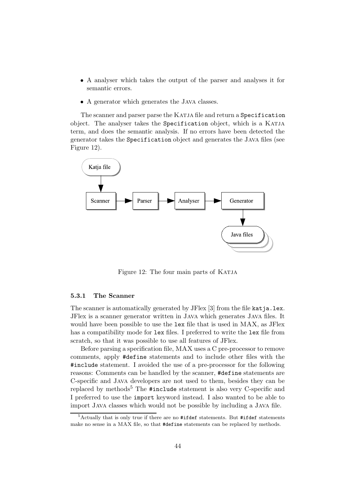- A analyser which takes the output of the parser and analyses it for semantic errors.
- A generator which generates the JAVA classes.

The scanner and parser parse the KATJA file and return a Specification object. The analyser takes the Specification object, which is a Katja term, and does the semantic analysis. If no errors have been detected the generator takes the Specification object and generates the Java files (see Figure 12).



Figure 12: The four main parts of KATJA

### 5.3.1 The Scanner

The scanner is automatically generated by JFlex [3] from the file katja.lex. JFlex is a scanner generator written in Java which generates Java files. It would have been possible to use the lex file that is used in MAX, as JFlex has a compatibility mode for lex files. I preferred to write the lex file from scratch, so that it was possible to use all features of JFlex.

Before parsing a specification file, MAX uses a C pre-processor to remove comments, apply #define statements and to include other files with the #include statement. I avoided the use of a pre-processor for the following reasons: Comments can be handled by the scanner, #define statements are C-specific and Java developers are not used to them, besides they can be replaced by methods<sup>5</sup> The  $\#$ include statement is also very C-specific and I preferred to use the import keyword instead. I also wanted to be able to import Java classes which would not be possible by including a Java file.

 $5$ Actually that is only true if there are no #ifdef statements. But #ifdef statements make no sense in a MAX file, so that #define statements can be replaced by methods.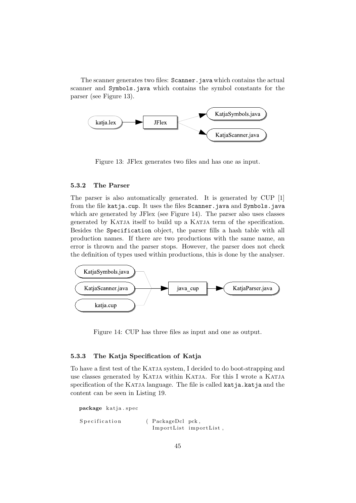The scanner generates two files: Scanner.java which contains the actual scanner and Symbols.java which contains the symbol constants for the parser (see Figure 13).



Figure 13: JFlex generates two files and has one as input.

### 5.3.2 The Parser

The parser is also automatically generated. It is generated by CUP [1] from the file katja.cup. It uses the files Scanner.java and Symbols.java which are generated by JFlex (see Figure 14). The parser also uses classes generated by Katja itself to build up a Katja term of the specification. Besides the Specification object, the parser fills a hash table with all production names. If there are two productions with the same name, an error is thrown and the parser stops. However, the parser does not check the definition of types used within productions, this is done by the analyser.



Figure 14: CUP has three files as input and one as output.

# 5.3.3 The Katja Specification of Katja

To have a first test of the KATJA system, I decided to do boot-strapping and use classes generated by Katja within Katja. For this I wrote a Katja specification of the KATJA language. The file is called katja.katja and the content can be seen in Listing 19.

```
package katja.spec
Specification (PackageDcl pck,
                     ImportList importList,
```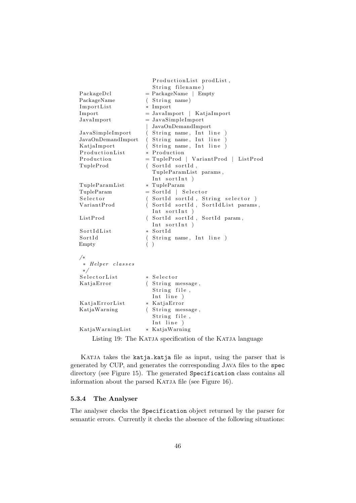```
ProductionList prodList,
                  String filename)
PackageDcl = PackageName Empty
PackageName (String name)
ImportList * Import
Import = JavaImport | KatjaImport
Javalmport = JavaSimplelmport| JavaOnDemandImport
JavaSimpleImport (String name, Int line)
JavaOnDemandImport (String name, Int line)
KatjaImport (String name, Int line)
ProductionList * Production
Production = TupleProd \mid VariantProd \mid ListProdTupleProd (SortId sortId,
                  TupleParamList params ,
                  Int sortInt)
TupleParamList ∗ TupleParam
TupleParam = SortId | Selector
Selector (SortId sortId, String selector)
VariantProd (SortId sortId, SortIdList params,
                  Int sortInt)
ListProd (SortId sortId, SortId param,
                  Int sortInt )
SortIdList * SortId
SortId (String name, Int line)
Empty ( )
/∗
 ∗ Helper c l a s s e s
 ∗/
SelectorList * Selector
KatjaError (String message,
                  String file,
                  Int line )
KatjaErrorList * KatjaError
KatjaWarning (String message,
                  String file,
                  Int line )
KatjaWarningList * KatjaWarning
```
Listing 19: The KATJA specification of the KATJA language

Katja takes the katja.katja file as input, using the parser that is generated by CUP, and generates the corresponding Java files to the spec directory (see Figure 15). The generated Specification class contains all information about the parsed KATJA file (see Figure 16).

#### 5.3.4 The Analyser

The analyser checks the Specification object returned by the parser for semantic errors. Currently it checks the absence of the following situations: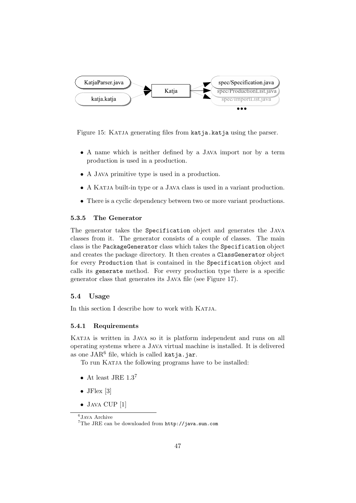

Figure 15: Katja generating files from katja.katja using the parser.

- A name which is neither defined by a Java import nor by a term production is used in a production.
- A Java primitive type is used in a production.
- A KATJA built-in type or a JAVA class is used in a variant production.
- There is a cyclic dependency between two or more variant productions.

### 5.3.5 The Generator

The generator takes the Specification object and generates the Java classes from it. The generator consists of a couple of classes. The main class is the PackageGenerator class which takes the Specification object and creates the package directory. It then creates a ClassGenerator object for every Production that is contained in the Specification object and calls its generate method. For every production type there is a specific generator class that generates its Java file (see Figure 17).

#### 5.4 Usage

In this section I describe how to work with KATJA.

# 5.4.1 Requirements

KATJA is written in JAVA so it is platform independent and runs on all operating systems where a Java virtual machine is installed. It is delivered as one  $JAR^6$  file, which is called katja.jar.

To run KATJA the following programs have to be installed:

- At least JRE  $1.3<sup>7</sup>$
- J $Flex [3]$
- JAVA CUP<sup>[1]</sup>

<sup>6</sup> Java Archive

<sup>7</sup>The JRE can be downloaded from http://java.sun.com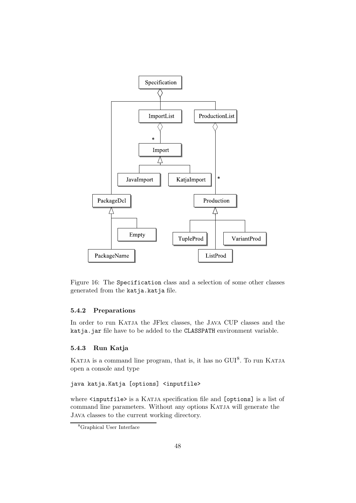

Figure 16: The Specification class and a selection of some other classes generated from the katja.katja file.

# 5.4.2 Preparations

In order to run KATJA the JFlex classes, the JAVA CUP classes and the katja.jar file have to be added to the CLASSPATH environment variable.

# 5.4.3 Run Katja

KATJA is a command line program, that is, it has no GUI<sup>8</sup>. To run KATJA open a console and type

```
java katja.Katja [options] <inputfile>
```
where  $\langle$ inputfile> is a KATJA specification file and [options] is a list of command line parameters. Without any options Katja will generate the Java classes to the current working directory.

<sup>8</sup>Graphical User Interface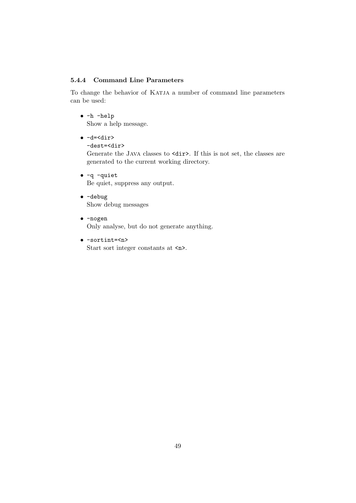# 5.4.4 Command Line Parameters

To change the behavior of Katja a number of command line parameters can be used:

- -h -help Show a help message.
- $\bullet$  -d=<dir> -dest=<dir>

Generate the JAVA classes to  $\langle \text{dir} \rangle$ . If this is not set, the classes are generated to the current working directory.

- -q -quiet Be quiet, suppress any output.
- -debug Show debug messages
- -nogen Only analyse, but do not generate anything.
- -sortint=<n> Start sort integer constants at  $\langle n \rangle$ .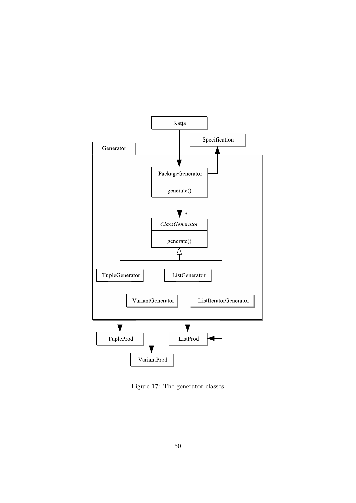

Figure 17: The generator classes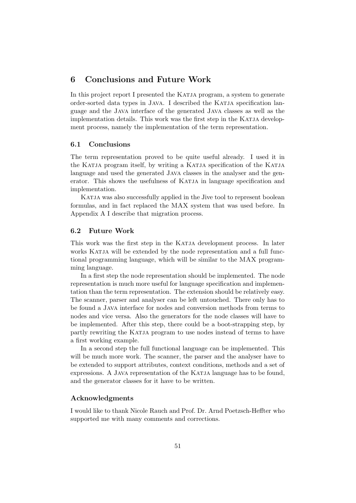# 6 Conclusions and Future Work

In this project report I presented the KATJA program, a system to generate order-sorted data types in Java. I described the Katja specification language and the Java interface of the generated Java classes as well as the implementation details. This work was the first step in the KATJA development process, namely the implementation of the term representation.

# 6.1 Conclusions

The term representation proved to be quite useful already. I used it in the KATJA program itself, by writing a KATJA specification of the KATJA language and used the generated JAVA classes in the analyser and the generator. This shows the usefulness of KATJA in language specification and implementation.

KATJA was also successfully applied in the Jive tool to represent boolean formulas, and in fact replaced the MAX system that was used before. In Appendix A I describe that migration process.

### 6.2 Future Work

This work was the first step in the KATJA development process. In later works KATJA will be extended by the node representation and a full functional programming language, which will be similar to the MAX programming language.

In a first step the node representation should be implemented. The node representation is much more useful for language specification and implementation than the term representation. The extension should be relatively easy. The scanner, parser and analyser can be left untouched. There only has to be found a Java interface for nodes and conversion methods from terms to nodes and vice versa. Also the generators for the node classes will have to be implemented. After this step, there could be a boot-strapping step, by partly rewriting the KATJA program to use nodes instead of terms to have a first working example.

In a second step the full functional language can be implemented. This will be much more work. The scanner, the parser and the analyser have to be extended to support attributes, context conditions, methods and a set of expressions. A JAVA representation of the KATJA language has to be found, and the generator classes for it have to be written.

# Acknowledgments

I would like to thank Nicole Rauch and Prof. Dr. Arnd Poetzsch-Heffter who supported me with many comments and corrections.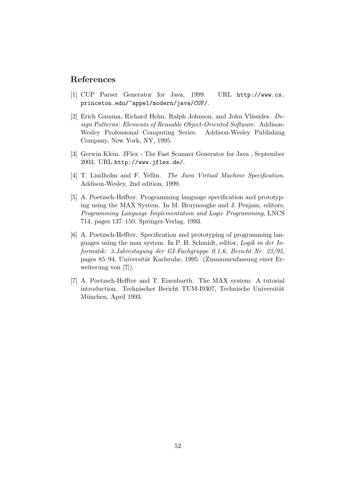# References

- [1] CUP Parser Generator for Java, 1999. URL http://www.cs. princeton.edu/~appel/modern/java/CUP/.
- [2] Erich Gamma, Richard Helm, Ralph Johnson, and John Vlissides. Design Patterns: Elements of Reusable Object-Oriented Software. Addison-Wesley Professional Computing Series. Addison-Wesley Publishing Company, New York, NY, 1995.
- [3] Gerwin Klein. JFlex The Fast Scanner Generator for Java , September 2003. URL http://www.jflex.de/.
- [4] T. Lindholm and F. Yellin. The Java Virtual Machine Specification. Addison-Wesley, 2nd edition, 1999.
- [5] A. Poetzsch-Heffter. Programming language specification and prototyping using the MAX System. In M. Bruynooghe and J. Penjam, editors, Programming Language Implementation and Logic Programming, LNCS 714, pages 137–150. Springer-Verlag, 1993.
- [6] A. Poetzsch-Heffter. Specification and prototyping of programming languages using the max system. In P. H. Schmidt, editor, Logik in der Informatik: 3.Jahrestagung der GI-Fachgruppe 0.1.6, Bericht Nr. 23/95, pages 85–94. Universität Karlsruhe, 1995. (Zusammenfassung einer Erweiterung von [7]).
- [7] A. Poetzsch-Heffter and T. Eisenbarth. The MAX system: A tutorial introduction. Technischer Bericht TUM-I9307, Technische Universität München, April 1993.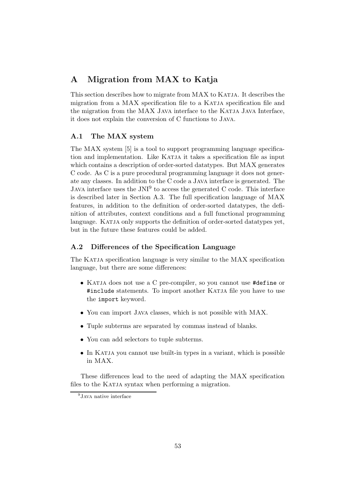# A Migration from MAX to Katja

This section describes how to migrate from MAX to KATJA. It describes the migration from a MAX specification file to a KATJA specification file and the migration from the MAX Java interface to the KATJA Java Interface, it does not explain the conversion of C functions to Java.

# A.1 The MAX system

The MAX system [5] is a tool to support programming language specification and implementation. Like KATJA it takes a specification file as input which contains a description of order-sorted datatypes. But MAX generates C code. As C is a pure procedural programming language it does not generate any classes. In addition to the C code a Java interface is generated. The JAVA interface uses the  $JNI<sup>9</sup>$  to access the generated C code. This interface is described later in Section A.3. The full specification language of MAX features, in addition to the definition of order-sorted datatypes, the definition of attributes, context conditions and a full functional programming language. KATJA only supports the definition of order-sorted datatypes yet, but in the future these features could be added.

# A.2 Differences of the Specification Language

The Katja specification language is very similar to the MAX specification language, but there are some differences:

- KATJA does not use a C pre-compiler, so you cannot use #define or #include statements. To import another KATJA file you have to use the import keyword.
- You can import Java classes, which is not possible with MAX.
- Tuple subterms are separated by commas instead of blanks.
- You can add selectors to tuple subterms.
- In KATJA you cannot use built-in types in a variant, which is possible in MAX.

These differences lead to the need of adapting the MAX specification files to the KATJA syntax when performing a migration.

 $9$ JAVA native interface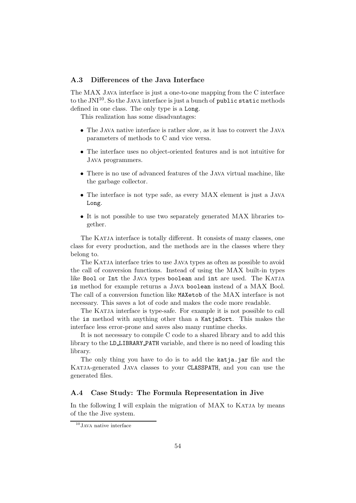# A.3 Differences of the Java Interface

The MAX Java interface is just a one-to-one mapping from the C interface to the  $\mathrm{JNI}^{10}$ . So the JAVA interface is just a bunch of  $\texttt{public static methods}$ defined in one class. The only type is a Long.

This realization has some disadvantages:

- The Java native interface is rather slow, as it has to convert the Java parameters of methods to C and vice versa.
- The interface uses no object-oriented features and is not intuitive for Java programmers.
- There is no use of advanced features of the Java virtual machine, like the garbage collector.
- The interface is not type safe, as every MAX element is just a Java Long.
- It is not possible to use two separately generated MAX libraries together.

The KATJA interface is totally different. It consists of many classes, one class for every production, and the methods are in the classes where they belong to.

The KATJA interface tries to use JAVA types as often as possible to avoid the call of conversion functions. Instead of using the MAX built-in types like Bool or Int the JAVA types boolean and int are used. The KATJA is method for example returns a Java boolean instead of a MAX Bool. The call of a conversion function like MAXetob of the MAX interface is not necessary. This saves a lot of code and makes the code more readable.

The KATJA interface is type-safe. For example it is not possible to call the is method with anything other than a KatjaSort. This makes the interface less error-prone and saves also many runtime checks.

It is not necessary to compile C code to a shared library and to add this library to the LD LIBRARY PATH variable, and there is no need of loading this library.

The only thing you have to do is to add the katja.jar file and the KATJA-generated JAVA classes to your CLASSPATH, and you can use the generated files.

# A.4 Case Study: The Formula Representation in Jive

In the following I will explain the migration of MAX to KATJA by means of the the Jive system.

<sup>&</sup>lt;sup>10</sup>JAVA native interface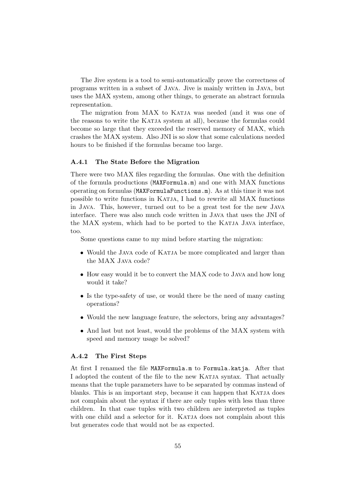The Jive system is a tool to semi-automatically prove the correctness of programs written in a subset of Java. Jive is mainly written in Java, but uses the MAX system, among other things, to generate an abstract formula representation.

The migration from MAX to KATJA was needed (and it was one of the reasons to write the KATJA system at all), because the formulas could become so large that they exceeded the reserved memory of MAX, which crashes the MAX system. Also JNI is so slow that some calculations needed hours to be finished if the formulas became too large.

#### A.4.1 The State Before the Migration

There were two MAX files regarding the formulas. One with the definition of the formula productions (MAXFormula.m) and one with MAX functions operating on formulas (MAXFormulaFunctions.m). As at this time it was not possible to write functions in Katja, I had to rewrite all MAX functions in Java. This, however, turned out to be a great test for the new Java interface. There was also much code written in Java that uses the JNI of the MAX system, which had to be ported to the Katja Java interface, too.

Some questions came to my mind before starting the migration:

- Would the JAVA code of KATJA be more complicated and larger than the MAX Java code?
- How easy would it be to convert the MAX code to JAVA and how long would it take?
- Is the type-safety of use, or would there be the need of many casting operations?
- Would the new language feature, the selectors, bring any advantages?
- And last but not least, would the problems of the MAX system with speed and memory usage be solved?

# A.4.2 The First Steps

At first I renamed the file MAXFormula.m to Formula.katja. After that I adopted the content of the file to the new KATJA syntax. That actually means that the tuple parameters have to be separated by commas instead of blanks. This is an important step, because it can happen that KATJA does not complain about the syntax if there are only tuples with less than three children. In that case tuples with two children are interpreted as tuples with one child and a selector for it. KATJA does not complain about this but generates code that would not be as expected.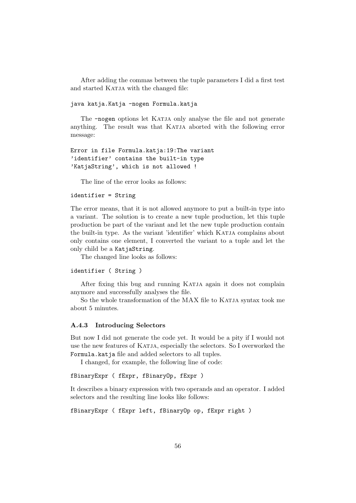After adding the commas between the tuple parameters I did a first test and started KATJA with the changed file:

#### java katja.Katja -nogen Formula.katja

The  $-nogen$  options let KATJA only analyse the file and not generate anything. The result was that KATJA aborted with the following error message:

```
Error in file Formula.katja:19:The variant
'identifier' contains the built-in type
'KatjaString', which is not allowed !
```
The line of the error looks as follows:

### identifier = String

The error means, that it is not allowed anymore to put a built-in type into a variant. The solution is to create a new tuple production, let this tuple production be part of the variant and let the new tuple production contain the built-in type. As the variant 'identifier' which KATJA complains about only contains one element, I converted the variant to a tuple and let the only child be a KatjaString.

The changed line looks as follows:

```
identifier ( String )
```
After fixing this bug and running KATJA again it does not complain anymore and successfully analyses the file.

So the whole transformation of the MAX file to KATJA syntax took me about 5 minutes.

## A.4.3 Introducing Selectors

But now I did not generate the code yet. It would be a pity if I would not use the new features of KATJA, especially the selectors. So I overworked the Formula.katja file and added selectors to all tuples.

I changed, for example, the following line of code:

```
fBinaryExpr ( fExpr, fBinaryOp, fExpr )
```
It describes a binary expression with two operands and an operator. I added selectors and the resulting line looks like follows:

```
fBinaryExpr ( fExpr left, fBinaryOp op, fExpr right )
```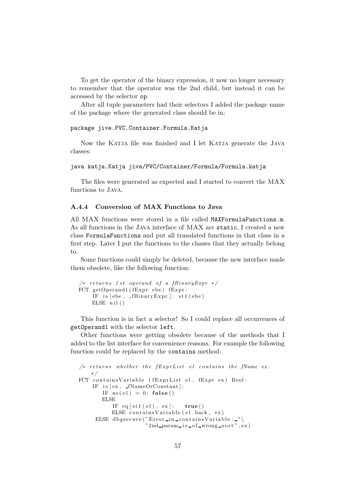To get the operator of the binary expression, it now no longer necessary to remember that the operator was the 2nd child, but instead it can be accessed by the selector op.

After all tuple parameters had their selectors I added the package name of the package where the generated class should be in:

```
package jive.PVC.Container.Formula.Katja
```
Now the Katja file was finished and I let Katja generate the Java classes:

```
java katja.Katja jive/PVC/Container/Formula/Formula.katja
```
The files were generated as expected and I started to convert the MAX functions to Java.

# A.4.4 Conversion of MAX Functions to Java

All MAX functions were stored in a file called MAXFormulaFunctions.m. As all functions in the Java interface of MAX are static, I created a new class FormulaFunctions and put all translated functions in that class in a first step. Later I put the functions to the classes that they actually belong to.

Some functions could simply be deleted, because the new interface made them obsolete, like the following function:

```
/* returns 1 st operand of a fBinaryExpr */FCT getOperand1 (fExpr ebe) fExpr:
    IF is [ebe, -fBinaryExpr]: st1(ebe)ELSE nil()
```
This function is in fact a selector! So I could replace all occurrences of getOperand1 with the selector left.

Other functions were getting obsolete because of the methods that I added to the list interface for convenience reasons. For example the following function could be replaced by the contains method:

```
/* returns whether the fExprList el contains the fName ex.
   ∗/
FCT containsVariable (fExprList el, fExpr ex) Bool:
    IF is [ex, _fNameOrConstant]:
       IF ns (el) = 0: false ()
       ELSE
          IF eq[st1(el), ex]: true ()
          ELSE contains Variable (el. back, ex)
     ELSE dbgsecure("Error_in_containsVariable:_"\
                     "2nd param is of wrong sort", ex)
```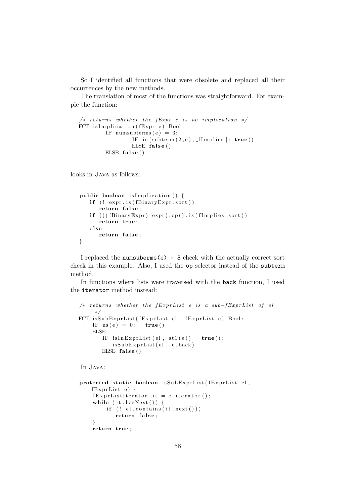So I identified all functions that were obsolete and replaced all their occurrences by the new methods.

The translation of most of the functions was straightforward. For example the function:

```
/* returns whether the fExpr e is an implication */FCT is Implication (fExpr e) Bool:
        IF numsubterms (e) = 3:
                IF is [subterm(2, e), ffimplies]: true()ELSE false()
        ELSE false()
```
looks in Java as follows:

```
public boolean is Implication () {
   if (! expr.is(fBinaryExpert.sort))return false;
   if (((ffBinaryExpr) expr).op().is(fImplies.sort))return true ;
   el se
      return false:
}
```
I replaced the numsuberms $(e) = 3$  check with the actually correct sort check in this example. Also, I used the op selector instead of the subterm method.

In functions where lists were traversed with the back function, I used the iterator method instead:

```
/* returns whether the fExprList e is a sub-fExprList of el
    ∗/
FCT isSubExprList (fExprList el, fExprList e) Bool:
    IF ns(e) = 0: true ()
    ELSE
       IF isInExprList (el, st1(e)) = true():
          isSubExprList( el , e . back )ELSE false()
```
In Java:

```
protected static boolean isSubExprList (fExprList el,
    fExprList e) {
    fExprListIterator it = e.iterator();
    while (i t \cdot \text{hasNext}() ) {
        if (! el. contains (it.next())return false;
    }
    return true ;
```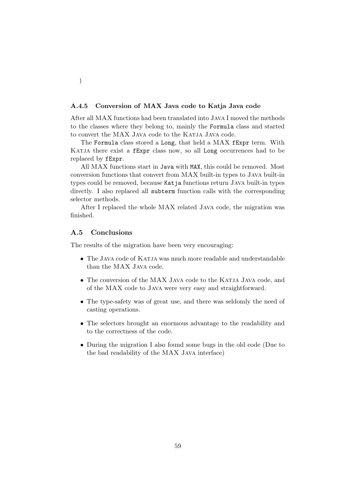### A.4.5 Conversion of MAX Java code to Katja Java code

After all MAX functions had been translated into Java I moved the methods to the classes where they belong to, mainly the Formula class and started to convert the MAX Java code to the KATJA Java code.

The Formula class stored a Long, that held a MAX fExpr term. With KATJA there exist a fExpr class now, so all Long occurrences had to be replaced by fExpr.

All MAX functions start in Java with MAX, this could be removed. Most conversion functions that convert from MAX built-in types to Java built-in types could be removed, because Katja functions return Java built-in types directly. I also replaced all subterm function calls with the corresponding selector methods.

After I replaced the whole MAX related Java code, the migration was finished.

# A.5 Conclusions

The results of the migration have been very encouraging:

- The Java code of Katja was much more readable and understandable than the MAX Java code.
- The conversion of the MAX Java code to the KATJA Java code, and of the MAX code to Java were very easy and straightforward.
- The type-safety was of great use, and there was seldomly the need of casting operations.
- The selectors brought an enormous advantage to the readability and to the correctness of the code.
- During the migration I also found some bugs in the old code (Due to the bad readability of the MAX Java interface)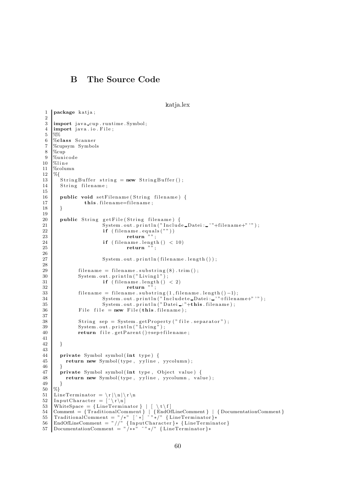# B The Source Code

```
katia.lex
```

```
1 package katja;
 2
 3 import java_cup . runtime . Symbol;
 4 import java. io. File;
 5 \frac{8}{6} %
 \frac{6}{7} %class Scanner<br>\frac{7}{7} %cupsym Symbol
 7 %cupsym Symbols
     8 %cup
 9 %uni code
10 \frac{\text{W}}{\text{line}}\begin{array}{c|c}\n 11 & \text{\%column} \\
 12 & \text{\%} \\
 \end{array}%13 StringBuffer string = new StringBuffer ();<br>14 String filename;
        String filename;
15
16 public void setFilename (String filename) {
17 this filename=filename;
18 }
19
20 public String getFile (String filename) {<br>System.out.println("Includ.
21 System . out . println ("Include Datei: "+filename+" '");<br>
\mathbf{r} if (filename equals (""))
                            if (filename.equals (""))\begin{array}{c|c}\n 23 \\
 24\n \end{array} return \begin{array}{c}\n 3 \\
 24\n \end{array} return \begin{array}{c}\n 7 \\
 24\n \end{array}if ( filename . length ( ) < 10)
25 return "";
rac{26}{27}System.out.println(filename.length());
rac{28}{29}\begin{array}{l} \mbox{filename = filename.substring (8) . trim () ;} \end{array}30 System . out . println ("Living1");
31 if (filename length () < 2)32 return \ldots33 filename = filename . substring (1, \text{filename.length}() - 1);<br>34 System . out . println ("Include\_Datei:..",\text{filename}34 System . out . println ("Includete_Datei : _'"+filename+" '") ;
35 System . out . println ("Datei : "+this . filename);
36 File file = new File (this filename);
37
38 String sep = System.getProperty ("file.separator");
39 System . out . println \binom{v}{k} Living \binom{a}{k} ;<br>and \binom{m}{k} is a set Parent (k) \frac{1}{2} is a set Parent (k) \frac{1}{2} is a set Parent (k) \frac{1}{2} is a set Parent (k) \frac{1}{2} is a set Parent (k)
                return file .getParent ()+sep+filename;
41
42 }
\begin{array}{c} 43 \\ 44 \end{array}private Symbol symbol (int type) {
45 return new Symbol(type, yyline, yycolumn);
46 }
47 private Symbol symbol (int type, Object value) {
48 return new Symbol (type, yyline, yycolumn, value);
\begin{matrix} 49 \\ 50 \end{matrix} %}
     %}
51 LineTerminator = \langle r | \n\rangle \langle r | \n\rangle52 InputCharacter = [\hat{\ } \rangle r \rangle n<br>53 WhiteSpace = {LineTermin
53 | WhiteSpace = {LineTerminator} | [ \setminus t \setminus f]
54 Comment = { TraditionalComment } | { EndOfLineComment } | { DocumentationComment }
55 TraditionalComment = " /∗" [ ˆ ∗ ] ˜ " ∗/" { LineTerminator }∗
56 | EndOfLineComment = "//" {InputCharacter}* {LineTerminator}
57 DocumentationComment = " /∗∗ " ˜ " ∗/ " { LineTerminator }∗
```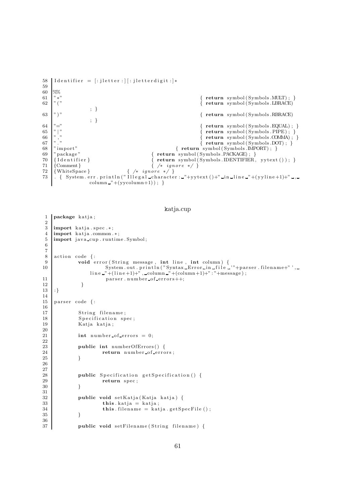```
58 | Identifier = [: jletter : | [: jletterdigit : ]*
\frac{59}{60}%
61 \begin{array}{c} \n\ast \ast \\
\ast \ast \\
\ast \n\end{array} \left\{\n\begin{array}{c}\n\ast \ast \\
\ast \n\end{array}\n\right\} \left\{\n\begin{array}{c}\n\ast \ast \\
\ast \n\end{array}\n\right. \left\{\n\begin{array}{c}\n\ast \ast \\
\ast \n\end{array}\n\right. \left\{\n\begin{array}{c}\n\ast \ast \\
\ast \n\end{array}\n\right. \left\{\n\begin{array}{c}\n\ast \ast \\
\ast \n\end{array}\n\right. \left\{\n\begin{array}{c}\n\ast62 \mid "("; }
63 " )" { return symbol (Symbols .RBRACE)
                              ; }
64 "=" \{ return symbol(Symbols . EQUAL) ; \}65 " | " { return symbol ( Symbols . PIPE) ; }
           \frac{1}{6} \frac{1}{6} \frac{1}{6} \frac{1}{6} \frac{1}{6} \frac{1}{6} \frac{1}{6} \frac{1}{6} \frac{1}{6} \frac{1}{6} \frac{1}{6} \frac{1}{6} \frac{1}{6} \frac{1}{6} \frac{1}{6} \frac{1}{6} \frac{1}{6} \frac{1}{6} \frac{1}{6} \frac{1}{6} \frac{1}{6} \frac{1}{6} 67 \begin{array}{c} \text{57} \\ \text{58} \\ \text{59} \\ \text{68} \end{array} \begin{array}{c} \text{68} \\ \text{7} \\ \text{69} \\ \text{70} \end{array} : \begin{array}{c} \text{69} \\ \text{60} \\ \text{70} \\ \text{70} \end{array} : \begin{array}{c} \text{60} \\ \text{7} \\ \text{70} \\ \text{80} \end{array} : \begin{array}{c} \text{61} \\ \text{7} \\ \text{70} \\ \text{80} \end{array} : \begin68 " import" { return symbol (Symbols .IMPORT) ; }<br>
\begin{array}{l} \{ \begin{array}{l} \text{return } \text{symbol(Symbols}. \text{IMPORT}) \text{ ; } \} \\ \text{if } \text{return } \text{symbol(Symbols}. \text{PACKAGE}) \text{ ; } \end{array} \end{array}" package"           { return symbol(Symbols .PACKAGE); }<br>{Identifier }          { return symbol(Symbols .IDENTIFIER,
70 \{ \text{Identifier } \} \{ \text{return symbol(Symbols. IDENTIFIER, yytext()) \}<br>
71 \{ \text{Comment} \}{Comment } {\n    {\n        {4 \quad i gmore \quad *}} \n    } \72 \mid \{\text{WhiteSpace}\} { \text{/} * \text{ ignore } * \text{/} \}73 | . { System.err.println("Illegal_character:_"+yytext()+"_in_line_"+(yyline+1)+"_,
                              column "+(yycolumn+1)); }
```
katja.cup

 $1$  package katja;

```
\overline{2}3 import katia spec .*;
 \frac{4}{5} import katja .common .*;
     import java cup . runtime . Symbol;
 6
 7
 \begin{array}{c|c} 8 & \text{action code } {\{ : \}} \\ 9 & \text{void } {\{ } \} \end{array}void error (String message, int line, int column) {
10 System . out . println ("Syntax Error in file ""+parser . filename+" ', -
                      line "+(line +1) +", -column "+(column +1) +": "+message);11 parser . number _of_errors++;<br>12 }
12 }
13 | :}14
15 parser code {:
16
17 String filename;
18 Specification spec;<br>19 Katia katia:
                 Katja katja;
\begin{array}{c} 20 \\ 21 \end{array}\text{int number of errors} = 0;2223 public int numberOfErrors () {<br>24 public int number-of-erro
\begin{array}{c|c}\n 24 & \text{return number-of-errors;} \\
 25 & \text{ } \end{array}25 }
26
rac{27}{28}public Specification getSpecification() {
\begin{array}{c|c}\n 29 \\
 \hline\n 30\n \end{array} return spec;
30 }
\frac{31}{32}public void setKatja ( Katja katja ) {
\begin{array}{c|c}\n 33 & \text{this. } \text{katja} = \text{katja}; \\
 34 & \text{this. } \text{filename} = \text{kat} \\
 \end{array}\textbf{this}. filename = katja.getSpecFile ();
35 }
36
37 public void set Filename (String filename) {
```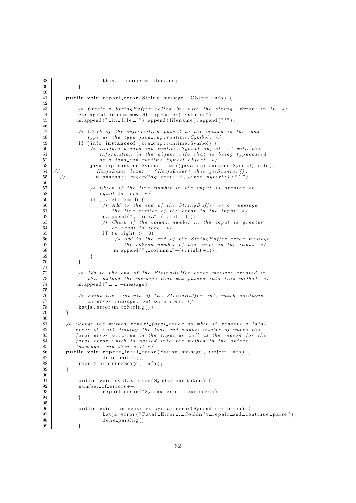```
38 this \text{filename} = \text{filename};
39 }
40
41 public void report error (String message, Object info) {
42
43 /* Create a StringBuffer called 'm' with the string 'Error' in it. */
44 StringBuffer m = new StringBuffer ("\nError");
45 m. append (" _in _file _'"). append (filename). append ("'");
46
47 \vert /* Check if the information passed to the method is the same<br>48 \vert type as the type java_cup.runtime.Symbol. */
48 type as the type java_cup . runtime . Symbol . */49 if (info instanceof java_cup runtime Symbol) {
50 | /* Declare a java_cup.runtime. Symbol object 's ' with the
51 information in the object info that is being typecasted
52 as \ a \ jawa\_cup.\ runtime \ Symbol \ object. */<br>53 is \ a \ jawa\_cup.\ runtime \ Symbol \ s = ((iava \ cup.\ run)\ n)53 java cup . runt ime . Symbol s = ( ( java cup . runt ime . Symbol ) i n f o ) ;
54 // KatjaLexer lexer = (KatjaLexer) this .getScanner();
55 \vert \vert // m. append ("regarding text: "+lexer.yytext()+"'");
56
57 /* Check if the line number in the input is greater or
58 equal to zero . */59 \mathbf{if} (s. \text{ left } > = 0) {
60 /* Add to the end of the StringBuffer error message
61 the line number of the error in the input. */62 m. append (" , . \text{line } " + (s . \text{left} + 1));63 <br>64 /* Check if the column number in the input is greater<br>64
                       or equal to zero. */
65 if (s \text{ right} > = 0)66 /* Add to the end of the StringBuffer error message
67 the column number of the error in the input. */
68 m. append (", column "+(s. right +1));69 }
70 }
\frac{71}{72}72 /* Add to the end of the StringBuffer error message created in<br>
this method the message that was passed into this method. *
               this method the message that was passed into this method. */74 m. append (" ... " + message );75
76 | /* Print the contents of the StringBuffer 'm', which contains
77 an error message, out on a line. */
78 katja. error (m. to String());
79 }
\begin{array}{c} 80 \\ 81 \end{array}/* Change the method report_fatal_error so when it reports a fatal
82 error it will display the line and column number of where the
83 fatal error occurred in the input as well as the reason for the
84 fatal error which is passed into the method in the object
85 'message' and then exit.*/
86 public void report fatal error (String message, Object info) {<br>\frac{87}{100}87 done parsing ();<br>88 report_error (message, i
            report error (message, info);
89 }
9091 public void syntax_error (Symbol cur_token) {
92 number of errors++;
93 \vert report_error ("Syntax_error", cur_token);
94 }
95
96 public void unrecovered_syntax_error (Symbol cur_token) {<br> \begin{bmatrix} 97 \end{bmatrix} katja error ("Fatal_Error_:_Couldn't_repair_and_co
                    katja . error ("Fatal_Error :: Couldn't repair and continue parse");
98 done parsing ();
99 }
```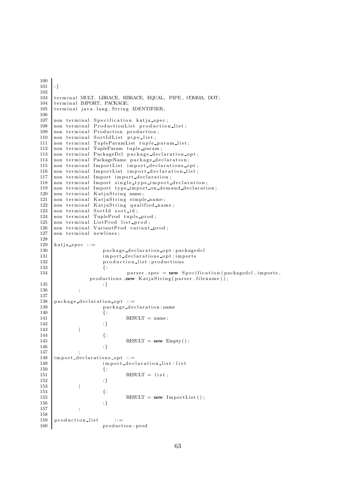```
100
101 : }
\frac{102}{103}terminal MULT, LBRACE, RBRACE, EQUAL, PIPE, COMMA, DOT;
104 terminal IMPORT, PACKAGE;
105 terminal java.lang. String IDENTIFIER;
\frac{106}{107}non terminal Specification katja_spec;
108 non terminal ProductionList production_list;
\begin{bmatrix} 109 \\ \text{non terminal Production production;} \\ \text{non terminal SortIdList pipe-list;} \end{bmatrix}non terminal SortIdList pipe_list;
111 non terminal TupleParamList tuple_param_list;
112 non terminal TupleParam tuple_param;<br>113 non terminal PackageDcl package_decl
     non terminal PackageDcl package_declaration_opt;
114 non terminal PackageName package_declaration;<br>115 non terminal ImportList import declarations of
     non terminal ImportList import_declarations_opt;
116 non terminal ImportList import_declaration_list;
117 non terminal Import import declaration;<br>118 non terminal Import single_type_import_
     non terminal Import single_type_import_declaration;
119 non terminal Import type import on demand declaration;
120 non terminal KatjaString name;<br>121 non terminal KatjaString simple
121 non terminal KatjaString simple-name;<br>122 non terminal KatiaString qualified-nam
     non terminal KatjaString qualified name;
123 non terminal SortId sort id;
124 non terminal TupleProd tuple-prod;<br>125 non terminal ListProd list prod;
125 non terminal ListProd list_prod;<br>126 non terminal VariantProd variant
126 non terminal VariantProd variant_prod;<br>127 non terminal newlines:
     non terminal newlines;
\begin{array}{c} 128 \\ 129 \end{array}katija_spec ::=130 package_declaration_opt:packagedcl
131 import_declarations_opt:imports
132 production_list: productions<br>133 f.
133 \{ :
134 parser spec = new Specification (packagedcl, imports,
                   productions, new KatjaString (parser . filename));
135 : }
136 ;
137
138 package declaration opt  ::=139 package_declaration:name<br>140 {:
140 {:
141 RESULT = name;
142 \hspace{24pt} : \}143 |
144 \{ :
145 RESULT = new Empty ( );<br>
146146 : }
147
\begin{array}{c|c} 148 \overline{) } & \text{import-declarations-opt} :: = \text{import-declarations} \end{array}import_declaration_list:list
\begin{array}{c|c} 150 \\ 151 \end{array} {:
                                 RESULT = list;
152 \t : \t\t 152153 |
154 {:
155 RESULT = new ImportList();<br>156 :}
156 : }
157 ;
158
159 production list ::=160 production : prod
```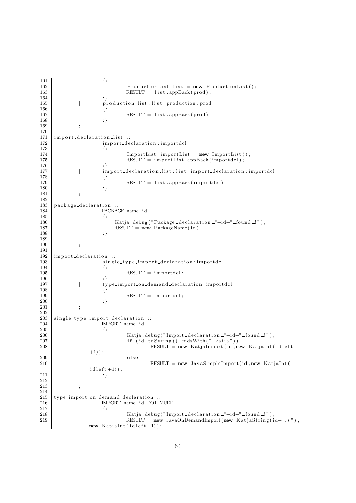$\begin{aligned} 161 \quad \begin{array}{c} \end{array} \end{aligned}$ 162 ProductionList list = new ProductionList();<br>163 RESULT = list.appBack(prod);  $RESULT = list.appendBack(root)$ ;  $164$  : } 165 | production list : list production : prod  $166$  { : 167 RESULT = list.appBack(prod);<br>168 :} 168 169 ;  $\begin{array}{c} 170 \\ 171 \end{array}$  $import\_declaration\_list :: =$ 172 import\_declaration:importdcl  $173$  {: 174 ImportList importList  $= new$  ImportList (); 175 RESULT = importList.appBack(importdcl);<br>176 :} 176 177 | import\_declaration\_list:list import\_declaration:importdcl  $178$  {:  $\text{RESULT} = \text{list} \cdot \text{appBack}(\text{import}d \text{c})$ ;  $180$  : } 181 ; 182  $183$  package\_declaration ::= 184 PACKAGE name : id  $185$  {: 186  $\begin{array}{c} \text{Katja.} \text{debug("Package-declamation \text{---} "+id+" \text{---} found \text{---} \text{---} \text{)}; \\ \text{RESULT = new PackageName(id)}; \end{array}$  $\text{RESULT} = \text{new}$   $\text{PackageName}$  ( id ) ;  $188$  : } 189 190 ; 191  $192$  import declaration  $::=$ 193 single\_type\_import\_declaration:importdcl  $194$  {:  $\text{RESULT} = \text{importdcl};$  $196$  : 197 | type\_import\_on\_demand\_declaration:importdcl 198  $\left\{ \begin{array}{ccc} \end{array} \right.$  $\text{RESULT} = \text{importdcl};$ 200 :  $\}$ 201 ;  $\frac{202}{203}$  $203$  single\_type\_import\_declaration ::=  $\begin{array}{c|c}\n 204 \\
 \hline\n 205\n \end{array}$  IMPORT name: id  $205$  {: 206 | Katja . debug (" Import declaration number of  $\text{Katja}$  . debug (" Import declaration number of  $\text{Hilb}$ "); 207  $\left| \begin{array}{c} \text{if} \left( \text{id} \cdot \text{to} \text{String} \right( \text{)} \text{.endsWith}(\text{''}. \text{katja''}) \right) \end{array} \right|$ 208 RESULT = new KatjaImport (id ,new KatjaInt (idleft)  $+1)$  ) ; 209 else 210 RESULT =  $new$  JavaSimpleImport (id ,  $new$  Kat jaInt (  $i$  d l e f t +1)  $);$ 211  $: \}$ 212 213 ;  $\frac{214}{215}$ 215 type\_import\_on\_demand\_declaration ::=<br>216 DOT MEORT name: id DOT M 216 IMPORT name : id DOT MULT  $\begin{array}{c|c} 217 \\ 218 \end{array}$  {: Katja . debug (" Import declaration "+id+" found  $!!$ "); 219 RESULT = new JavaOnDemandImport (new KatjaString  $(id+".$ \*"), new  $Kationalnt (id left +1));$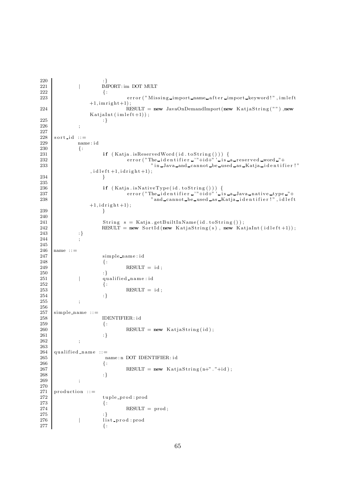$\begin{array}{c} 220 \\ 221 \end{array}$  : }<br> $\begin{array}{c} 1 \\ \text{IN.} \end{array}$  $\begin{array}{c|c}\n 221 \\
 222\n \end{array}$  | IMPORT: im DOT MULT 222  $\{ :$ 223 error ("Missing import name after import keyword!", imleft  $+1$ , imright $+1$ ); 224 RESULT = new JavaOnDemandImport (new KatiaString (""), new  $Kationalnt (im left +1));$ <br>:} 225 :  $\}$ 226 ;  $\begin{array}{c} 227 \\ 228 \end{array}$  $\begin{array}{c|c} 228 \\ 229 \end{array}$  s ort\_id ::= name id  $\begin{array}{c} 230 \\ 231 \end{array} \hspace{3cm} \{:$  $if (Katja.isReservedWord ( id . to String ()))$  { 232 error ("The identifier - "+id+" ' is a reserved word -"+233 " in Java and cannot be used as Katja identifier !"  $, id \, let t +1, id \, right +1);$ 234 }  $\frac{235}{236}$ 236 **if** (Katja.isNativeType(id.toString())) { 237 error ("The identifier '"+id+" ' is a Java native type "+ $\,$ 238 **238 238 238 238 238 239 239 239 239 239 239 239 239 239 239 239 239 239 239 239 239 239 239 239 239 239 239 239 239 239 239 239 239 239 239 239 2**  $+1$ ,  $i$  d r i g h t  $+1$ ); 239 }  $\frac{240}{241}$ 241 String s = Katja .getBuiltInName(id.toString());<br>242 RESULT = new SortId(new KatjaString(s), new Kat RESULT = new SortId (new KatjaString (s), new KatjaInt (idleft +1)); 243  $|$  : }  $244$  ; 245  $246$  name ::= 247 simple\_name:id  $\begin{array}{c|c}\n 248 \\
 249\n \end{array}$  {:  $249 \n250$  RESULT = id;  $250$  : } 251 |  $qualified_name : id$ <br>252 |  $\{$ :  $252$  {:  $\text{RESULT} = \text{id};$  $254$  : } 255 ;  $\frac{256}{257}$  $257 \mid$  simple name ::= IDENTIFIER: id  $\begin{array}{c|c} 259 \\ 260 \end{array}$  {:  $\text{RESULT} = \text{new}$   $\text{KatjaString}(\text{id})$ ;  $261$  : } 262 ;  $\frac{263}{264}$  $264 \over 265 \over 265$  qualified name ::= 265 name : n DOT IDENTIFIER: id  $\begin{aligned} 266 \\ 267 \end{aligned} \qquad \qquad \{ :$  $\text{RESULT} = \text{new}$   $\text{KatjaString}(n+" \cdot "+id)$ ;  $268$  : } 269 ; 270  $271 \nvert$  production ::=  $\begin{array}{c|c}\n 272 & \text{tuple\_prod: prod} \\
 273 & \{ \end{array}$ 273  $\{ :$  $274$  RESULT = prod;  $275$  : 276 | list\_prod:prod  $277$  { :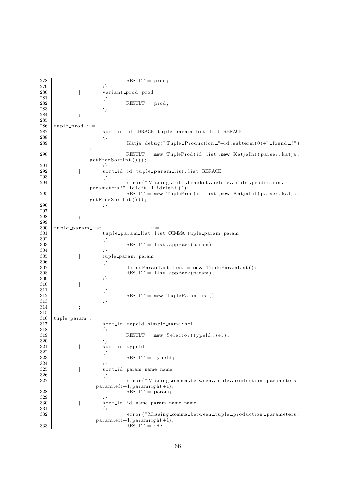```
\text{RESULT} = \text{prod};
\begin{array}{c|c} 279 & & & & \vdots \\ 280 & & & & \text{vz} \end{array}280 | variant_prod : prod 281
281 \{ :282 RESULT = prod;
283 :
284 ;
285
286 tuple prod ::=
287 sort_id:id LBRACE tuple_param_list:list RBRACE 288
288 \{ :289 Katja . debug ("Tuple Production "+id . subterm (0)+" found !")
                ;
290 RESULT = new TupleProd (id, list, new KatjaInt (parser . katja.
                getFreeSortInt\left(\begin{smallmatrix} \\ \end{smallmatrix}\right)) ;<br>:}
291 : \}292 | sort_id:id tuple_param_list:list RBRACE
293 \{ :
294 error ("Missing left bracket before tuple production
                parameters !", id \leq \hat{t} + 1, id \leq \hat{t} + 1);
295 RESULT = new TupleProd (id, list, new KatjaInt (parser . katja.
                getFreeSortInt() ) ;
296 : }
297
298 ;
299
300 tuple_param_list<br>301 tuple_param_list; li
                    t u p l e _p a r a m _list : list COMMA tuple _p a r a m : param
302 {:
303 RESULT = list.appBack(param);
304 : }
305 | tuple param : param
\{ :307 TupleParamList list = new TupleParamList ();<br>308 RESULT = list.appBack(param);
                            \text{RESULT} = \text{list} \cdot \text{appBack} (\text{param});
\begin{array}{c|c} 309 & & & & \vdots \end{array}310 |
311 \{ :
312 RESULT = new TupleParamList();
313 : }
314 ;
\begin{array}{c} 315 \\ 316 \end{array}\begin{array}{c|c}\n316 \\
317\n\end{array} tuple param ::=
                    sort id: typeId simple_name: sel
318 {:
\text{RESULT} = \text{new} \text{Select}(\text{typeId}, \text{sel});320 : }
321 | sort id: typeId
\begin{aligned} 322 \end{aligned} \qquad \qquad \{:\qquad\begin{array}{c|c}\n 323 \\
 324\n \end{array} RESULT = typeId;
\begin{array}{c} 324 \\ 325 \end{array}| sort_id:param name name
326 {:
327 error ("Missing comma between tuple production parameters!
                ", paramleft + 1, paramright + 1);328 RESULT = param;
\begin{array}{ccc} 329 & & & & \vdots \\ 330 & & & & \end{array}| sort_id:id name:param name name {
\begin{array}{c} 331 \\ 332 \end{array}error ("Missing_comma_between_tuple_production_parameters!
                ", paramleft+1, paramright+1);
\text{RESULT} = \text{id};
```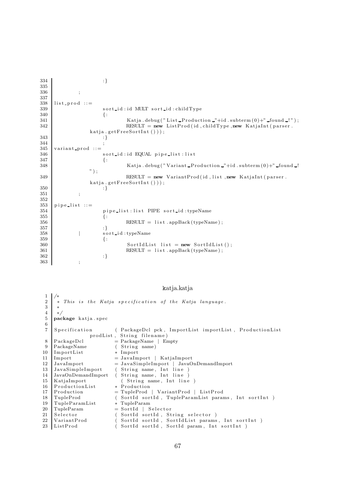```
334 : }
335
336 ;
337
338 list prod ::=
339 sort id: id MULT sort id: childType
340 \{ :
341 | Katja . debug ("List Production "+id . subterm (0)+" found \Box");
342 RESULT = new ListProd (id, childType, new KatjaInt (parser.
               kati a . get FreeSortInt() ) ;
343 : }
344 ;
345 \begin{array}{|l} \mathtt{variant\_prod} :: = \\ \mathtt{346} \end{array}s ort id: id EQUAL pipe list: list
347 \{ :
148 | Katja . debug ("Variant Production "+id . subterm (0)+" found !
               " ) ;
\begin{array}{c|c}\n 349 & \text{RESULT} = \text{new VariantProd} \text{ (id, list, new Katjalnt} \text{ (parse r.)}\n \end{array}kati a . get FreeSortInt() ) ;
350 : }
351 ;
352
353 pipe list ::=
354 pipe list : list PIPE sort id : typeName
\left\{ \begin{array}{ll} 355 \end{array} \right. \hspace{2cm} \left\{ \begin{array}{ll} \end{array} \right.356 RESULT = list.appBack(typeName);<br>357 :}
357 : }
358 | sort id : typeName
359 {:
360 SortIdList list = new SortIdList ();
361 RESULT = list.appBack(typeName);
362 : }
363 ;
```
#### katja.katja

```
1 /∗
 2 \mid * \text{ This is the Katja specification of the Katja language.}3 ∗
 \begin{array}{c|c} 4 & \ast/ \\ 5 & \mathbf{pac} \end{array}package katja.spec
 \frac{6}{7}Specification (PackageDcl pck, ImportList importList, ProductionList
                     prodList, String filename)
 8 PackageDcl = PackageName | Empty
9 PackageName (String name)<br>10 ImportList * Import
     ImportList
11 Import = JavaImport | KatjaImport
12 JavaImport = JavaSimpleImport | JavaOnDemandImport<br>13 JavaSimpleImport (String name, Int line)
13 JavaSimpleImport (String name, Int line)<br>14 JavaOnDemandImport (String name, Int line)
                                 ( String name, Int line )15 KatjaImport (String name, Int line)<br>16 ProductionList * Production
16 ProductionList
17 Production = TupleProd | VariantProd | ListProd<br>18 TupleProd (SortId sortId, TupleParamList para
                                 ( SortId sortId , TupleParamList params , Int sortInt ) * TupleParam
19 TupleParamList<br>20 TupleParam
20 \begin{array}{l} \text{TupleParam} \\ \text{Selection} \end{array} = SortId | Selector<br>21 Selector (SortId sortId, St
21 Selector (SortId sortId, String selector)<br>22 VariantProd (SortId sortId, SortIdList params
22 | VariantProd (SortId sortId, SortIdList params, Int sortInt )
23 | ListProd                   ( SortId sortId , SortId param , Int sortInt )
```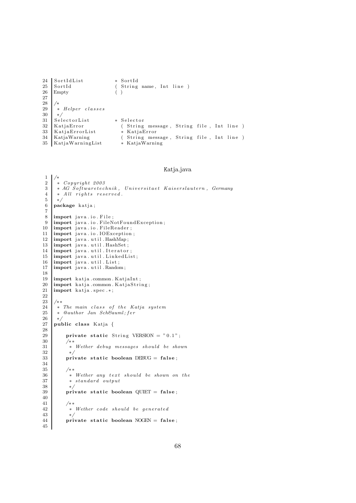```
24 SortIdList * SortId
25 SortId (String name, Int line )<br>26 Empty ()
    Empty ( )
27
\frac{28}{29}\begin{array}{c|c} 29 & * \n\end{array} Helper \; classes\begin{array}{c|c} 30 & * \end{array}<br>31 Sel
     31 SelectorList * Selector<br>31 Selector * KatjaError * * (* String
32 | KatjaError ( String message, String file, Int line )
33 KatjaErrorList * KatjaError<br>34 KatjaWarning (String mes
                                   ( String message, String file, Int line ) * KatjaWarning
35 KatjaWarningList
```
#### Katja.java

```
1 /∗
 \begin{array}{c|c} 2 & * & Copyright & 2003 \\ 3 & * & AG & Softwaretec \end{array}\begin{array}{c|c} 3 & * AG \ \hline \end{array} \begin{array}{c} 8 \ \hline \end{array} \begin{array}{c} 3 \ \hline \end{array} \begin{array}{c} 8 \ \hline \end{array} \begin{array}{c} 2 \ \hline \end{array} \begin{array}{c} 3 \ \hline \end{array} \begin{array}{c} 1 \ \hline \end{array} \begin{array}{c} 2 \ \hline \end{array} \begin{array}{c} 2 \ \hline \end{array} \begin{array}{c} 2 \ \hline \end{array} \begin{array}{c} 2 \ \hline \end{array}\begin{array}{c|cc} 4 & * & All & rights & reserved. \\ 5 & * & & \end{array}\begin{array}{c|c} 5 & * \end{array} + \begin{array}{c} 6 & * \end{array}package katja;
  7
 8 import java. io. File;
 9 | import java.io. FileNotFoundException;
 10 import java.io. FileReader;
 11 | import java.io.IOException;
\frac{12}{13} import java.util.HashMap;<br>\frac{13}{13} import java.util.HashSet;
       import java.util.HashSet;
14 import java.util.Iterator;
15 import java.util.LinkedList;
16 import java.util.List;
17 import java.util.Random;
\frac{18}{19}19 import katja .common . KatjaInt;<br>20 import katja .common . KatjaStri
20 import katja .common . KatjaString;<br>
21 import katja . spec. *;
       import katja.spec.*;
22\begin{array}{c|c}\n 23 & \rightarrow & * \\
 24 & \rightarrow & \n\end{array}24 * The main class of the Katja system<br>25 * @author Jan Sch&auml: fer
25 * @author Jan Schä fer<br>26 *\begin{array}{c|c} 26 & * \end{array}<br>27 | pul
       public class Katja {
\frac{28}{29}private static String VERSION = "0.1";
30^{\circ}31 * Wether debug messages should be shown<br>32 *32 ∗/
33 | private static boolean DEBUG = false;
\frac{34}{35}\begin{array}{ccc} 35 & & \not & \ast \ast \\ 36 & & \ast \end{array}* Wether any text should be shown on the
37 ∗ standard output
38 ∗/
39 private static boolean QUIET = false;
40
\frac{41}{42}42 * Wether code should be generated *43 */<br>44 pri
               private static boolean NOGEN = false;
45
```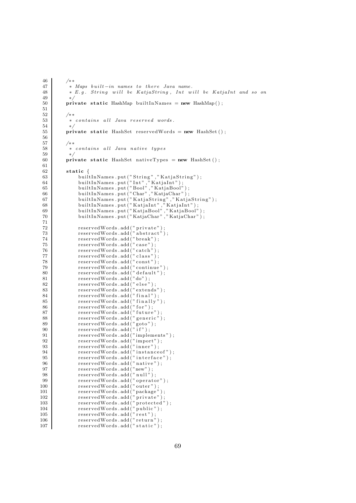```
46 /∗ ∗
47 * Maps built-in names to there Java name.<br>48 * E.g. String will be KatjaString, Int w
          * E.g. String will be KatjaString, Int will be KatjaInt and so on
49 ∗/
50 private static HashMap builtInNames = new HashMap();
51
 52 /∗ ∗
 53 ∗ contains all Java reserved words.
54 ∗/
55 private static HashSet reservedWords = new HashSet();
56
 57 /∗ ∗
 58 | ∗ contains all Java native types
59 ∗/
60 private static HashSet nativeTypes = new HashSet ();
61
62 static {
63 built In Names . put ("String", "KatjaString");<br>64 built In Names . put ("Int", "KatiaInt");
 64 built In Names . put ("Int", "KatjaInt");
 65 built In Names . put ("Bool"," KatjaBool");
 66 built In Names . put ("Char", "KatjaChar");
67 built InNames . put ("KatjaString","KatjaString");
 68 built In Names . put ("KatjaInt","KatjaInt");
 69 built In Names . put ("KatjaBool" ,"KatjaBool" ) ;
 70 built In Names . put ("KatjaChar", "KatjaChar");
\frac{71}{72}72 reservedWords.add ("private");
 73 \qquad reservedWords.add ("abstract");
74 reservedWords . add ("break") ;<br>75 reservedWords . add ("case") ;
             reservedWords . add \ddot{('} case" );
76 reservedWords.add("catch");77 reservedWords. add ("class");
 78 \vert reservedWords.add ("const");
 79 \vert reservedWords.add ("continue");
80 reservedWords . add \ddot{)} default " );<br>81 reservedWords . add ("do");
 81 reservedWords.add ("do");
 82 reservedWords.add ("else");
83 reservedWords.add("extends");
 84 reservedWords.add ("final");
 85 reservedWords.add ("finally");
86 reservedWords. add \hat{r} for \hat{r});
87 reservedWords . add ("future");<br>88 reservedWords . add ("generic")
 88 reservedWords.add ("generic");
 89 reservedWords.add ("goto");
90 reservedWords . add (" if");
91 reservedWords.add ("implements");
92 reservedWords . add ("import");
93 reservedWords.add ("inner");
 94 reservedWords.add ("instance of");
 95 reservedWords.add ("interface");
96 reservedWords.add ("native");<br>97 reservedWords.add ("new");
 97 | reservedWords.add ("new");
 98 reservedWords.add ("null");
99 \vert reservedWords . add (" operator");
100 reservedWords.add ("outer");
101 reservedWords.add ("package");
102 reservedWords . add (" private") ;<br>
103 reservedWords . add (" protected"
103 reservedWords.add ("protected");
104 reservedWords.add ("public");
105 reservedWords.add ("rest");
106 reservedWords.add ("return");
107 reservedWords.add ("static");
```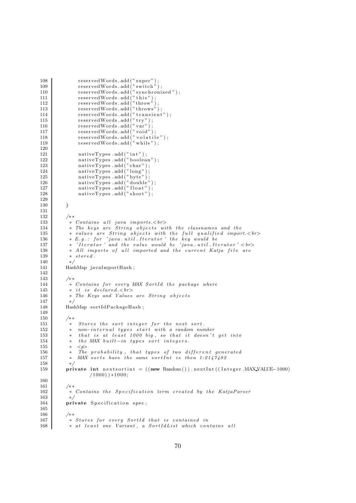```
108 reservedWords.add ("super");
109 reservedWords.add ("switch");
110 reservedWords.add ("synchronized");
111 reservedWords.add ("this");
112 reservedWords.add ("throw");
113 reservedWords.add ("throws");
114 reservedWords.add ("transient");
115 reservedWords.add ("try");
116 reserved Words . add ("\text{var" });<br>116117 \qquad reservedWords.add ("void");
118 reservedWords.add ("volatile");
119 reservedWords.add("while");
\begin{array}{c} 120 \\ 121 \end{array}121 nativeTypes . add ("int");
122 nativeTypes . add ("boolean");
123 nativeTypes . add ("char");
124 hat{TypeTypes}.add("long");125 nativeTypes .add ("byte");
126 nativeTypes . add ("double");<br>127 nativeTypes . add ("float");
127 \vert nativeTypes . add ("float");
128 nativeTypes . add ("short");
129
\begin{tabular}{c} 130 \\ \hline \end{tabular} \qquad \qquad \}131
132 /**
133 <sup>*</sup> Contains all java imports.<br>
<sup>134</sup> * The keus are String objects wi
           * The keys are String objects with the classnames and the
135 ∗ v a lue s are St r ing o b j e c t s with t h e f u l l q u a l i f i e d import.<br>
136 \bullet \bullet E.g.: for~~'java.util.lterator~~'the~key~would~be137 * 'Iterator' and the value would be 'java.util.Iterator' <br/>< br>
138 | * All imports of all imported and the current Katja file are
139 * stored.
140
141 HashMap javaImportHash ;
\begin{array}{c} 142 \\ 143 \end{array}/∗∗
144 \begin{array}{c|c} \n\end{array} \begin{array}{c} \n\ast \quad Contains \quad for \quad every \quad MAX \quad SoftId \quad the \quad package \quad where \n\end{array}<br>
\begin{array}{c} \n\ast \quad it \quad is \quad declared < b \quad for \quad \end{array}* it is declared. 
146 ∗ The Keys and Values are St r ing o b j e c t s
147 ∗/
148 HashMap sortIdPackageHash;
149
150 /∗ ∗
151 ∗ St o r e s t h e s o r t i n t e g e r f o r t h e next s o r t .
152 ∗ non-internal types start with a random number
153 ∗ t h a t i s at l e a s t 1000 big , so t h a t i t doesn ' t g e t int o
154 * the MAX built-in types sort integers.
155 * \langle p \rangle156 | * The probability, that types of two different generated
157 \bullet \text{MAX} sorts have the same sortInt is then 1:2147482\begin{array}{c|c} 158 & * \end{array}<br>159 pri
          private int nexts or tint = ((new Random()). next Int ((Integer MAXVALUE-1000)/1000) ) ∗1000;
160
161 /∗ ∗
162 | ∗ Contains the Specification term created by the KatjaParser
\frac{163}{164}\overrightarrow{\text{private}} S p e c i fication spec :
165\atop166/∗∗
167 ∗ St o r e s f o r every So r t I d t h a t i s contained in
168 				* at least one Variant, a SortIdList which contains all
```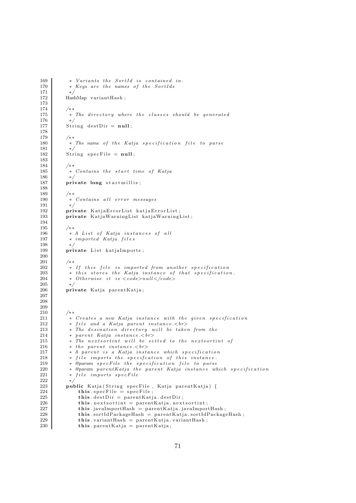```
169 * Variants the SortId is contained in.
170 * Keys are the names of the SortIds
171 ∗/
172 HashMap variantHash;
173
174 /∗ ∗
175 * * The directory where the classes should be generated
176 ∗/
177 String destDir = null;
\begin{array}{c} 178 \\ 179 \end{array}/∗ ∗
180 ∗ The name o f t h e Katja s p e c i f i c a ti o n f i l e to par se
\begin{array}{c} 181 \\ 182 \end{array}String\;specFile = null;183
               /∗ ∗
185 				* Contains the start time of Katja
\begin{array}{c|c} 186 & * \end{array}<br>187 pri
               private long start millis;
188
\begin{array}{c|c}\n 189 \\
 190\n \end{array} /**
190 ∗ Contains a l l e r r o r messages
               191 ∗/
192 private KatjaErrorList katjaErrorList;
193 private KatjaWarningList katjaWarningList;
194
\begin{array}{c|c}\n 195 & \rightarrow \ast \\
 196 & \ast\n \end{array}\begin{array}{c|c|c|c|c|c|c|c} \hline & & \ast & A & List & of & Katja & instances & of & all \\ & & \ast & imported & Katja & files & & \end{array}197 ∗ imported Katja f i l e s
198 ∗/
199 private List katjaImports;
200
\frac{201}{202}202 <sup>*</sup> * If this file is imported from another specification<br>203 * this stores the Katja instance of that specification
203 <sup>*</sup> this stores the Katja instance of that specification.<br>204 * Otherwise it is <code>null</code>
204 ∗ Otherwise i t i s <code>nul l </code>
\begin{array}{c|c} 205 & * \end{array}private Katja parentKatja;
207
208
\frac{209}{210}\begin{array}{c|c} 210 & \rightarrow & \ast \ast \\ 211 & & \ast \end{array}211 \begin{array}{c|c} \n\text{212} & \rightarrow & \text{Create } s \text{ a new } \text{Katja } \text{instance with the given specification} \\
\text{212} & \rightarrow & \text{file } \text{and } \text{a } \text{Katja } \text{parent } \text{instance}.\n\end{array}212 * file and a Katja parent instance.\langle b \rangle<br>213 * The desination directory will be take
                * The desination directory will be taken from the
214 * parent Katja instance.<br>
215 \bullet The nexts ortint will be setted to the nexts ortint of
216 <sup>*</sup> the parent instance.<br>>\langle b \rangle<br>217 * A parent is a Katja inste
217 * A parent is a Katja instance which specification<br>218 * file imports the specification of this instance
218 * file imports the specification of this instance.<br>219 * @param specFile the specification file to parse
219 • @param specFile the specification file to parse<br>220 • ©param parentKatja the parent Katja instance wh
220 * @param parentKatja the parent Katja instance which specification<br>221 * file imports specFile
                * file imports specFile
222 ∗/
223 public Katja ( String specFile, Katja parent Katja) {
224 this specFile = specFile :<br>225 this destDir = parentKat
225 this . dest Dir = parent Katja . dest Dir;<br>
226 this . next sortint = parent Katja . next
\begin{array}{c|c} \textbf{226} & \textbf{this. next sort} \textbf{in} = \texttt{parentKatja. next sort} \textbf{in} ; \\ \textbf{227} & \textbf{this. javaImportHash} = \texttt{parentKatja.java} \textbf{Import} \end{array}227 this .javaImportHash = parentKatja .javaImportHash;<br>228 this .sortIdPackageHash = parentKatja .sortIdPackage
228 this sort IdPackage Hash = parent Katja sort IdPackage Hash;<br>229 this variant Hash = parent Katja variant Hash
                     this. variantHash = parentKatja. variantHash;
230 \text{this parentKatja} = \text{parentKatja};
```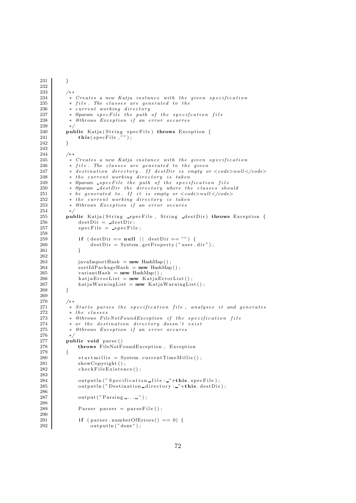```
231 }
\begin{array}{c} 232 \\ 233 \end{array}233 /**
            * Creates a new Katja instance with the given specification
235 * file. The classes are generated to the 236 * current working directory
            * current working directory
237 ∗ @param s p e cFil e t h e path o f t h e s p e c i f c a ti o n f i l e
238 | ∗ @throws Exception if an error occurres
239 ∗/
240 public Katja (String specFile) throws Exception {
241 \mathbf{this}(\text{specFile }, \text{""});242 }
\frac{243}{244}/∗ ∗
245 ∗ Creates a new Katja ins t anc e with t h e g i v en s p e c i f i c a ti o n
            * file. The classes are generated to the given
247 \vert * destination directory. If destDir is empty or \langle code \rangle null \langle code \rangle248 * the current working directory is taken<br>249 * @param _specFile the path of the speci
249 ∗ @param s p e cFil e t h e path o f t h e s p e c i f i c a t i o n f i l e
250 \quad * @param destDir the directory where the classes should
251 \vert * be generated to. If it is empty or \lt{code} > null \lt{code}252 * the current working directory is taken
253 ∗ @throws Exception i f an e r r o r occures
254 ∗/
255 public Katja (String specFile, String destDir) throws Exception {<br>256 destDir = destDir:
\begin{array}{c|c} 256 & \text{destDir} = \text{destDir}; \\ 257 & \text{specFile} = \text{specFil} \end{array}specFile = _specFile;258
259 \left\{\n \begin{array}{c}\n 1 \text{ if } (\text{destDir} == \text{null} \mid \mid \text{ destDir} == \text{""}) \\
 260 \end{array}\n \right\}destDir = System.getProperty("user.dir");261 }
262
263 javaImportHash = new HashMap();<br>264 sortIdPackageHash = new HashMap
264 \begin{bmatrix} 264 \\ 265 \end{bmatrix} sort IdPackageHash = new HashMap();<br>
variant Hash = new HashMap();
265 variantHash = new HashMap();<br>
266 katjaErrorList = new KatjaE:
                kati a ErrorList = new KatjaErrorList ;
267 katiawarningList = new KatjaWarningList();
268 }
269
270 /**
271 * Starts parses the specification file, analyses it and generates 272\begin{array}{c|c}\n 272 & * \text{ the classes } \\
 273 & * \text{ \& } \text{throws} \quad \text{File} \n\end{array}273 ∗ @throws FileNotFoundException i f t h e s p e c i f i c a ti o n f i l e
            * or the destination directory doesn't exist
275 ∗ @throws Exception i f an e r r o r occures
276 ∗/
277 public void parse ()
278 throws FileNotFoundException, Exception
\begin{array}{c|c} 279 & \{280 \end{array}280 start millis = System. current TimeMillis ();<br>
281 show Convright ():
281 showCopyright ();<br>
282 checkFileExisten
                checkFile Existence();
283
284 output ln ("Specification file : "+this specFile);
285 output ln ("Destination directory : "+this . dest Dir);
286
287 output ("\text{Parsing} \dots");
288
                Parser parser = parseFile();
290
291 if ( parser . numberOfErrors ( ) == 0) {
292 output ln ("done");
```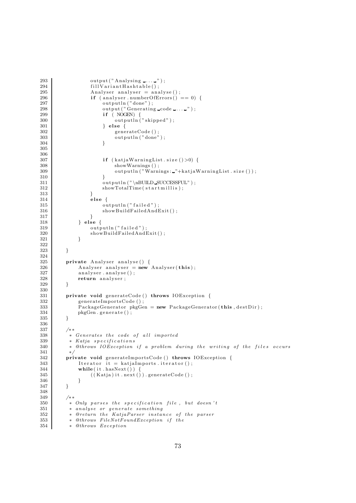```
293 output ("Analysing ......");
294 fillVariantHashtable();<br>295 Analyser analyser = ana
295 \begin{cases}\n\text{Analyser}\ \text{anal}\ \text{ser}\ =\ \text{anal}\ \text{vec}\ (\text{)}\ ;\n\text{if}\ (\text{anal}\ \text{user}\ \text{.}\ \text{numberOfErrors}()\ \text{.}\n\end{cases}296 if (analyser . numberOfErrors() == 0)297 output ln ("done");
298 output ("  Generaling code ... " ) ;
299 if ( NOGEN) {
300 output ln ("skipped");
301 } el se {
302 generateCode ();<br>303 outputln ("done"
                               outputln ("done");
304 }
305
306
\begin{array}{c|c}\n 307 \\
 308\n \end{array} if (kat ja Warning List. size () >0) {<br>
show Warnings ():
                               showWarnings ();
309 output ln ("Warnings: "+kat ja Warning List . size () ) ;
310 }
311 output ln ("\nBUILD_SUCCESSFUL");<br>312 showTotalTime(startmillis);
                     showTotalTime(startmillis);
313 }
314 else {
315 output ln ("failed");
316 showBuildFailedAndExit();
317 }
\begin{array}{c|c}\n 318 \\
 319\n \end{array} } else {
                     outputIn(" failed");\begin{array}{c|c}\n 320 & \text{showBuildFailedAndExit();}\n 321 & \text{} \end{array}321
322
323 }
\frac{324}{325}private Analyser analyse () {
\begin{array}{c|c} 326 & \text{Analyser\_analyser} = \mathbf{new} \text{Analyser}(\mathbf{this}); \\ 327 & \text{analyser. analvse}(); \end{array}327 analyser.analyse();<br>328 return analyser;
          return analyser;
329
330
331 private void generateCode () throws IOException {
332 generateImportsCode ();
333 PackageGenerator pkgGen = new PackageGenerator (this, destDir);<br>334pkgGen.generate();
335 }
336
337 /∗ ∗
338 ∗ Generates t h e code o f a l l imported
339 \vert * Katja specifications
340 | * @throws IOException if a problem during the writing of the files occurs
\begin{array}{c|c}\n 341 & \rightarrow \\
 342 & \text{pri}\n \end{array}342 private void generateImportsCode () throws IOException {<br>343 leterator it = katiaImports.iterator ():
343 Iterator it = katjaImports . iterator ();<br>344 while (it . has Next () ) {
                while ( it . hasNext() )345 ((Katja) it . next ()) . generateCode ();
346 }
347 }
348
349 /**
\begin{array}{c|c} 350 & \ast \quad Only \textit{ parses the specification file, but doesn't} \\ * & \mathit{analyze} \textit{ or generate something} \end{array}351 • analyse or generate something<br>352 • @return the KatjaParser insta
            * @return the KatjaParser instance of the parser
353 * @throws FileNotFoundException if the
354 ∗ @throws Exception
```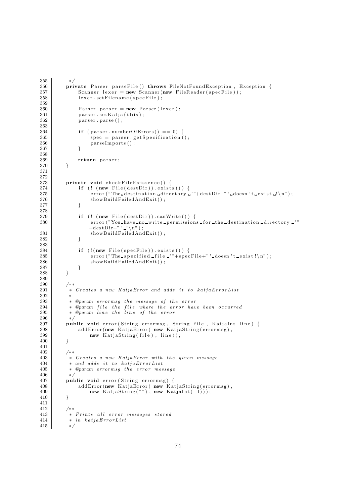```
355 ∗/
356 private Parser parseFile () throws FileNotFoundException, Exception {<br>357 Scanner lexer = new Scanner (new FileReader (specFile));
                Scanner \text{ lever} = new \text{Scanner} (new \text{FileReader} (specFile) );358 lexer . setFilename (specFile);
359
360 Parser parser = new Parser (lexer);
\begin{array}{c|c} 361 & \text{parse r. setKatja} \textbf{(this)}; \\ 362 & \text{parse . parse ()}; \end{array}parser . parse ( ) ;
363
364 if ( parser . numberOfErrors ( ) == 0) {<br>365 spec = parser . getSpecification
                     spec = parser.getSpecification();
\begin{array}{c} 366 \\ 367 \end{array} par se Imports ();
367 }
368
\begin{array}{c|c} 369 & \text{return parser} \\ 370 & \end{array}370 }
371
\frac{372}{373}private void checkFileExistence() {
374 if (! ( new File ( dest Dir ) ) . exists ( ) ) {
375 error ("The destination directory - '"+destDir+" ' doesn 't exist -!\n");
376 showBuildFailedAndExit();
377 }
378
379 if (! (new File (destDir)).canWrite ()) {
380 error ("You have no write permissions for the destination directory "
                    +\text{destDir}"' ! \n\langle n" \rangle;
381 showBuildFailedAndExit();<br>382 }
382
383
384 if (!(new File(specFile)). exists ()) {
385 \vert error ("The specified file '"+specFile+" 'doesn 't exist!\n");
386 showBuildFailedAndExit();<br>387 }
\begin{array}{c|c}\n 387 \\
 388\n \end{array} }
388 }
389
390 /**<br>391 *
            * Creates a new KatjaError and adds it to katjaErrorList
392 ∗
393 | * @param errormsg the message of the error
394 | * @param file the file where the error have been occurred
395 | ∗ @param line the line of the error
\begin{array}{c|c} 396 & * \\ 397 & \mathbf{pu} \end{array}public void error (String errormsg, String file, KatjaInt line) {
398 addError (new KatjaError (new KatjaString (errormsg),
399 new KatjaString (file), line);
400 }
401
402 /∗ ∗
403 <sup>403</sup> ∗ Creates a new KatjaError with the given message<br>404 <sup>∗</sup> and adds it to katjaErrorList
404 ∗ and adds it to katjaErrorList<br>405 → @param errormsq the error mes
            * @param errormsg the error message
406 ∗/
407 public void error (String errormsg) {
408 | addError (new KatjaError (new KatjaString (errormsg),
409 new KatjaString (""), new KatjaInt (-1));
410 }
\begin{array}{c} 411 \\ 412 \end{array}\begin{array}{ccc} 412 & & \rightarrow & \ast \ast \\ 413 & & \ast \end{array}* Prints all error messages stored
414 * in katjaErrorList
415 ∗/
```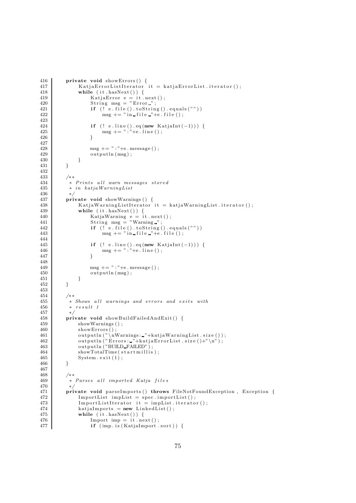```
416 | private void showErrors() {
417 | KatjaErrorListIterator it = katjaErrorList.iterator();<br>418 | while (it.hasNext()) {
              while (it . hasNext() ) {
419 | KatjaError e = it .next();
420 String msg = "Error";
421 if (\check{e} \cdot \check{file}() \cdot toString() \cdot equals(\check{r}))422 msg += " in file "+e. file ();
423
424 if (! e.line (). eq (new KatjaInt (−1))) {
425 msg += ": "+e . line ();<br>426 }
426 }
427
428 \begin{array}{c} \n \text{msg } += " : "+e \text{. message } () ; \\
 \n \text{output}( \text{msg }); \n \end{array}output ln (msg);<br>}
\begin{array}{c} 430 \\ 431 \end{array}431 }
432
433 /**<br>434 *
434 * Prints all warn messages stored<br>
\begin{array}{r} * \text{ } Prints all warning List
           \quadin katjaWarningList
436 */<br>437 pri
         private void showWarnings () {
438 | KatjaWarningListIterator it = katjaWarningList.iterator();
439 while (it . hasNext ()) {
440 | KatjaWarning e = it .next();
441 String msg = "Warning ";
442 if (! e . file () . to String () . equals ("")443 msg += " in file "+e file ();
444<br>445if (! e. line () . eq(new Katjalnt(-1)))446 \text{msg } += " : "+e \text{ line } () ;447 }
448
449 \begin{array}{c} \text{msg }+= " : "+e \text{. message } () ; \\ \text{outputIn (msg)}: \end{array}output ln (msg);<br>}
\begin{array}{c|c} 451 & \\ 452 & \end{array}452
453
454 /∗ ∗
455 ∗ Shows a l l warnings and e r ro r s and e x i t s with
456 * result 1458 */<br>458 pri
         private void showBuildFailedAndExit() {
459 showWarnings ();
460 showErrors ();
461 output ln ("\nWarnings: "+kat ja Warning List . size ());
462 | output ln (" Errors : _"+katjaErrorList .size ()+"\n");
463 output ln ("BUILD_FAILED");
464 showTotalTime (startmillis);
\begin{array}{c|c} 465 & \text{System. exit (1)}; \\ 466 & \text{ } \end{array}466 }
467
468 /∗ ∗
469 			* Parses all imported Katja files
470 ∗/
471 private void parseImports () throws FileNotFoundException, Exception {
472 ImportList impList = spec. importList();
473 ImportListIterator it = impList.iterator();<br>474 katjaImports = new LinkedList();
474 kat jaImports = new LinkedList();<br>475 while (it.hasNext()) {
              while (it \cdot hasNext() ) {
476 Import imp = it . next();
477 if (imp. is (KatjaImport . sort)) {
```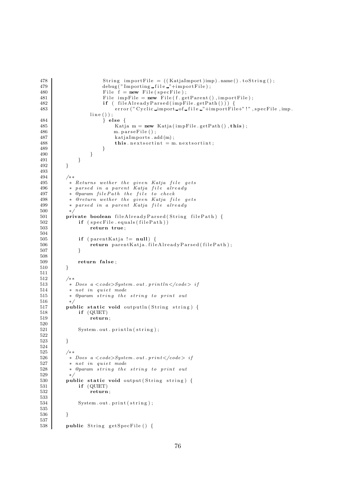```
478 | String importFile = ((KatjaImport)imp).name().toString();
479 debug ("Importing file "+importFile);<br>480 File f = new File (specFile);
                            File \overrightarrow{f} = new File (specFile);
481 \left\{\n \begin{array}{c}\n \text{File } \text{impFile} = \text{new } \text{File}(\text{f.getParent}() \text{, importFile});\n \end{array}\n\right.482 if ( fileAlreadyParsed (impFile.getPath ()) }
483 error (" Cyclic import of file i" + import File +"!" , specFile , imp.
                      \,\,\mathrm{line}\, ( ) ) ;
484 } else {
485 Katja m = new Katja (impFile.getPath (), this );
486 m. parseFile();<br>487 katjaImports.a
                                 kational mports . add (m);
488 \qquad \qquad \textbf{this. next sort} = \text{m. next sort};489 }
\begin{array}{c} 490 \\ 491 \end{array} } }
\begin{array}{c} 491 \\ 492 \end{array}492 }
493
494 /**<br>495 *
\begin{array}{c|c} 495 \end{array} \begin{array}{c} * \quad Returns \quad wether \quad the \quad given \quad Katja \quad file \quad gets \ 496 \end{array}* parsed in a parent Katja file already
497 ∗ @param filePath the file to check<br>498 * @return wether the given Katja fi
             * @return wether the given Katja file gets
499 | ∗ parsed in a parent Katja file already
500 ∗/
501 private boolean fileAlreadyParsed(String filePath) {<br>502 if (specEile equals(filePath))
\begin{array}{c|c} 502 & \text{if (specFile equals (filePath))} \\ 503 & \text{return true:} \end{array}return true;
504
505 if (parentKatja != null) {<br>506 return parentKatja.file
                      return parentKatja.fileAlreadyParsed(filePath);
507 }
508
\begin{array}{c|c} 509 & \text{return false} ; \\ 510 & \end{array}510 }
\begin{array}{c} 511 \\ 512 \end{array}/∗ ∗
513 <sup>*</sup> boes a <code>System.out.println</code> if 514 * not in quiet mode
             * not in quiet mode
515 ∗ @param s t r i n g t h e s t r i n g to p r i n t out
516 ∗/
517 public static void output ln (String string) {
518 if (QUIET)<br>519 if teturn
                      return;
520
521 System.out.println(string);
522
523 }
524
\begin{array}{c|c}\n525 & \rightarrow \ast \\
526 & \ast\n\end{array}526 * Does a \lt{code} \leq System.out.print \lt{code} > if<br>527 * not in quiet mode
\begin{array}{c|cc} 527 & * & not & in & quite & mode \\ 528 & * & @param & string & the \end{array}* @param string the string to print out
529 ∗/
530 public static void output (String string) {
531 if (QUIET)
532 return ;
533
                 System.out . print ( string):
535
536 }
537
538 public String getSpecFile () {
```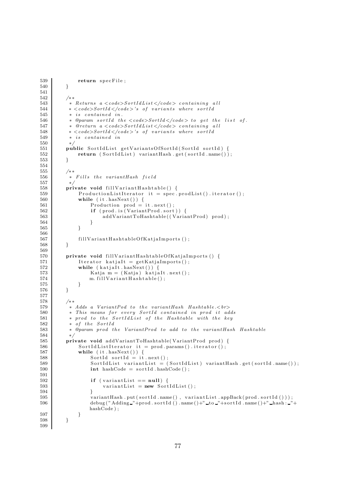```
539 return specFile;
540 }
541
542 /**
543 * Returns a <code>SortIdList\lt/code> containing all
544 * <\ncode&gt;SortId</math> <math><\ncode&gt;3</math> of variants where sortId545 * is contained in.<br>546 * @param sortId th
           * @param sortId the \langle code \rangle SortId \langle /code \rangle to get the list of.
547 * @return a <code>SortIdList </code> containing all
548 * <code>SortId </code>'s of variants where sortId \ast is contained in
           * is contained in
550 ∗/
551 public SortIdList getVariantsOfSortId(SortId sortId) {<br>552 return (SortIdList) variantHash.get(sortId.name())
              \textbf{return} \; \left( \; \text{SortIdList} \; \right) \; \; \text{variantHash.get} \left( \; \text{sortId} \; . \; \text{name} \left( \; \right) \; \right);553 }
554
555 /∗ ∗
556 * Fills the variantHash field
557 ∗/
558 private void fill Variant Hashtable () {
559 ProductionListIterator it = spec. prodList(). iterator();
560 while (it hasNext()) {<br>561 Production prod =
                   Production prod = it.next();562 if ( prod. is ( Variant Prod. sort ) ) {
563 addVariantToHashtable((VariantProd) prod);
564 }
565 }
566
567 fillVariantHashtableOfKatjaImports();
568 }
569
570 private void fillVariantHashtableOfKatjaImports () {
571 Iterator katiaIt = getKatiaImports();
\begin{array}{c|c}\n572 & \text{while (kational. hasNext()) }\{573 & \text{Katja m = (Katja) katja }\n\end{array}573 Katja m = (Katja) katjaIt . next ();<br>574 m. fillVariantHashtable();
              m. fill V ariant H as h t a b l e ( ) ;<br>}
575
576 }
577
578 /∗ ∗
579 ∗ Adds a VariantPod to t h e variantHash Hashtable .<br>
580 <sup>*</sup> This means for every SortId contained in prod it adds<br>581 * prod to the SortIdList of the Hashtable with the key
581 * prod to the SortIdList of the Hashtable with the key<br>582 * of the SortId
           * of the SortId
583 | * @param prod the VariantProd to add to the variantHash Hashtable
584 ∗/
585 private void addVariantToHashtable (VariantProd prod) {
586 SortIdListIterator it = prod.params().iterator();
587 while (it \cdot hasNext() ) {
588 SortId sortId = it.next();
589 SortIdList variantList = (SortIdList) variantHash.get (sortId.name());<br>590 int hashCode = sortId.hashCode();
                   \text{int } hashCode = s o rtId . hashCode ();
591
592 if (variantList == null) {
593 variantList = new SortIdList ();
594 }
595 variantHash .put (sortId .name (), variantList .appBack (prod .sortId ()));
596 debug ( "Adding "+prod . s o r t I d ( ) . name ( )+" to "+s o r t I d . name ( )+" hash : "+
                  hashCode ) ;
597 }
598 }
599
```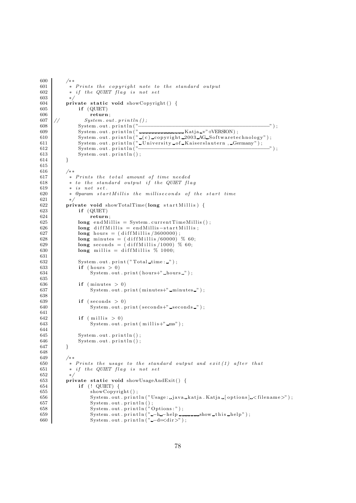```
600 /∗ ∗
601 \begin{array}{c|c} \ast \text{ } Prints \text{ } the \text{ } copyright \text{ } note \text{ } to \text{ } the \text{ } standard \text{ } output \text{ } 602 \end{array}* if the QUIET flag is not set
603 ∗/
604 private static void showCopyright () {
605 if (QUIET)
\begin{array}{c|c} 606 & \textbf{return;} \\ 607 & // & System. \ \hline \end{array}System.out.println();608 System . out . p r i n t l n ( "−−−−−−−−−−−−−−−−−−−−−−−−−−−−−−−−−−−−−−−−−−−" ) ;
609 | System.out.println("<del>--------------------K</del>atja_v"+VERSION);
610 System.out.println("(c)_copyright_2003_AG_Softwaretechnology");
611 System . out . println (" University of Kaiserslautern , Germany");
612 System . out . p r i n t l n ( "−−−−−−−−−−−−−−−−−−−−−−−−−−−−−−−−−−−−−−−−−−−" ) ;
613 System . out . println ();
614 }
615
616 /**617 * Prints the total amount of time needed<br>618 * to the standard output if the QUIET fle
            * to the standard output if the QUIET flag
619 \qquad \ast \text{ is not set.}620 			* @param startMillis the milliseconds of the start time
621 ∗/
622 private void showTotalTime (long startMillis) {
623 if (QUIET)
624 return
625 \begin{cases}\n\text{long endMills} = \text{System currentTimeMills}();\n\end{cases}long diff Millis = endMillis -start Millis;
627 \vert long hours = (diffMillis/3600000);
628 \begin{array}{|l|l|} \hline \text{608} & \text{long minutes} = (\text{diffMillis}/60000)^{6}\% \text{ 60}; \\ \hline \text{629} & \text{long seconds} = (\text{diffMillis}/1000)^{6}\% \text{ 60}; \end{array}\log seconds = (diffMillis/1000) % 60;
630 \vert long millis = diffMillis \% 1000;
631
632 System.out.print ("Total_time:..");
\begin{array}{c|c}\n 633 & \text{if} & \text{(hours } > 0) \\
 634 & \text{System.out}\n \end{array}System.out.print(hours+"_hours " );635
\begin{array}{c|c}\n 636 & \text{if } (\text{minutes} > 0) \\
 637 & \text{System.out.} \n\end{array}System.out . print(minutes+" - minutes -");
638
639 if (\text{seconds} > 0)640 System.out.print (seconds+"_seconds_");
641
642 if (millis > 0)<br>643 System.out.
                     \begin{array}{l} \text { System.out . print (millis+'' _ mss' ) ;} \end{array}644
645 System.out.println();
646 System.out.println();
647 }
648
649 /**<br>650 *
650 \ast Prints the usage to the standard output and exit (1) after that 651 \ast if the QUIET flaq is not set
            * if the QUIET flag is not set
652 ∗/
653 private static void showUsageAndExit() {
654 if (! QUIET) {
655 showCopyright ();
656 System . out . println ("Usage: _java _katja . Katja _[ options ] _< filename >" );<br>657 System . out . println () :
657 System . out . println ();<br>658 System . out . println (")
                     System.out.println("Options:");659 System . out . println ("-h-help \ldots-help show this -help");
660 System . out . println ("--d=<dir>) ;
```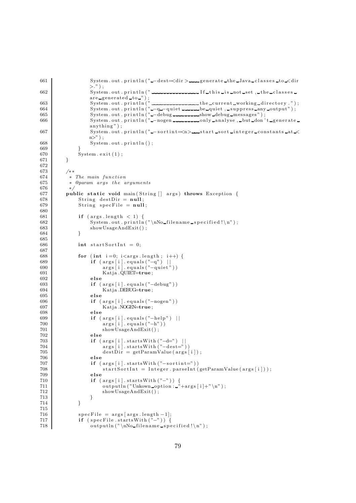```
661 System . out . println ("-dest=<dir>
sourcedire the Java classes to <direction of the System . out . println ("-dest=<direction of the Java classes to <direction of the system . out . println ("-dest=<direction of the
                  >." ) ;
662 System . out . p r i n t l n ( " I f t h i s i s not s e t , the c l a s s e s
                  are generated to ");
663 System . out . p r i n t l n ( " the cur r ent working d i r e c t o r y . " ) ;
664 | System .out .println(" −q − quiet -------be -quiet , -suppress -any -output" );
665 | System .out .println("_−debug_________show_debug_messages");
666 | System .out .println(" −nogen -----------only analyse , but don't generate
                  anything " ) ;
667 System . out . println (" - sortint = <n > start sort integer constants at <
                  n>" ) :
668 System . out . println();
669<br>670
              System. exit (1);671 }
672
673 /∗ ∗
\begin{array}{c|c}\n 674 & \ast & \text{The main function} \\
 675 & \ast & \text{Qparam args the } a\n \end{array}* @param args the arguments
676 ∗/
677 public static void main (String [] args) throws Exception {
678 String destDir = null;
679 String specFile = null;
680
681 if \left( \text{args.length} \leq 1 \right) {
682 System . out . p r in t ln ("\nNo_filename_specified!\n");<br>683 showUsageAndExit():
                  showUsageAndExit();
684 }
685<br>686int startSortInt = 0;
687
688 for (int i=0; i<args.length; i++) {
689 if (args[i].equals("−q") ||
690 args [i]. equals ("−quiet"))
691 Katja .QUIET=true;<br>692 else
                  else
693 if (args[i]. equals ("-debug"))<br>694 Katja DEBUG=true:
                      Katja .DEBUG=true;
695 else
696 if ( args[i] . equals ("-nogen" ) )
697 Katja .NOGEN=true;
\begin{array}{c|c}\n 698 & \text{else} \\
 699 & \text{if} \n\end{array}699 if (args[i].equals("−help") ||
700 | args[i].equals("−h"))
701 showUsageAndExit();
702 else
703 | if ( args [i ]. startsWith ("−d=") ||
704 | args[i].startsWith ("−dest="))
705 dest \text{Dir} = \text{getParamValue}(\text{args}[i]),706 else<br>707 if (
707 <br>708 if (\arg s[i]. startSortInt = Integer . parseInt (
                      startSortInt = Integer.parseInt(getParamValue(args[i]));
709 else
710 if (\arg s[i]. startsWith ("-")) {
711 \Box output ln ("Unkown option : "+args [i]+"\n");
712 showUsageAndExit();
\begin{array}{c} 713 \\ 714 \end{array} }
714 }
\begin{array}{c} 715 \\ 716 \end{array}specFile = args [args.length -1];717 \left| \text{if (specFile statusWith ("−")} \right)718 \text{output}(\text{"}\nNo-filename\_specified!}\n
```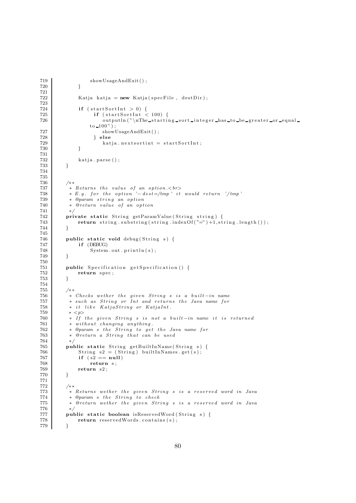```
719 showUsageAndExit();
720 }
721
722 Katja katja = new Katja (specFile, destDir);
723
\begin{array}{c|c} 724 & \text{if (startSortInt > 0) } \end{array}725 <br> 726 <br> \text{if} (\text{startSortInt} < 100) {<br> \text{outputIn} (\text{"} \text{The start})output ln ("\nThe_starting_sort_integer_has_to_be_greater_or_equal_
                   to 100" );
727 showUsageAndExit();<br>
728 } else
                     } else
729 \n<br>\n730 \n<br>\n731 \begin{array}{r}\n \text{katja. nextsort} = \text{startSortInt}; \\
 \end{array}730 }
731
\begin{array}{c|c} 732 & \text{katja . parse () ;} \\ 733 & \text{ } \end{array}733 }
734
\frac{735}{736}/∗ ∗
737 \parallel \parallel \parallel R eturns the value of an option. \lt{br>}738 | \ast E.g. for the option '− dest=/tmp' it would return '/tmp'
739 * @param string an option
740 * @return value of an option
741 ∗/
742 private static String getParamValue (String string) {
743 return string substring (string indexOf("=") + 1, string length ());
744 }
745
746 public static void debug (String s) {747 if (DEBUG)
               if (DEBUG)
748 System.out.println(s);
749 }
750
751 public Specification get Specification () {<br>752
               return spec;
753 }
754 \over 755/∗ ∗
756 | * Checks wether the given String s is a built-in name
757 | ∗ such as String or Int and returns the Java name for
758 * it like KatjaString or KatjaInt.<br>759 * \leq 0
759 * <br>\n760 * If760 <sup>∗</sup> If the given String s is not a built-in name it is returned \frac{761}{1000} * without changing anything.
           * without changing anything.
762 		 * @param s the String to get the Java name for
763 ∗ @return a St r ing t h a t can be used
764 ∗/
765 public static String getBuiltInName (String s) {
766 String s2 = (String) built In Names.get(s);767 \n\begin{array}{c}\n767 \\
768\n\end{array} if (82 == null)<br>
768 \n\begin{array}{c}\n767 \\
768\n\end{array}768 return s;<br>769 return s2;
          return s2;<br>}
770 }
771
772 /∗ ∗
773 ∗ Returns wether t h e g i v en St r ing s i s a r e s e r v e d word in Java
774 * @param s the String to check
775 ∗ @return wether t h e g i v en St r ing s i s a r e s e r v e d word in Java
776 ∗/
777 | public static boolean isReservedWord (String s) {
778 return reservedWords.contains (s);
779 }
```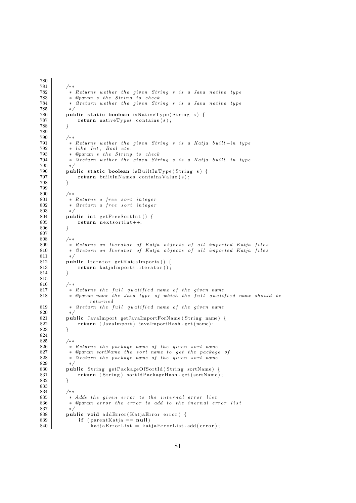```
\begin{array}{c|c}\n 781 & \rightarrow \ast \\
 782 & \ast\n \end{array}* Returns wether the given String s is a Java native type
783 * @param s the String to check
784 | * @return wether the given String s is a Java native tupe
785 ∗/
786 public static boolean isNativeType(String s) {<br>787 per static foolean isNativeTypes (s);
              return nativeTypes . contains (s);
788 }
789
          790 /∗ ∗
791 | ∗ Returns wether the given String s is a Katja built-in type
792 * like Int, Bool etc.
793 | ∗ @param s the String to check
794 	 * @return wether the given String s is a Katja built-in type
795 ∗/
796 | public static boolean isBuiltInType (String s) {
797 return \text{ builtInNames. contains Value(s)};
798 }
799
800 /∗ ∗
801 <sup>*</sup> * Returns a free sort integer
802 | ∗ @return a free sort integer
803 ∗/
\begin{array}{c|c} 804 & \textbf{public int getFreeSortInt} \end{array} ( ) {<br>805 point in t next sortint ++:
              return next sortint++;
806 }
807
808 /**<br>809 *
809 | ∗ Returns an Iterator of Katja objects of all imported Katja files
810 | ∗ @return an Iterator of Katja objects of all imported Katja files
811 ∗/
812 public Iterator getKatjaImports () {
\begin{array}{c|c} 813 & \text{return } \text{katjaImports. iterator} \text{();} \\ 814 & \end{array}814 }
815
816 /∗ ∗
817 <sup>*</sup> * Returns the full qualified name of the given name
818 | * @param name the Java type of which the full qualified name should be
                  returned
819 * @return the full qualified name of the given name
\begin{array}{c|c} 820 & * \end{array} bub
821 public JavaImport getJavaImportForName (String name) {<br>822 per set (1898) return (JavaImport) javaImportHash.get (name);
          return ( JavaImport ) javaImportHash . get (name ) ;<br>}
823 }
824
825 /∗ ∗
826 ∗ Returns t h e package name o f t h e g i v en s o r t name
827 * @param sortName the sort name to get the package of
828 * 9return the package name of the given sort name
829<br>830public String getPackageOfSortId (String sortName) {
831 return ( String ) sortIdPackageHash .get (sortName);
832 }
833
834 /∗ ∗
835 ∗ Adds t h e g i v en e r r o r to t h e i n t e r n a l e r r o r l i s t
           * @param error the error to add to the inernal error list
837 ∗/
         public void addError ( KatjaError error ) {
839 if (parentKatja == null)840 katja Error List = katja Error List . add ( error );
```
780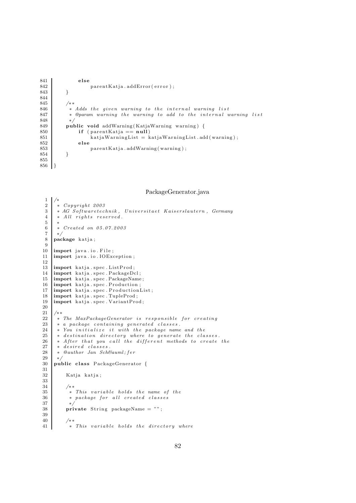```
841 else
842 par ent Katja . addError ( error ) ;<br>843 }
843 }
844
845 /**<br>846 *
         * Adds the given warning to the internal warning list
847 			* @param warning the warning to add to the internal warning list
848 ∗/
849 public void addWarning (KatjaWarning warning) {
850 if (parentKatja == null)<br>851 katiawarningList = kkati aWarning List = kati aWarning List.add(warning);852 else
853 parentKatja . addWarning (warning);
854 }
855
856 }
```
PackageGenerator.java

```
\frac{1}{2}\begin{array}{c|cc} 2 & * & Copyright & 2003 \\ 3 & * & AG & Softwaretec. \end{array}3 * AG Softwaretechnik, Universitaet Kaiserslautern, Germany<br>4 * All rights reserved.
         * All rights reserved.
 \begin{matrix}5\\6\end{matrix}\begin{array}{c|cc} 6 & * \ Create{C}{\rightarrow} 6 \\ 7 & * \end{array}\begin{array}{c} 7 \\ 8 \end{array} ×/
       package katja;
\frac{9}{10}import java.io. File;
11 import java.io.IOException;
12
13 | import katja.spec.ListProd;
14 import katja spec PackageDcl;<br>15 import katja spec PackageName
15 \left| \begin{array}{c} \text{import } k \text{ at } j \text{ a } . \text{ spec.} \text{ PackageName}; \\ \text{import } k \text{ at } j \text{ a } . \text{ spec.} \text{Production}; \end{array} \right.import katja.spec. Production;
17 import katja . spec . ProductionList;
18 | import katja.spec.TupleProd;
19 import katja . spec . VariantProd;
20
\frac{21}{22}22 ∗ The MaxPackageGenerator i s r e s p o n s i b l e f o r c r e a ti n g
\begin{array}{c|cc} 23 & * & a & package & containing & generated & classes. \ 24 & * & You & initialize & it & with & the & package & name. \end{array}24 * You initialize it with the package name and the 25 * destination directory where to generate the cla
25 \vert * destination directory where to generate the classes.
26 | * After that you call the different methods to create the
\begin{array}{c|c} 27 & * & desired & classes \\ 28 & * & @author & Jan & Sch\end{array}\begin{array}{c|c} 28 & * & \mathcal{Q} \hline \end{array} author Jan Schä fer
\begin{array}{c|c} 29 & * \end{array}<br>30 pub
       public class PackageGenerator {
\frac{31}{32}Katja katja;
33
34 /**
\begin{array}{c|c|c|c|c|c|c|c} \hline \text{35} & \text{*} & \text{This}\text{ variable holds the name of the} \ \text{36} & \text{*} & \text{package for all created classes} \end{array}\begin{array}{c|c|c|c|c} 36 & * \text{ package for all created classes} \\ 37 & * \end{array}\begin{array}{c|c}\n 37 & * \\
 \hline\n 38 & \text{pri}\n \end{array}\textbf{private} String packageName = "";
39
40^{\circ}41 * This variable holds the directory where
```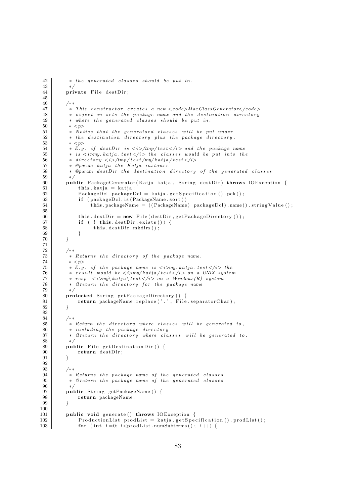```
42 | * the generated classes should be put in.
 \begin{array}{c} 43 \\ 44 \end{array}private File destDir;
45
46 /**47 ∗ This c ons t ruc t o r c r e a t e s a new <code>MaxClassGenerator</code>
48 * object an sets the package name and the destination directory * where the generated classes should be put in.
             * where the generated classes should be put in.
50 \quad * \leq p51 • Notice that the generatoed classes will be put under<br>52 • the destination directory plus the package directory
             * the destination directory plus the package directory.
53 * < p>54 * E.g. if destDir is \langle i \rangle/tmp/test\langle i \rangle and the package name
55 * is \langle i \ranglemy. katja. test\langle i \rangle the classes would be put into the
56 <sup>∗</sup> directory <i>/tmp/test/my/katja/test</i><br>57 * @naram_katja_the_Katja_instance
             * @param katja the Katja instance
58 			* @param destDir the destination directory of the generated classes
\begin{array}{c|c}\n 59 & \rightarrow \\
 \hline\n 60 & \textbf{p} \end{array}public PackageGenerator (Katja katja, String destDir) throws IOException {
 61 \mathbf{this} \cdot \mathbf{k} at ja = \mathbf{k}at ja ;
 62 PackageDcl packageDcl = katja .getSpecification () .pck();
 63 if ( packageDcl . is ( PackageName . sort ) )
 64 this packageName = ((PackageName) packageDcl) name() stringValue();
65
66 this destDir = new File (destDir, getPackageDirectory ());
 67 if ( ! this . destDir. exists ()) {<br>this . destDir. mkdirs () :
                        this . destDir. mkdirs();
\begin{array}{c|c}\n69 & & & \n\end{array}70 }
 71
72 /∗ ∗
73 ∗ Returns t h e d i r e c t o r y o f t h e package name .
 74 * \langle p \rangle75 * E.g. if the package name is <i>i</i> >i>my. k \n  atja. test <i>i</i> >i > the <i>n</i> * result would be <i>i</i> >i>my. k \n  atj \n  <math>dist \leq i \leq m</math> and <i>i</i> \n  <math>dist \leq i</math>76 * result would be \langle i \rangle and \langle i \rangle and \langle i \rangle and \langle i \rangle system \langle i \rangle are \langle i \rangle \langle i \rangle and \langle i \rangle and \langle i \rangle and \langle i \rangle and \langle i \rangle and \langle i \rangle and \langle i \rangle and \langle i \rangle and \langle i \rangle and \langle i \rangle and \langle i \rangle a
             * resp. < i>my\katja\test </i> on a Windows (R) system
78 ∗ @return t h e d i r e c t o r y f o r t h e package name
 79 ∗/
 80 protected String getPackageDirectory () {
81 return packageName.replace('.', File.separatorChar);
82 }
83
            84 /∗ ∗
85 ∗ Return t h e d i r e c t o r y where c l a s s e s w i l l be generated to ,
86 * including the package directory
 87 ∗ @return t h e d i r e c t o r y where c l a s s e s w i l l be generated to .
88 ∗/
 89 public File get Destination Dir () {
 \begin{array}{c|c} 90 & \text{return } \text{destDir}; \\ 91 & \end{array}91 }
92
            93 /∗ ∗
94 			 * Returns the package name of the generated classes
 95 ∗ @return t h e package name o f t h e generated c l a s s e s
96 ∗/
97 public String getPackageName () {
 98 return packageName;
99 }
\begin{array}{c} 100 \\ 101 \end{array}public void generate () throws IOException {
102 | ProductionList prodList = katja.getSpecification().prodList();
103 for (int i=0; i<prodList.numSubterms(); i++) {
```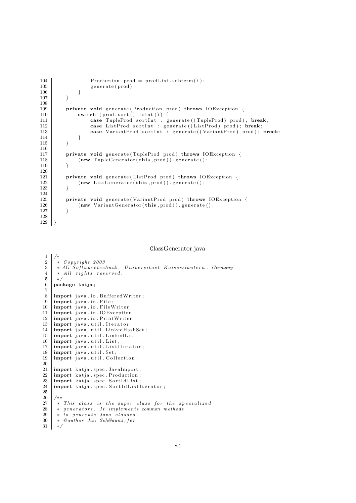```
104 Production prod = prodList.subterm(i);
\left\{\n \begin{array}{c}\n 105 \\
 106\n \end{array}\n \right.\n} generate (prod);
106 }
107 }
108
109 private void generate (Production prod) throws IOException {
110 switch (prod. sort (). toInt ()) {<br>111 case TupleProd. sortInt : g
                     case TupleProd . sortInt : generate ((TupleProd) prod); break;
112 case ListProd.sortInt : generate ((ListProd) prod); break;
113 case VariantProd.sortInt : generate ((VariantProd) prod); break;<br>114
114 }
115 }
\begin{array}{c} 116 \\ 117 \end{array}private void generate (TupleProd prod) throws IOException {
118 (new TupleGenerator (this , prod ) ) . generate ( ) ;<br>119
119 }
120
121 private void generate (ListProd prod) throws IOException {<br>122 new ListGenerator (this, prod)), generate ();
                (new ListGenerator(this, prod)). generate ();123 }
\frac{124}{125}125 private void generate (VariantProd prod) throws IOException {<br>126 (new VariantGenerator(this prod)) generate():
                (new \ VariantGenerator(this, prod)). generate();
127 }
128
129
```
ClassGenerator.java

```
1 /∗
 \begin{array}{c|cc} 2 & * & Copyright & 2003 \\ 3 & * & AG & Softwaretec. \end{array}* AG Softwaretechnik, Universitaet Kaiserslautern, Germany
 \begin{array}{c|cc} 4 & * & All & rights & reserved. \\ 5 & * & & \end{array}\begin{array}{c|c} 5 & * \end{array}<br>6 pac
      package katja;
 7
 8 | import java.io. BufferedWriter ;
\frac{9}{10} import java.io. File;<br>10 import java.io. FileV
     import java.io. FileWriter;
11 | import java.io.IOException;
12 | import java.io.PrintWriter;
\begin{array}{c} 13 \ 14 \ 11 \ 15 \end{array} import java.util.LinkedHas
     import java.util.LinkedHashSet;
15 | import java.util.LinkedList;
16 | import java.util.List;
17 import java.util.ListIterator;<br>18 import java.util.Set:
      import java.util.Set;
19 import java.util. Collection;
\frac{20}{21}21 import katja spec JavaImport;<br>22 import katja spec Production:
      import katja.spec.Production;
23 | import katja.spec.SortIdList;
24 | import katja.spec.SortIdListIterator;
25
\frac{26}{27}27 \begin{array}{r} 27 \ \ast \ \textit{This class is the super class for the specialized} \\ * \ \textit{generators}. \ \textit{It implements common methods} \end{array}28 * generators. It implements common methods 29 * to generate Java classes.
\begin{array}{c|cc} 29 & * \text{ to generate Java classes.} \\ 30 & * \text{ Qauthor Jan Sch\'e} \\ 30 & * \text{ Qauthor.} \end{array}* @author Jan Schä fer
31 ∗/
```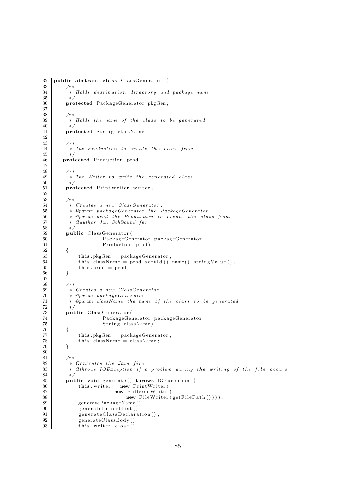```
32 public abstract class ClassGenerator {
34 ∗ Holds d e s ti n a ti o n d i r e c t o r y and package name
          35 ∗/
36 protected PackageGenerator pkgGen;
38 /∗ ∗
39 | ∗ Holds the name of the class to be generated
40 ∗/
41 protected String className;
43 /∗ ∗
44 | ∗ The Production to create the class from
45 ∗/
46 protected Production prod;
48 /∗ ∗
49 | ∗ The Writer to write the generated class
\begin{array}{cc} 50 & * \ / \\ 51 & \textbf{proj} \end{array}protected PrintWriter writer;
53 /∗ ∗
54 ∗ Creates a new ClassGenerator .
55 | ∗ @param packageGenerator the PackageGenerator
56 ∗ @param prod t h e Production to c r e a t e t h e c l a s s from
\begin{array}{c|c}\n 57 & \ast & \hat{\mathcal{Q}}\n 33 \\
 \ast & \ast\n \end{array}58 ∗/
\begin{array}{c|c} 59 & \textbf{public } ClassGenerator \ (60 & \textbf{Pack} score \end{array}60 PackageGenerator packageGenerator,<br>
61 Production prod)
                        Production prod)
62 {
63 this . pkgGen = packageGenerator;
64 this className = prod. sortId () . name () . stringValue ();<br>this prod = prod.
         this. prod = prod;
68 /**<br>69 *
          69 ∗ Creates a new ClassGenerator .
70 ∗ @param packageGenerator
71 • * @param className the name of the class to be generated
\begin{array}{ccc} 72 & & & * \end{array}73 public ClassGenerator (<br>
PackageGen
74 PackageGenerator packageGenerator,<br>
75 String className)
                        String className)
76 {
77 this . pkgGen = packageGenerator;
78 this className = className;
79 }
81 /**
82 * Generates the Java file<br>83 * @throws IOException if
          * @throws IOException if a problem during the writing of the file occurs
84 ∗/
85 public void generate () throws IOException {
86 this writer = new PrintWriter (
87 new BufferedWriter (
88 new FileWriter (getFilePath());<br>89 percentage of the conduct of the set of the set of the set of the set of the set of the set of the set of the set of the set of the set of the set of the set of the set of the set of the s
89 generatePackageName();<br>90 generateImportList();
90 generateImportList ();<br>91 generateClassDeclarat
              generate ClassDe characterization();
92 generateClassBody();
93 this writer close ();
```
 $\frac{33}{34}$ 

37

42

47

52

66 } 67

 $rac{80}{81}$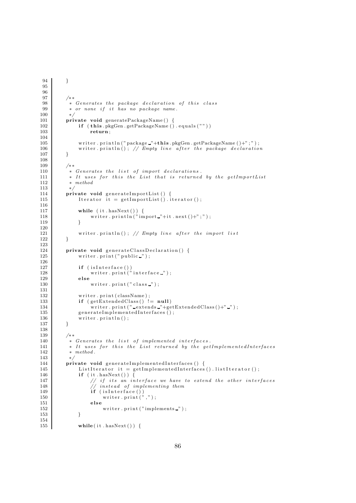```
95
96
         97 /∗ ∗
98 <sup>*</sup> * Generates the package declaration of this class
99 * or none if it has no package name.
\frac{100}{101}private void generatePackageName() {
102 if (this . pkgGen . getPackageName () . equals (""))
103 return;
104
105 writer.println("package "+this.pkgGen.getPackageName()+";");
106 writer println(); // Empty line after the package declaration
107 }
\frac{108}{109}/∗ ∗
110 * Generates the list of import declarations.
111 \uparrow * It uses for this the List that is returned by the getImportList<br>112 * method
          112 ∗ method
113 ∗/
114 private void generateImportList() {
115 Iterator it = getImportList(). iterator();
116
117 | while (it . hasNext ()) {
118 writer.println("import_"+it.next()+";");
119 }
120
121 writer . println(); // Empty line after the import list
122 }
123
124 private void generateClassDeclaration() {
125 writer.print ("public ");
126
127 if (isInterface ())<br>128 writer.print("
128 writer.print ("interface.");<br>129 else
             else
130 writer.print ("class");
131
132 writer.print (className);
133 if (getExtendedClass() != null)
134 writer.print (" extends "+getExtendedClass ()+" ");<br>
reperatelmplementedInterfaces ();
135 generate Implemented Interfaces \tilde{()};<br>136 writer.println();
         writer . println ( ) ;<br>}
137 }
138
139 /∗ ∗
140 * Generates the list of implemented interfaces.
141 | * It uses for this the List returned by the getImplementedInterfaces
142 * method.
\begin{array}{c|c} 143 & * \end{array}<br>144 pri
144 private void generateImplementedInterfaces () {<br>145 ListIterator it = getImplementedInterfaces
             ListIterator it = getImplementedInterfaces().listIterator();
146 if ( it . hasNext ( ) ) {
147 \vert // if its an interface we have to extend the other interfaces
148 // instead of implementing them
149 if ( is Interface ( ) )
150 writer.print("",");
\begin{array}{c|c} 151 & \text{else} \end{array}writer.print ("implements \lrcorner") ;
153 }
154
155 while (i t \cdot \text{hasNext}() ) {
```
94 }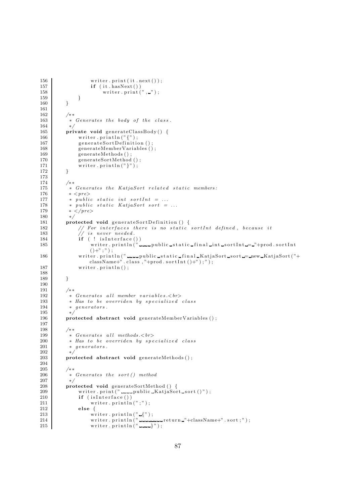```
156 writer.print (it.next());
157 if (it . hasNext())<br>158 if (it . hasNext())
                             writer. print (\cdot, \cdot);
\begin{array}{c|c} 159 & & & \cr 160 & & & \cr \end{array}160 }
161
\begin{array}{c} 162 \\ 163 \end{array}* Generates the body of the class.
164 ∗/
165 private void generateClassBody() {<br>166 writer.println("{");
166 writer. \text{print}\left(\right.\text{''}\left\{\right.\text{''}\right\},167 generateSortDefinition ();
168 generateMemberVariables ();<br>169 generateMethods ();
                 generateMethods();
170 generateSortMethod ();<br>171 writer.println("}");
                  written. print <math>\{n\}'</math>);172 }
\frac{173}{174}174 /∗ ∗
175 * Generates the KatjaSort related static members:
176 * < pre>177 * public static int sortInt = ...
178 * public static KatjaSort sort = ...
179 * \langle \text{pre} \rangle180 ∗/
181 protected void generateSortDefinition () {<br>182 / For interfaces there is no static
182 | // For interfaces there is no static sortInt defined, because it
183 // is never needed.
184 if (! is Interface ())<br>185 writer.println("
                       writer. println \binom{n}{k} \ldots public static final int sort Int \ldots "+prod. sort Int
                       ()+";");
186 writer . println (" \ldots public static final KatjaSort sort = new KatjaSort ("+
                       \text{className+} \text{''}. \text{class }, \text{"+prod}. \text{sortInt } (\text{)}\text{+''}) \text{''}187 | writer.println();
188
189 }
\frac{190}{191}/∗ ∗
192 ∗ Generates a l l member v a r i a b l e s .<br>
193 * Has to be overriden by specialized class
\begin{array}{c|c} 194 \\ 195 \end{array} * generators.
\begin{array}{c|c}\n 195 & * \\
 \hline\n 196 & \text{pro}\n\end{array}protected abstract void generateMemberVariables ();
197
198 /∗ ∗
199 \ast Generates all methods.\lt{br}200 ∗ Has to be o v e r r id en by s p e c i a l i z e d c l a s s
201 * generators.
\begin{array}{c|c}\n 202 & * \\
 \hline\n 203 & \text{pro}\n\end{array}protected abstract void generateMethods ();
\begin{array}{c} 204 \\ 205 \end{array}\begin{array}{c|c}\n205 & \rightarrow & \times \\
206 & & \times\n\end{array}* Generates the sort () method
207 ∗/
208 protected void generateSortMethod () {
209 writer . print (" public KatjaSort sort ()");<br>210 if (isInterface ())
210 if (isInterface ())<br>211 writer.println
211 writer. println(";");<br>212 else {
\begin{array}{c|c}\n 212 \overline{)13}\n \end{array} else {
213 writer.println\left( \begin{array}{cc} n & \text{if } n \end{array} \right);
214 writer.println(" ________return _"+className+" .sort;");
215 | writer.println("---}");
```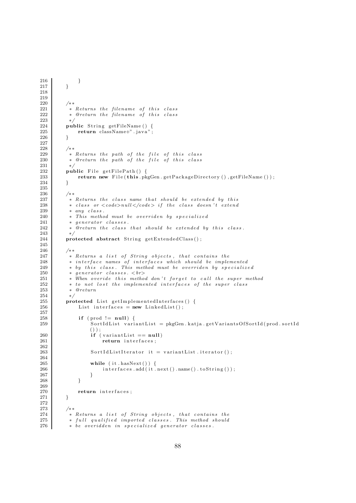```
216 }
217 }
218
219
\begin{array}{c|c} 220 & \rightarrow & \ast \ 221 & & \ast \end{array}\begin{array}{c|c} 221 & * & Returns \ the \ filename \ of \ this \ class \\ 222 & * & @ return \ the \ filename \ of \ this \ class \end{array}* @return the filename of this class
223 ∗/
224 public String getFileName () {
225 return className+" .java";<br>226 }
226 }
227
\begin{array}{c|c} 228 & \rightarrow & \ast \ast \\ 229 & & \ast \end{array}* Returns the path of the file of this class
230 * @return the path of the file of this class
231 ∗/
232 public File getFilePath () {
233 return new File (this . pkgGen . getPackageDirectory (), getFileName ());
234 }
235
\begin{matrix} 236 \\ 237 \end{matrix} \qquad \begin{matrix} \end{matrix} \begin{matrix} \end{matrix} \begin{matrix} \end{matrix} \begin{matrix} \end{matrix} \end{matrix}* Returns the class name that should be extended by this
238 			 * class or <code>null\lt/code> if the class doesn't extend
239 * any class.
240 * This method must be overriden by specialized
\begin{array}{c|c} 241 \ 242 \end{array} \begin{array}{c} * \quad generator \; \; classes \,. \\ * \quad @return \; \; the \;\; class \end{array}* @return the class that should be extended by this class.
243 ∗/
244 protected abstract String getExtendedClass();
245
246
247 ∗ Returns a l i s t o f St r ing o b j e c t s , t h a t c ont a ins t h e
248 | ∗ interface names of interfaces which should be implemented
249 | ∗ by this class. This method must be overriden by specialized
250 <sup>*</sup> generator classes. < br><br>251 * When overide this metho
251 | ∗ When overide this method don't forget to call the super method
252 | ∗ to not lost the implemented interfaces of the super class
253 ∗ @return
254 ∗/
255 protected List getImplementedInterfaces() {
256 List interfaces = new LinkedList();
\frac{257}{258}258 if (prod != null) {<br>259 SortIdList vari
                     259 Sort IdList variant List = pkgGen. katja.getVariantsOfSort Id (prod.sort Id
                     () ) ;
260 if (variantList == null)261 return interfaces;
262
263 \vert SortIdListIterator it = variantList.iterator();
\frac{264}{265}265 while (it . hasNext()) {<br>266 interfaces . add (it .
                         interfaces.add ( it . next () . name(). toString () );267 }
268 }
269
270 return interfaces;
271 }
\frac{272}{273}273 /∗ ∗
274 | ∗ Returns a list of String objects, that contains the
275 | ∗ full qualified imported classes. This method should
276 \bullet \bullet be overidden in specialized generator classes.
```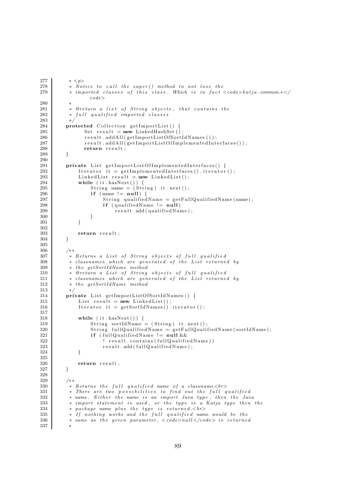```
277 * \leq n278 				* Notice to call the super () method to not lose the<br>279 								* imported classes of this class. Which is in fact
            * imported classes of this class. Which is in fact \langle code \rangle katja common.*\langlecode>
280
281 * @return a list of String objects, that contains the
282 <sup>*</sup> tull qualified imported classes
283 ∗/
284 protected Collection getImportList() {
285 Set result = new LinkedHashSet();<br>286 result.addAll(getImportListOfSortI
                  r e sult . addAll ( get ImportListOfSortIdNames ( ) ) ;
287 result . addAll (getImportListOfImplementedInterfaces());
288 return result;
289 }
\frac{290}{291}private List getImportListOfImplementedInterfaces() {
292 Iterator it = getImplementedInterfaces().iterator();
293 LinkedList result = new LinkedList();<br>294 while (it.hasNext()) {
\begin{array}{c|c}\n 294 & \text{while (it. hasNext())} \{ 295 & \text{String name} = (Str)\n\end{array}String name = (Suring) it . next ();
296 if (name != null) {
297 String qualified Name = getFullQualified Name (name);
298 if (qualifiedName != null)
299 result.add( qualifiedName);\begin{array}{c} 300 \\ 301 \end{array} }
301 }
\frac{302}{303}return result;
304 }
305
306 /∗ ∗
307 | * Returns a List of String objects of full qualified
\begin{array}{c|cc} 308 & \ast \text{ \textit{classnames which are generated of the List returned by} \\ 309 & \ast \text{ the } \text{ \textit{aefSortIdName method}} \end{array}\begin{array}{c|c}\n 309 \\
 310 \\
 \times \text{  return \space a \text{  List \space of \space String}\n} \end{array}310 • ©return a List of String objects of full qualified<br>311 • classnames which are generated of the List returne
            * classnames which are generated of the List returned by
312 ∗ the getSortIdName method
313 ∗/
314 private List getImportListOfSortIdNames () {
315 List result = new LinkedList();
316 Iterator it = getSortIdNames(). iterator();
\begin{array}{c} 317 \\ 318 \end{array}318 while (it . hasNext ()) {<br>319 String sortIdName:
                     String \quad sortIdName = (String) \quad it \quad next();
320 String fullQualifiedName = getFullQualifiedName (sortIdName);
321 if (fullQualifiedName != null &&
322 | result.contains (fullQualifiedName))
323 result . add (fullQualifiedName);
324 }
\frac{325}{326}return result;
327 }
328
329 /∗ ∗
330 * Returns the full qualified name of a classname\langle b \rangle331 ∗ There are two p o s s i b i l i t i e s to fi n d out t h e f u l l q u a l i f i e d
332 ∗ name . Eit h e r t h e name i s an import Java type , then t h e Java
333 * import statement is used, or the type is a Katja type then the 334 * package name plus the type is returned. \langle br \rangle334 * package name plus the type is returned.<br/><br>
\begin{array}{r} 335 \\ * \end{array} if nothing works and the full qualified name
            * If nothing works and the full qualified name would be the
336 ∗ same as t h e g i v en parameter , < code>nul l </code > i s returned
337 ∗
```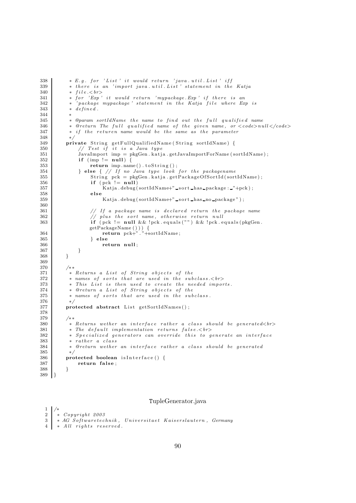```
338 * E.g. for 'List' it would return 'java.util. List' iff
339 * there is an 'import java.util. List' statement in the Katja<br>340 * file. \langle br \rangle* file. 
341 * for 'Exp' it would return 'mypackage.Exp' if there is an
342 | ∗ 'package mypackage ' statement in the Katja file where Exp is
343 * defined.
344<br>345
           * @param sortIdName the name to find out the full qualified name
346 \bullet * @return The full qualified name of the given name, or \lt{code} > null \lt{code}347 ∗ i f t h e r e tur en name would be t h e same as t h e parameter
348 ∗/
349 private String getFullQualifiedName (String sortIdName) {
350 // Test if it is a Java type
351 JavaImport imp = pkgGen . katja . getJavaImportForName (sortIdName);
\begin{array}{c|c} 352 \ 353 \end{array} if (\text{imp } != \text{null}) {<br>\text{return } \text{imp } \text{.} nam
                  return \, imp.name() . to String () ;354 } else { // If no Java type look for the packagename
355 String pck = pkgGen . katja .getPackageOfSortId(sortIdName);<br>356 if (pck != null)
\begin{array}{c|c}\n 356 & \text{if } (\text{pck } != \text{null}) \\
 357 & \text{Katia.} \end{array}Katja . debug (sortIdName+" sort has package : "+pck) ;
358 else
359 Katja . debug ( sortIdName + " _sort _has _no _package " ) ;
360
361 | // If a package name is declared return the package name
362 // plus the sort name, otherwise return null
363 if (pck != null & & !pck . equals ("") & & !pck . equals (pkgGen.
                  getPackageName ( ) ) ) {
364 return pck+". "+sortIdName;
365 } else
366 return null ;
367 }
368 }
369
370 /**<br>371 *
371 * Returns a List of String objects of the<br>372 * names of sorts that are used in the sub
372 | * names of sorts that are used in the subclass.<br>
373 ∗ This Li s t i s then used to c r e a t e t h e needed impor t s .
374 * @return a List of String objects of the
375 * names of sorts that are used in the subclass.
376 ∗/
377 protected abstract List getSortIdNames();
\frac{378}{379}\begin{array}{c|c}\n 379 & \rightarrow \ast \\
 380 & \ast\n \end{array}* Returns wether an interface rather a class should be generated<br></>>>
381 			 * The default implementation returns false.<br>
382 | * Specialized generators can override this to generate an interface
383 * rather a class384 • * @return wether an interface rather a class should be generated
\begin{array}{c|c}\n 385 & * \\
 \hline\n 386 & \text{nrc}\n \end{array}386 protected boolean is Interface () {<br>387 return false:
              return false;
388 }
389 }
```
## TupleGenerator.java

```
1 /∗
\begin{array}{c|c} 2 & * & Copyright 2003 \\ 3 & * & AG & Softwaretec \end{array}* AG Softwaretechnik, Universitaet Kaiserslautern, Germany
     * All rights reserved.
```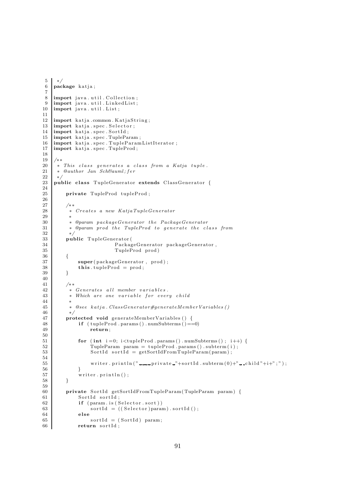```
5 ∗/
 6 package katja;
 7
 8 | import java.util. Collection;
 9 | import java.util.LinkedList;
10 import java. util. List;
\frac{11}{12}import katja.common. KatjaString;
13 import katja.spec. Selector;
14 import katja.spec.SortId;
15 import katja.spec.TupleParam;
16 import katja spec TupleParamListIterator;
17 | import katja.spec.TupleProd;
18
\begin{array}{c|c} 19 \\ 20 \end{array} /**
     * This class generates a class from a Katja tuple.
21 * @author Jan Schä fer
\begin{array}{c|c} 22 & * \end{array}<br>23 pul
    public class TupleGenerator extends ClassGenerator {
24
25 private TupleProd tupleProd:
\frac{26}{27}∕∗∗
28 <sup>∗</sup> Creates a new KatjaTupleGenerator
29 ∗
30 ∗ @param packageGenerator t h e PackageGenerator
           * @param prod the TupleProd to generate the class from
32 ∗/
33 public TupleGenerator (<br>34 Packag
                              PackageGenerator packageGenerator,
35 TupleProd prod )
36 {
37 super ( package Generator , prod );
\begin{array}{c} 38 \\ 39 \end{array} this . tupleProd = prod;
39 }
40
\begin{array}{c|c} 41 & \quad \quad \not \rightarrow * \\ 42 & \quad \quad * \end{array}* Generates all member variables.
43 			* Which are one variable for every child
44 ∗
45 \bullet\qquad * @see katja. Class Generator #generateMember Variables ()
\begin{array}{c|c}\n46 & * \\
47 & \text{pro}\n\end{array}protected void generateMemberVariables () {
48 if (tupleProd .params() . numSubterms () == 0)49 return ;
50
51 for (int i=0; i<tupleProd . params () . numSubterms (); i++) {
52 TupleParam param = tupleProd . params () . subterm (i);
53 SortId sortId = getSortIdFromTupleParam(param);
\begin{array}{c} 54 \\ 55 \end{array}writer.println (" \ldots private "+sortId.subterm (0)+" \ldotschild "+i+";");
56 }
57 writer.println();
58 }
59
60 private SortId getSortIdFromTupleParam(TupleParam param) {
\begin{array}{c|c}\n61 & \text{SortId} & \text{sortId} \\
62 & \text{if} & \text{param is} \n\end{array}\begin{array}{c|c} 62 & \text{if } (\text{param. is (Selector. sort})) \\ 63 & \text{sortId} = ((\text{Selector}) \text{ para}) \end{array}63 \begin{bmatrix} 63 \\ 64 \end{bmatrix} sortId = ((Selector) param). sortId ();
               else
65 sortId = (SortId) param;
66 return sortId;
```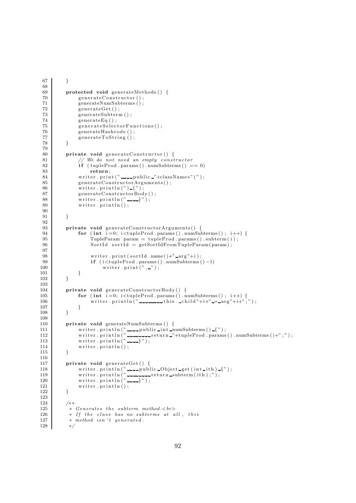```
67 }
 68
          protected void generateMethods () {
 70 generateConstructor();
 71 generateNumSubterms ();
 72 \quad generate Get ();
 \begin{array}{c|c} 73 & \text{generateSubterm ()}; \\ 74 & \text{generateEq ()}; \end{array}generateEq();
 75 generateSelectorFunctions();
 76 generateHashcode ();<br>77 generateToString ();
               generateToString();
 78 }
 79
 80 private void generateConstructor() {
 81 // We do not need an empty constructor<br>82 if (tupleProd.params).numSubterms() =
                \textbf{if} \text{ (tupleProd . } \text{params } () \text{ . } \text{numSubterms } () == 0)83 return;
 84 writer.print("
manupublic "+className+"(");<br>
generateConstructorArguments();
               generateConstructorArguments();
 86 writer.println(")_{");
 87 generateConstructorBody();
 88 writer . println ("---}");
 89 writer.println();
 90
 91 }
 92
          private void generateConstructorArguments() {
 94 for (int i = 0; i < tupleProd \cdot params() \cdot numSubterms() ; i++) {<br>q<sub>5</sub> TunleParam \cdot param = tuneProd \cdot params() \cdot subterm(i) \cdot95 TupleParam param = tupleProd . params () . subterm (i);<br>96 SortId sortId = getSortIdFromTupleParam (param);
                    \text{SortId} sort\text{Id} = getSortIdFromTupleParam(param);
 97
 98 writer.print (sortId .name()+" arg"+i);
99 if (i \leq \text{tupleProd}. \text{params}() \text{ . numSubterms}() - 1)<br>100
               writer.print\binom{n}{r}, \binom{n}{r};
101 }
102 }
103
104 private void generateConstructorBody() {
105 for (int i=0; i<tupleProd .params () .numSubterms (); i++) {
106 writer.println(" \ldots this. child"+i+" \ldots arg"+i+";");
\begin{array}{c} 107 \\ 108 \end{array} }
108
109
110 private void generateNumSubterms () {
111 | writer.println(" ........ public .int numSubterms() \{");
112 writer . println (" ---------return -"+tupleProd . params () .numSubterms ()+";");
113 | writer.println("---}");
114 writer. print(n);
115 }
\frac{116}{117}117 private void generateGet () {<br>118 writer println ("
118 writer.println(" .....public Object get (int ith) [");
119 writer.println(" .............return subterm (ith);");
120 writer.println("---}");
121 writer.println();
122 }
\frac{123}{124}\begin{array}{ccc} 124 & & \nearrow * \ * & \\ 125 & & \ast \end{array}125 \bullet Senerates the subterm method.\lt br><br>126 \bullet If the class has no subterms at a
            * If the class has no subterms at all, this
127 * method isn't generated.
128 ∗/
```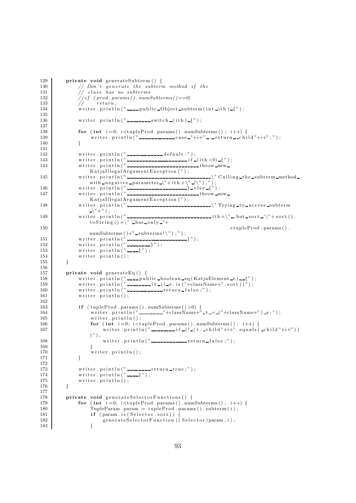```
129 private void generateSubterm () {
130 // Don't generate the subterm method if the 131 // class has no subterms
131 // class has no subterms
132 // if (prod. params() . numSubterms() == 0)133 // return;134 writer . println ("\frac{1}{2} upublic \frac{1}{2} Object subterm (int ith) \frac{1}{2}");
\frac{135}{136}\text{writer.println}(" ............switch (i\text{th}) \{" );137
138 for (int i = 0; i < tupleProd \nvert p_1, p_2, \ldots, p_k)<br>
139 writer. println \binom{n}{2} . produced and case \binom{n}{1} is return solid
                   \text{writer.println}("140 }
\frac{141}{142}142 writer.println("
143 writer.println ("\frac{1}{2} if \frac{1}{2} (ith \lt 0)\frac{1}{2}");
144 wr i t e r . p r i n t l n ( " throw new
                   KatjaIllegalArgumentException (");
145 writer . println ("\frac{1}{2} \frac{1}{2} \frac{1}{2} \frac{1}{2} \frac{1}{2} \frac{1}{2} \frac{1}{2} \frac{1}{2} \frac{1}{2} \frac{1}{2} \frac{1}{2} \frac{1}{2} \frac{1}{2} \frac{1}{2} \frac{1}{2} \frac{1}{2} \frac{1}{2} \frac{1}{2} \frac{1}{2} \frac{1}{2}with negative parameter \langle"+ith+\langle" !\langle");");
146 writer.println("\ldots147 wr i t e r . p r i n t l n ( " throw new
                   KatjaIllegalArgumentException (");
148 wr i t e r . p r i n t l n ( " \ " Trying to a c c e s s subterm
                   \lambda"+" );
149 \vert writer.println(" ---------------------------------ith+\" -,but sort -'\"+sort ().
                   \text{toString}() + \ \text{has} \text{only} - \text{"+}
150 +tupleProd . params ( ) .
                  numSubterms () +" subterms!\langle" \rangle;" );
151 wr i t e r . p r i n t l n ( " } " ) ;
152 writer.println("---}");
153 writer.println(" \left(" \right);
154 writer.println();
155 }
\frac{156}{157}157 private void generateEq () {<br>158 writer.println ("
158 writer.println("......public_boolean_eq(KatjaElement_e)...{");
159 wr i t e r . p r i n t l n ( " i f ( ! e . i s ( "+className+" . s o r t ) ) " ) ;
160 writer. println ("\frac{1}{2} return false;");
161 writer.println();
162
163 if ( tupleProd . params ( ) . numSubterms ( ) > 0) {
164 writer.println("----------"+className+"-t-=-("+className+") e;");
165 writer . println ();
166 for (int i = 0; i < t \text{uple} \text{Prod}. \text{params}() \text{ . } \text{numSubterms}(); i++) {
167 writer . println ("\frac{1}{2} if \frac{1}{2} (\frac{1}{2} (t. child "+i+") . equals (child "+i+"))
                   )" );
168 writer.println("\frac{168}{169} writer.println("\frac{169}{169});
169 }
\begin{array}{c|c}\n 170 \\
 171\n \end{array} writer.println();
171 }
\begin{array}{c} 172 \\ 173 \end{array}173 writer.println(" ....................true;");
174 writer.println(" ......}");
175 writer.println();
176 }
177
178 private void generateSelectorFunctions() {
179 for (int i = 0; i < t <u>tuple</u> Prod.params() . numbers() ; i++) {<br>180<br>Tu <u>rule</u> Params <u>array</u> = <u>tuple</u> Prod.params() .subterm (i) :180 TupleParam param = tupleProd .params () .subterm (i);<br>
181 if (param is (Selector .sort)) {
                   if ( param . is ( Selector . sort ) ) \cdot182 \Big\} generateSelectorFunction ((Selector)param, i);
183 }
```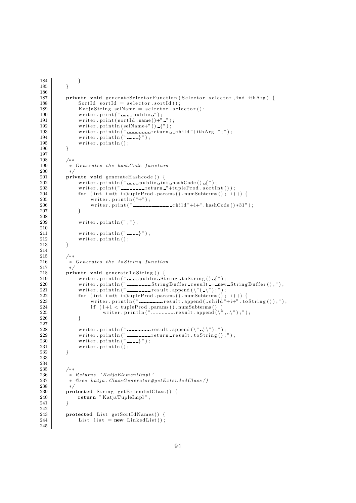```
184 }
185 }
186
187 private void generateSelectorFunction (Selector selector, int ithArg) {
188 SortId sortId = selector.sortId();
189 KatiaString selName = selector selector();
190 writer.print(" ____public _");
191 writer.print(sortId.name()+"_");
192 writer.println (selName+" ()-{");
193 writer.println(" --------return __child"+ithArg+";");
194 writer.println(" ......}");
\begin{array}{c} 195 \\ 196 \end{array} writer . println ();
196 }
197
\begin{array}{c|c}\n 198 & \rightarrow \ast \\
 \hline\n 199 & \ast\n \end{array}* Generates the hashCode function
200 ∗/
201 private void generateHashcode () {<br>202 writer.println("
                writer.println("\ldotspublic\ldotsint\ldotshashCode()\lceil");
203 wr i t e r . p r i n t ( " r e turn "+tupleProd . s o r t I n t ( ) ) ;
204 for (int i=0; i<tupleProd . params () . numSubterms (); i++) {
205 writer. println("+");
206 writer . print ("\frac{1}{2} child"+i+" . hashCode () * 31");
207 }
\frac{208}{209}writer . println(";");
\frac{210}{211}211 writer println(\begin{bmatrix} 2 & 1 & 1 \\ 2 & 2 & 3 \end{bmatrix};
                written.println();
213 \qquad \qquad \}214
215 /**216 * Generates the toString function
\begin{array}{c|c}\n 217 & * \\
 218 & \text{pri}\n\end{array}218 private void generateToString () {<br>219 writer.println("---public-St
219 writer.println(" quarely public String to String() {");
220 writer . println (" المحمد السلطان السلطان السلطان المسلمان السلطان المحمد السلطان المحمد السلطان المحمد ا
221 writer . println ("\frac{221}{221} writer . println ("\frac{221}{21} result . append (\gamma^*(\neg \gamma^*));
222 for (int i=0; i<tupleProd .params () .numSubterms (); i++) {
223 writer.println(" \Box result .append ( \Boxchild"+i+" .toString());");
224 if (i+1 < \text{tupleProd}. \text{params}() \text{ . numSubterms}() )225 writer . println (" ----------result . append (\langle \, \, \rangle, \rangle, \, \, \rangle" );
226 }
\frac{227}{228}228 writer.println (" \Box) \Box result .append (\langle"\rangle\langle"\rangle;");
229 writer.println(" ----------return result.toString();");
230 writer.println(" ......}");
231 writer. \text{print}( );
232 }
233
\begin{array}{c} 234 \\ 235 \end{array}/∗ ∗
236 <sup>*</sup> * Returns ' KatjaElementImpl'
237 \bullet \text{ } \bullet \text{ } \text{ } \bullet \text{ } \text{ } \text{ } \text{ } \text{ } \text{ } \text{ } \text{ } \text{ } \text{ } \text{ } \text{ } \text{ } \text{ } \text{ } \text{ } \text{ } \text{ } \text{ } \text{ } \text{ } \text{ } \text{ } \text{ } \text{ } \text{ } \text{ } 238 ∗/
239 protected String getExtendedClass() {
240 return " KatjaTupleImpl";
241 }
\begin{array}{c} 242 \\ 243 \end{array}protected List getSortIdNames() {
244 List list = new LinkedList();
```
245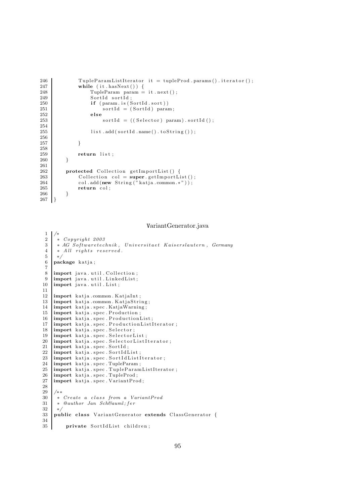```
246 TupleParamListIterator it = tupleProd.params().iterator();<br>247 while (it.hasNext()) {
247 while (it hasNext()) {<br>248 TupleParam param =
248 TupleParam param = it . next ();<br>249 SortId sortId :
\begin{array}{c|c}\n 249 \\
 \hline\n 250\n \end{array} SortId sortId;
250 if (param. is (SortId. sort))<br>251 sortId = (SortId) paral
\begin{array}{c|c}\n\text{251} \\
\text{252} \\
\text{else}\n\end{array} = (SortId) param;
\begin{array}{c|c} 252 & \text{else} \end{array}sortId = ((Selector) param).sortId();254
255 list.add (sortId.name ().toString ());
256
257 }
\frac{258}{259}return list;
260 }
261
262 protected Collection getImportList() {<br>263 Collection col = super getImportLi
263 Collection col = \text{super.getImportList}(x);<br>264 col.add (new String ("katia .common.*"));
264 col.add (new String ("katja.common. *"));<br>265 return col:
            return col;
266
267 }
```
## VariantGenerator.java

```
\frac{1}{2}\begin{array}{c|c} 2 & * & Copyright 2003 \\ 3 & * & AG & Softwaretec. \end{array}3 * AG Softwaretechnik, Universitaet Kaiserslautern, Germany<br>4 * All rights reserved.
         * All rights reserved.
 \begin{array}{c|c} 5 & * \\ 6 & \mathbf{pa} \end{array}package katja;
 7
 \frac{8}{9} import java.util. Collection;<br>\frac{9}{9} import java.util. Linked List:
9 \begin{bmatrix} \text{import java.utili.} \text{LinkedList;} \\ \text{import java.utilList;} \end{bmatrix}import java.util.List;
11
12 | import katja.common. KatjaInt;
13 import katja .common . Katja String;<br>14 import katia .spec . Katia Warning;
      import katja spec KatjaWarning;
15 import katja . spec . Production;
16 import katja spec ProductionList;
17 import katja.spec. ProductionListIterator;<br>18 import katja.spec. Selector;
18 import katja spec Selector;<br>19 import katja spec SelectorL
      import katja.spec.SelectorList;
20 | import katja.spec. SelectorListIterator;
\begin{array}{c|c} \text{21} & \text{import } k \text{atja.spec.SortId;} \\ \text{22} & \text{import } k \text{atia.spec.SortId} \end{array}22 \left| \right| import katja spec SortIdList;<br>23 \left| \right| import katja spec SortIdListI
      import katja.spec.SortIdListIterator;
24 import katja spec TupleParam;<br>25 import katja spec TupleParam
25 \left| \right| import katja.spec. TupleParamListIterator;<br>26 \left| \right| import katja.spec. TupleProd;
       import katja.spec.TupleProd;
27 | import katja.spec.VariantProd;
28\frac{29}{30}30 \begin{pmatrix} * & Create & a & class & from & a & VariantProd \\ * & @author & Jan & Sch & suml: fer \end{pmatrix}* @author Jan Schä fer
\begin{array}{c|c} 32 & * \\ 33 & \mathbf{p1} \end{array}public class VariantGenerator extends ClassGenerator {
34
35 private SortIdList children;
```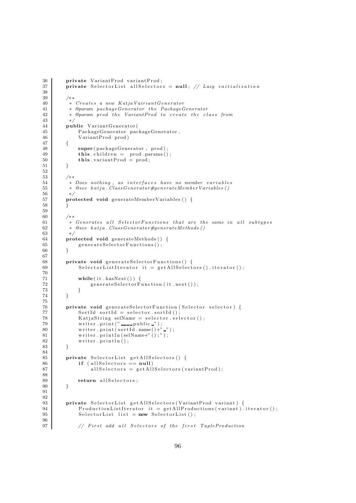```
36 private VariantProd variantProd;
37 private SelectorList allSelectors = null; // Lazy initialisation
39 /∗ ∗
40 <sup>*</sup> * Creates a new KatjaVairiantGenerator
41 • * @param packageGenerator the PackageGenerator
42 ∗ @param prod t h e VariantProd to c r e a t e t h e c l a s s from
44 public VariantGenerator (
45 PackageGenerator packageGenerator,<br>
46 VariantProd prod)
               VariantProd prod)
47 {
48 super ( package Generator , prod ) ;
49 \text{this children} = \text{prod} \cdot \text{params}();
\begin{array}{c|c}\n50 & \text{this. variantProd} = \text{prod}; \\
51 & \text{ } \n\end{array}53 /**<br>54 *
           * Does nothing, as interfaces have no member variables
55 ∗ @see k a tj a . ClassGenerator#generateMemberVariables ( )
56 ∗/
57 protected void generateMemberVariables () {
58 }
60 /∗ ∗
61 ∗ Generates a l l Se l e c t o rFunc tions t h a t are t h e same in a l l sub t y pe s
           62 ∗ @see k a tj a . ClassGenerator#generateMethods ( )
63 ∗/
64 protected void generateMethods () {<br>generateSelectorFunctions ();
               generateSelectorFunctions();
66 }
68 private void generate Selector Functions () {<br>69 Selector List Iterator it = get All Select
               S e l e ctor List I terator it = get All S e lectors (). iterator ();
               while ( it . hasNext() ) { }72 generateSelectorFunction (it . next ());
73 }
74 }
76 private void generateSelectorFunction (Selector selector) {
77 \begin{bmatrix} 77 \\ 78 \end{bmatrix} SortId sortId = selector.sortId();<br>KatiaString selName = selector.sel
78 KatjaString selName = selector . selector ();<br>
79 writer . print ("\Box") muslime ...
               \text{writer: } \text{print}(" \text{1} \text{1} \text{public } \text{?});
80 writer. print (sortId . name () +" ");
81 writer.println (selName+" ();" );82 writer.println();
83 }
85 private SelectorList get All Selectors () {<br>
if (all Selectors = null)
\begin{array}{c|c|c|c} 86 & \text{if (allSelectors == null)} \\ 87 & \text{allSelectors = getAll} \end{array}all Selectors = getAilSelectors (variantProd);89 return all Selectors;
90 }
93 private SelectorList getAllSelectors (VariantProd variant) {<br>ProductionListIterator it = getAllProductions (variant).
94 ProductionListIterator it = getAllProductions (variant). iterator ();<br>
95 SelectorList 1 ist = new SelectorList ();
               S e l e ctor List list = new S e l e ctor List ();
97 // First add all Selectors of the first TupleProduction
```
96

38

43 ∗/

51 } 52

59

67

 $70\,$  71

75

 $\frac{84}{85}$ 

88

**91** 92

96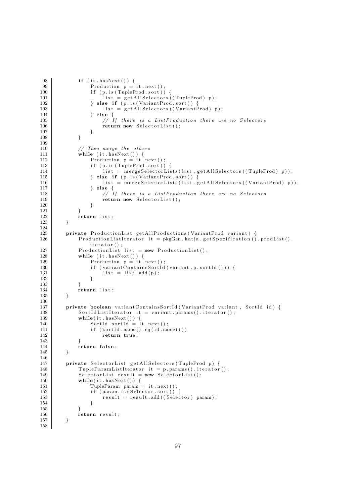```
98 if (it . hasNext()) {
99 Production p = it \t next()<br>100 if (p \t i s (TupleProd.sort))100 if (p.is(TupleProd.sort))<br>
101 list = getAllSelectors()list = getAllSelectors ((TupleProd) p);102 } else if (p \text{ is (VariantProd) sort})}
103 list = get All Selectors ((Variant Prod) p);
\begin{array}{c|c} 104 & \text{else} & 105 \\ 105 & & & \end{array}1/ If there is a ListProduction there are no Selectors
106 return new SelectorList();
\begin{array}{c} 107 \\ 108 \end{array} }
108 }
109
110 // Then merge the others<br>111 while (it has Next()) {
              while (it \cdot hasNext() ) {
112 Production p = it \text{.next}()<br>
113 if (p \text{.is} (TuneProd \text{.sort}))if ( p. is (TupleProd . sort ) ) {
114 list = mergeSelectorLists(list, getAllSelectors((TupleProd) p));
115 } else if (p \text{ is (VariantProd.sort)}) {<br>116 } ist = mergeSelectorLists (list, g
                       list = mergeSelectorLists(list, getAllSelectors((VariantProd) p));117 } else
118 // If there is a ListProduction there are no Selectors
119 return new SelectorList();
120 \hspace{14mm} \Big\}121 }
122 return list;
123 }
124
125 private ProductionList getAllProductions (VariantProd variant) {
126 | ProductionListIterator it = pkgGen. katja.getSpecification().prodList().
                  iterator();
127 ProductionList list = new ProductionList();
128 while (it \cdot hasNext()) {
129 Production p = it.next();
130 \left\{\n \begin{array}{c}\n \text{if } (\text{variant ContinuousSortId} \text{ (variant, p. sortId} \text{ ))})\n \end{array}\n \right\}list = list.add(p);132 }
133 }
134 return list;
135 }
136
137 private boolean variantContainsSortId (VariantProd variant, SortId id) {
138 SortIdListIterator it = variant .params () .iterator ();<br>139 while (it .hasNext () ) {
              while (it \cdot hasNext() ) {
140 SortId sortId = it . next();
141 if (sortId .name() . eq(id .name()))
142 return true;
143 }
144 return false;
145 }
\frac{146}{147}147 private SelectorList getAllSelectors (TupleProd p) {<br>148 TupleParamListIterator it = p.params().iterator
              TupleParamListIterator it = p. params(). iterator();
149 SelectorList result = new SelectorList();
150 while (it . hasNext ()) {
151 TupleParam param = it . next ();
152 if ( param. is ( Selector. sort ) ) {
153 result = result . add ( ( Selector ) param) ;
154 }
\begin{array}{ccc}\n 155 & & & \text{ } \\
 \hline\n 156 & & & \text{ } \mathbf{r}\n \end{array}return result;
157 }
158
```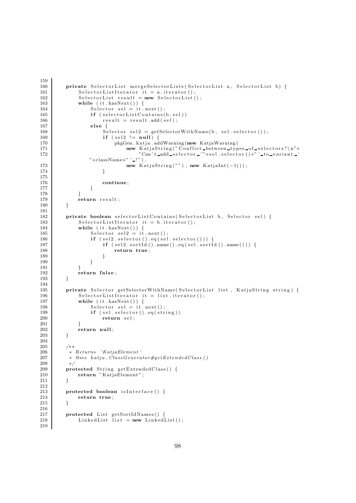```
159
160 private SelectorList mergeSelectorLists (SelectorList a, SelectorList b) {<br>161 SelectorListIterator it = a.iterator ():
               S e l e c t or L ist I t e r a t or i t = a. i t e r a t or ();
162 SelectorList result = new SelectorList();
163 while (it \cdot hasNext()) {
164 Selector sel = it . next();
165 <br>
if (selectorListContains(b, sel))<br>
result = result.add(sel);
                       result = result.add(self);167 else {
168 Selector sel2 = getSelectWithName(b, sel.electron());<br>
169 if (sel2 != null) {
                        if (sel2 != null)170 pkgGen. katja . addWarning (new KatjaWarning (
171 new KatjaString ("Conflict between types of selectors!\n"+<br>
"Can't add selector "+sel selector ()+"' to variant "
                                      "Can't\_add\_selector \_ "+sel. selector ()+"'.to\_variant\_'"+className+" ' | " ).
173 new KatjaString (""), new KatjaInt (-1));
174 }
\frac{175}{176}continue;
177 }
\begin{array}{c} 178 \\ 179 \end{array} }<br>179
              return result;
180 }
181
182 private boolean selectorListContains (SelectorList b, Selector sel) {
183 SelectorListIterator it = b.iterator ();<br>184 while (it.hasNext()) {
              while (it \cdot hasNext() ) {
185 \text{Selector} \ \text{self} = \text{it} \cdot \text{next}();
186 if (sel2.selector().eq(sel.selector())) {<br>187 if (sel2.sortId().name().eq(sel.sortId
                        if (sel2.sortId() .name() .eq(self.sortId() .name()) { }188 return true;
189 }
190 }
\begin{array}{c} 191 \\ 192 \end{array} }
              return false;
193 }
\frac{194}{195}private Selector getSelectorWithName(SelectorList list, KatjaString string) {
196 SelectorListIterator it = list.iterator();
197 while (it . hasNext ()) {
198 Selector sel = it . next();<br>199 if (sel selector() eq(str)199 <br>
199 if (sel. selector (). eq (string))<br>
199 return sel:
                       return sel;
201 }
202 return null ;
203 }
204
205 /**<br>206 *
206 * Returns ' KatjaElement'<br>207 * @see katja ClassGenera
           207 ∗ @see k a tj a . ClassGenerator#getExtendedClas s ( )
\begin{array}{c|c} 208 & * \end{array}\bf{protected} String getExtendedClass() {
210 return "KatjaElement";
211 }
212
213 protected boolean is Interface () {<br>214 return true:
              return true;
215 }
\frac{216}{217}protected List getSortIdNames() {
218 \vert LinkedList list = new LinkedList();
219
```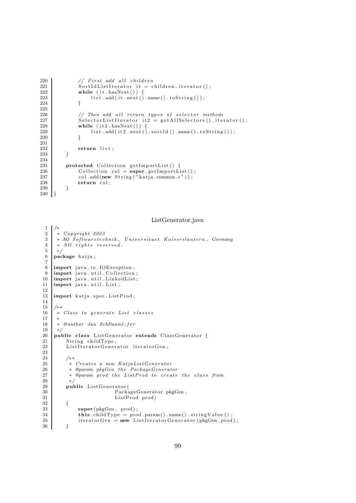```
220 // First add all children
221 SortIdListIterator it = children.iterator();<br>222 while (it.hasNext()) {
\begin{array}{c|c} \text{222} & \text{while (it. hasNext())} & \{223 & \text{list. add (it. next())}\} \end{array}list.add(it.next().name().toString());224 }
225
226 // Then add all return types of selector methods<br>227 SelectorListIterator it 2 = getAllSelectors (). ite
               S e l e c t or L ist I t e r a t or i t 2 = get All S e l e c t or s ( ) . i t e r a t or ( ) ;
228 while (it2. hasNext() ) {
229 list.add(it2.next().sortId().name().toString());<br>230 }
230 }
231
232 return list;
233 }
\frac{234}{235}protected Collection getImportList() {
236 Collection col = super.getImportList();
237 col.add (new String ("katja.common.*"));
238 return col;
239 }
240 }
```
ListGenerator.java

```
\frac{1}{2}\begin{array}{c|c} 2 & * & Copyright & 2003 \\ 3 & * & AG & Softwaretec \end{array}\begin{array}{c|c} 3 & * \ AG & \tilde{S} of \tilde{t}waretechnik \, , & Universita et \ Kasersla {a}utern \, , & Germany \ 4 & * \ All \ rights \ reserved \, . \end{array}* All rights reserved.
 5 ∗/
 6 package katja;
 7
 8 | import java.io.IOException;
9 \frac{10}{2} import java. util. Collection;
10 \left| \begin{array}{ll} \text{import java.utili.} \\ \text{import java.util.} \\ \text{List} \end{array} \right.import java.util.List;
12
13 import katja spec . List Prod;
\frac{14}{15}15 /∗ ∗
16 | * Class to generate List classes
17 ∗
18 \rightarrow \text{Qa}uthor Jan SchBauml; fer
\begin{array}{c|c} 19 & \ast \\ 20 & \mathbf{pu} \end{array}public class ListGenerator extends ClassGenerator {
21 String childType;
22 ListIteratorGenerator iteratorGen;
\frac{23}{24}\begin{array}{ccc} 24 & & \rightarrow & \ast \ 25 & & \ast \end{array}25 <sup>*</sup> Creates a new KatjaListGenerator<br>26 * @param pkoGen the PackaoeGenerat
26 				* @param pkgGen the PackageGenerator<br>27 			* @param prod the ListProd to create
                 * @param prod the ListProd to create the class from
\begin{array}{c|c}\n 28 & \rightarrow \\
 29 & \text{null}\n\end{array}public ListGenerator (
30 PackageGenerator pkgGen,<br>31 PackageGenerator pkgGen,<br>ListProd prod)
                                               ListProd prod)
\begin{array}{c} 32 \\ 33 \end{array} {
\begin{array}{c|c}\n 33 & \text{super (pkgGen, prod)}; \\
 34 & \text{this children} \\
 \end{array}34 this childType = prod param() name() stringValue();<br>35 the state is to the set of the set of the set of the state of the set of the set of the set of the set of the set of the set of the set of the set of the set of
                       \text{iteratorGen} = \text{new} \text{ListenerAction} (pkgGen, prod);
36 }
```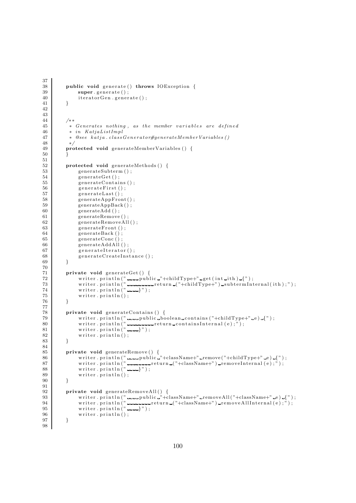```
37
\begin{array}{c|c} 38 & \text{public void generate() throws IOException } \{39} \end{array}super. generate ();
40 iteratorGen.generate();
41 }
42
\frac{43}{44}44 /∗ ∗
45 ∗ Generates nothing , as t h e member v a r i a b l e s are d e fine d
46 * in KatjaListImpl<br>47 * @see katja.class
          47 ∗ @see k a tj a . c l a s sGene ra t o r#generateMemberVariables ( )
48 ∗/
49 protected void generateMemberVariables () {
50 }
\frac{51}{52}protected void generateMethods () {
53 generateSubterm ();
54 generateGet();<br>55 generateContai
             generate Contains();
56 generateFirst();
57 generateLast();
58 generateAppFront();
59 generateAppBack();
60 generateAdd ();
61 generateRemove ( ) ;
62 generateRemoveAll();<br>
generateFront();
             generateFront();
64 generateBack ();
65 generateConc ();<br>66 generateAddAll (
             generateAddAll();
67 generateIterator();
68 generateCreateInstance ();
69 }
\frac{70}{71}71 private void generateGet () {<br>72 writer.println("
72 writer.println(" ____public _"+childType+" _get(int_ith) _{");
73 writer . println (" - - - - - - - - - - - return ("+childType+") _subtermInternal(ith);");
74 wr i t e r . p r i n t l n ( " } " ) ;
75 \n76 \n276 writer. println();
76 }
77
78 private void generateContains () {<br>
\begin{array}{c} \text{write} \\ \text{inter} \text{.} \text{print} \\ \end{array}79 writer .println(" .....public _boolean_contains("+childType+" _e) _{");
80 writer.println("<del>---------</del>return_containsInternal(e);");
81 writer. println (" ......}");
82 writer . println ();
83 }
84
85 private void generateRemove() {
86 writer.println("----public "+className+" remove("+childType+" -e) -{");
87 writer . println (" ----------return -("+className+") -removeInternal (e);");
88 writer.println(" ----}");
89 writer.println();
90 }
91
92 private void generateRemoveAll() {
93 writer . println ("\frac{1}{2} public \frac{1}{2} +className+" removeAll ("\frac{1}{2} +className+" e ) \frac{1}{2}");<br>94 writer . println ("\frac{1}{2} = \frac{1}{2} +className+") removeAllInternal (e) : ") :
94 writer . println (" ---------return _("+className+" ) _removeAllInternal(e);" );
95 | writer.println("---}");
96 | writer.println();
97 }
98
```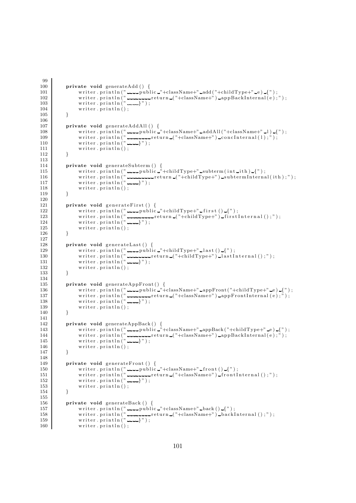```
99
100 private void generateAdd () {
101 writer . println (" ...... public ."+className+" .add ("+childType+" .e) .{");
102 wr i t e r . p r i n t l n ( " r e turn ( "+className+" ) appBackInt e rnal ( e ) ; " ) ;
103 writer.println("---}");
104 writer . println ();
105 }
106
107 private void generateAddAll () {
108 writer .println(" ____public _"+className+" _addAll("+className+" _1) _{");
109 wr i t e r . p r i n t l n ( " r e turn ( "+className+" ) c o n c I n t e r n a l ( l ) ; " ) ;
110 writer.println("---}");
111 writer.println();
112 }
\frac{113}{114}private void generateSubterm () {
115 writer.println(" ......public "+childType+" subterm(int ith) {");
116 writer .println(" _________return ("+childType+") _subtermInternal(ith);");
117 | writer.println(" ......}");
\begin{array}{c|c} 118 \\ 119 \end{array} writer.println();
119 }
120
121 private void generateFirst () {
122 writer.println(" ......public "+childType+" first() {");
123 wr i t e r . p r i n t l n ( " r e turn ( "+childType+" ) f i r s t I n t e r n a l ( ) ; " ) ;
124 writer. println \binom{n}{1} : writer. println () ;
              written. print ( ) ;126 }
127
128 private void generateLast () {
129 writer.println("\frac{1}{2} public "+childType+"\frac{1}{2} last()\frac{1}{2}");
130 writer . println ("\frac{1}{2} return ("+childType+") lastInternal ();");
131 writer.println("---}");
\begin{array}{c|c} 132 \\ 133 \end{array} writer . println ();
133 }
134
135 private void generateAppFront() {
136 writer.println ("
\frac{136}{2} experiment ("
\frac{136}{2} experiment ("+childType+"
e ) -{");
137 | writer .println(" ________return ("+className+") _appFrontInternal(e);");
138 writer.println(" ......}");
\begin{array}{c|c}\n 139 \\
 140\n \end{array} writer.println();
140141
142 private void generateAppBack() {
143 writer . println (" public "+className+" appBack ("+childType+" e) [");
144 wr i t e r . p r i n t l n ( " r e turn ( "+className+" ) appBackInt e rnal ( e ) ; " ) ;
145 writer.println(" ......}");
146 writer.println();
147 }
148<br>149
149 private void generateFront () {<br>150 private rate in terms writer println ("
150 writer.println(" ____public "+className+" _front() _{");
151 wr i t e r . p r i n t l n ( " r e turn ( "+className+" ) f r o n t I n t e r n a l ( ) ; " ) ;
152 writer.println("---</math>}");
153 writer.println();
154 }
155
156 private void generateBack ( ) {
157 writer.println(" -----public -"+className+" -back() -{");
158 wr i t e r . p r i n t l n ( " r e turn ( "+className+" ) ba ckInt e rna l ( ) ; " ) ;
\begin{array}{c} \text{159} \\ 159 \end{array} writer . println (" \begin{array}{c} \text{212} \\ \text{223} \end{array});
160 writer . println ();
```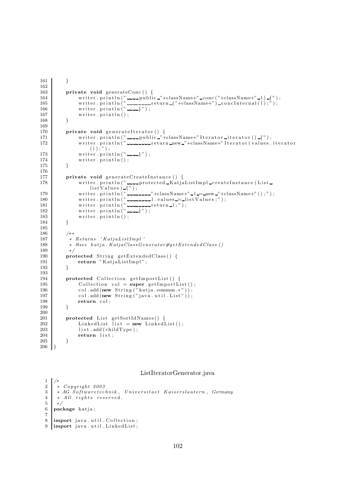```
161 }
\frac{162}{163}private void generateConc () {
164 writer.println(" public "+className+" conc("+className+" l) {");
165 wr i t e r . p r i n t l n ( " r e turn ( "+className+" ) c o n c I n t e r n a l ( l ) ; " ) ;
166 writer.println("---}");
\begin{array}{c|c} 167 & \text{writer.} \text{println} () \, ; \ \end{array}168 }
169
170 private void generateIterator() {
171 writer .println (" ......public ..." +className+" Iterator .iterator () ...{" );
172 | writer . println (" الصحيحات return new "+className+" Iterator ( values . iterator =
                    ( ) ) ; " ) ;
173 writer . println (" ----}" );\begin{array}{c} 174 \\ 175 \end{array} writer.println();
175 }
176
177 private void generateCreateInstance () {<br>178 writer.println("----protected_Katia
                writer.println (" ......protected KatjaListImpl createInstance (List.
                     listValues) {\f} ? ;179 writer.println(" ========="+className+" =1 == new ="+className+" ();");
180 wr i t e r . p r i n t l n ( " l . va lue s = l i s t V a l u e s ; " ) ;
181 writer.println("\blacksquare182 \quad \text{writer.println(" ... })");
\begin{array}{c|c} 183 & \text{writer.} \text{println} () \, ; \ 184 & \text{} \end{array}184
185
186 /∗ ∗
187 * Returns ' KatjaListImpl'<br>188 * @see katja.KatjaClassGe
            188 ∗ @see k a tj a . KatjaClassGenerator#getExtendedClas s ( )
189 ∗/
190 protected String getExtendedClass() {
191 return " KatjaListImpl";<br>192 }
192
\begin{array}{c} 193 \\ 194 \end{array}protected Collection getImportList() {
195 \begin{array}{c} \text{Collection } col = \text{super.getImportList}(); \\ \text{col.add(new String("katia.common.*"))}; \end{array}col.add(new String("katja.common.*"));197 \vert col.add (new String ("java.util.List"));
198 return col;
199 }
\frac{200}{201}201 protected List getSortIdNames() {<br>202 LinkedList list = new Linked]
                LinkedList list = new LinkedList();
203 list.add (childType);
204 return list;
205 }
206 }
```
ListIteratorGenerator.java

```
\frac{1}{2}2 ∗ Copyr ight 2003
3 * AG Softwaretechnik, Universitaet Kaiserslautern, Germany<br>4 * All rights reserved.
\begin{array}{c|c|c|c} 4 & * & All & right s & reserved. \end{array}\begin{array}{c|c} 5 & * \end{array}<br>6 pac
    package katja;
7\over 8import java.util. Collection;
9 | import java.util.LinkedList;
```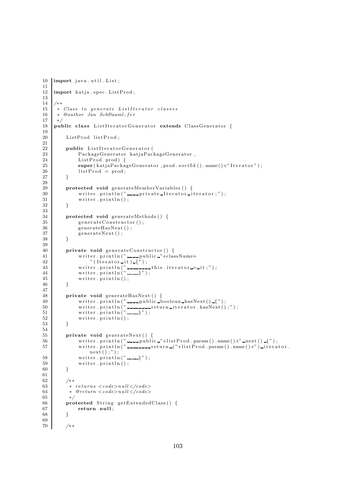```
10 import java.util.List;
\frac{11}{12}import katja.spec.ListProd;
13
1415 \overline{\phantom{a}} * Class to generate ListIterator classes
\begin{array}{c|c} 16 & * & \mathcal{Q} \text{author} & \mathcal{J} \text{an} & \mathcal{S} \text{ch} \mathcal{B} \text{a} \text{u} \text{m} \text{l}; \text{fer} \\ 17 & * \end{array}17 ∗/
18 public class ListIteratorGenerator extends ClassGenerator {
\frac{19}{20}ListProd listProd;
21
22 public ListIteratorGenerator (<br>PackageGenerator katjaPac
              PackageGenerator katjaPackageGenerator,
24 ListProd prod) {<br>25 super (katiaPacka)
              super (katjaPackageGenerator, prod.sortId().name()+"Iterator");
26 listProd = prod;
27 }
rac{28}{29}protected void generateMemberVariables () {
\overline{30} writer . println ("\overline{u} private Iterator iterator;");
31 writer . println ();
32 }
33
34 protected void generateMethods () {
35 generateConstructor();<br>36 generateHasNext();
36 generateHasNext();<br>37 generateNext();
              \bar{\mathbf{g}}enerateNext();
38 }
39
40 private void generateConstructor() {
41 writer.println(" public "+className+
42 "({\text{Iterator}}_*;43 writer.println("\ldots\ldots\ldotsthis.iterator\ldots\ldotsit;");
44 | writer.println(" - - - - }");
45 writer. \text{print}( ;
46 }
47
48 private void generateHasNext() {
49 writer . println (" public boolean hasNext () \{");
50 writer . println (" \ldots return iterator . hasNext();");
51 writer. \text{print}\left(\text{"---}\right)");
52 writer . println ();
53 }
54
55 private void generateNext() {
56 writer.println(" ____public "+listProd.param().name()+" _next()_{");
57 writer.println(" ...........return ("+listProd.param().name()+") iterator.
                   next();"
\begin{array}{c} 58 \\ 59 \end{array} writer. println (" -----}");<br>
59 writer. println ();
              written. print <math>( )</math>;60 }
61
62 /∗ ∗
63 * returns <code>code>null</code> <code></code>64 \ast @return <code>code>null</code> <code>/code>65 \times /66 protected String getExtendedClass() {<br>
67 return null;
              return null;
68 }
69
70 /∗ ∗
```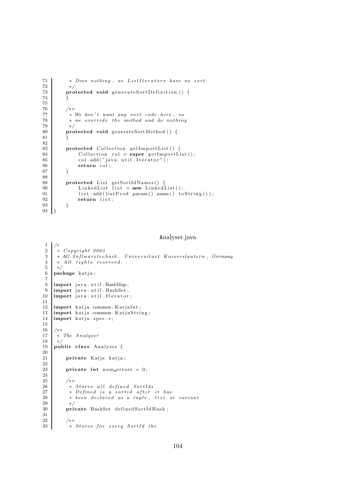```
71 | * Does nothing, as ListIterators have no sort
\begin{array}{c} 72 \\ 73 \end{array} */
         protected void generateSortDefinition() {
74 }
\frac{75}{76}76 /∗ ∗
77 * We don't want any sort code here, so<br>
78 * we override the method and do nothin
          * we override the method and do nothing
79 ∗/
80 protected void generateSortMethod () {
81 }
82
83 protected Collection getImportList() {<br>Collection col = super.getImportLi
              \text{Collection } \text{col} = \text{super.getImportList}();
85 col. add (" java. u til. I terator");<br>86 return col:
              return col;
87 }
88
89 protected List getSortIdNames() {
90 | LinkedList list = new LinkedList();
91 list.add (listProof) .name ().to String () );<br>
geturn list;
              return list;
93 }
94 }
```
## Analyser.java

```
\frac{1}{2}2 ∗ Copyr ight 2003
 3 * AG Softwaretechnik, Universitaet Kaiserslautern, Germany<br>4 * All rights reserved.
 \begin{array}{c|cc} 4 & * \ All & rights & reserved. \end{array}5 ∗/
 6 package katja;
 rac{7}{8}\begin{array}{c} 8 \\ 9 \end{array} import java.util.HashMap;
\begin{array}{c|c} 9 & \text{import java.util. HashSet} \\ 10 & \text{import java.util. Iterator} \end{array}import java.util.Iterator;
\frac{11}{12}12 import katja .common . KatjaInt ;<br>13 import katja .common . KatjaStri
13 import katja common . KatjaString;<br>14 import katja spec.*;
      import katja.spec.*;
15
\frac{16}{17}17 ∗ The Analyser
18 ∗/
19 public class Analyser {
\frac{20}{21}private Katja katja;
\frac{22}{23}private int num errors = 0;
24
\frac{25}{26} /**
               * Stores all defined SortIds
27 \times Defined is a sortid after it has<br>28 \times been declared as a tuple. list of
28 ∗ been d e c l a r e d as a tup l e , l i s t or v a r i ant
\begin{array}{c|c}\n 29 & \rightarrow \end{array} \begin{array}{c}\n \text{pri}\n \end{array}private HashSet definedSortIdHash;
\frac{31}{32}32 /**<br>33 *
              * Stores for every SortId the
```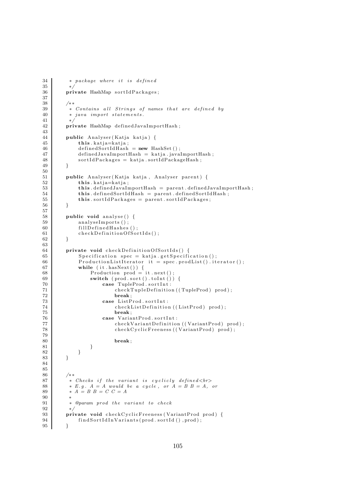```
34 ∗ package where i t i s d e fine d
        private HashMap sortIdPackages;
38 /∗ ∗
39 <sup>*</sup> * Contains all Strings of names that are defined by
40 * java import statements.
41 ∗/
42 private HashMap definedJavaImportHash;
        public Analyser (Katja katja) {
45 \text{this } . kat ja = kat ja;
46 definedSortIdHash = new HashSet();<br>definedJavaImportHash = katja.java
             \text{definedJavalmportHash} = \text{katja.javaImportHash};
48 \left\{\n \begin{array}{r}\n 48 \\
 49\n \end{array}\n \right\}\n sortIdPackages = katja.sortIdPackageHash ;51 public Analyser (Katja katja, Analyser parent) {<br>
this katja=katja;
             this . katja=katja;
53 this defined JavaImport Hash = parent . defined JavaImport Hash;
54 this . definedSortIdHash = parent . definedSortIdHash;
55 this sortIdPackages = parent sortIdPackages;
56 }
58 public void analyse () {
59 analyseImports();<br>60 fillDefinedHashes
             fillDefinedHashes();61 checkDefinitionOfSortIds();
62 }
64 private void checkDefinitionOfSortIds() {
65 Specification spec = katja.getSpecification();
66 ProductionListIterator it = spec. prodList(). iterator();
67 while (it . hasNext ()) {<br>68 Production prod =
68 Production prod = it . next ();<br>69 switch (prod. sort () . to Int ())
                 switch (\text{prod.out }() . \text{ to} \text{Int }() ) {
70 case TupleProd . sortInt :<br>
71 checkTupleDefinitio
                         checkTupleDefinition ((TupleProd) prod);
72 break ;
73 case ListProd.sortInt:
74 checkListDefinition ((ListProd) prod);
75 break;<br>76 break ;<br>276 case Varia
76 case VariantProd.sortInt:<br>
checkVariantDefinition
                         checkVariantDefinition ((VariantProd) prod);
78 checkCyclicFreeness ((VariantProd) prod);
80 break ;
81 }
\begin{array}{c|c} 82 & & & \end{array} }
86 /∗ ∗
87 ∗ Checks i f t h e v a r iant i s c y c l i c l y defined <br>
88 | \ast E.g. A = A would be a cycle, or A = B B = A, or89 | ∗ A = B B = C C = A91 * @param prod the variant to check<br>92 *92 */<br>93 pri
        private void checkCyclicFreeness (VariantProd prod) {
94 \vert findSortIdInVariants (prod.sortId (), prod);
95 }
```
 $\frac{35}{36}$ 

37

 $\frac{43}{44}$ 

49 } 50

57

63

79

90<br>91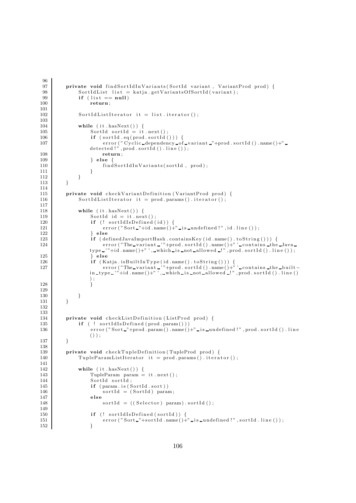```
96
 97 private void find Sort Id In Variants (Sort Id variant, Variant Prod prod) {<br>98 Sort Id List list = katia.get Variants Of Sort Id (variant);
              SortIdList list = katja.getVariantsOfSortId(variant);
 99 if (list == null)100 \mid return ;
101
102 SortIdListIterator it = list.iterator();
103
104 while (it. hasNext() ) {
105 SortId sortId = it . next();<br>106 if (sortId eq(prod. sortId)
                   if (sorted . eq (prod . sort Id () ))107 error ("Cyclic dependency of variant "+prod sort Id () name ()+"
                   detected !", prod . sortId(). line());
108 return;
\begin{array}{c|c}\n 109 \\
 110\n \end{array} } else {
                       findSortIdInVariants(sortId, prod);
\begin{array}{c} 111 \\ 112 \end{array} }
\begin{array}{c|c} 112 \\ 113 \end{array} }
113 }
114
115 private void checkVariantDefinition (VariantProd prod) {
116 SortIdListIterator it = prod.params().iterator();
117
118 | while (it . hasNext ()) {
119 SortId id = it . next();
120 \left| \begin{array}{cc} \text{if } (\text{!} \quad \text{sortIdIsDefined}(\text{id})) \ \text{if } (\text{!} \quad \text{sort}) \text{``Sort_2"+id.name() + \text{!} \end{array} \right.error("Sort-"+id.name() + "lis\_undefined!", id line());
122 } else
123 if (definedJavaImportHash . containsKey (id . name () . to String ())) {
124 error ("The variant '"+prod. sort Id (). name ()+"' contains the Java
                   type \rightarrow "+id.name() + " ', \text{while } is \text{__not } allowed \rightarrow "', prod.sortId() . line());
125 } else
126 if (Katja . is Built In Type (id . name () . to String ())) {
127 e r r o r ( "The va r i ant ' "+prod . s o r t I d ( ) . name ( )+" ' c ont a ins the b u i l t −
                   in type \cdots+id . name()+"', which is not allowed \cdots", prod. sort Id(). line()
                  ) ;
128 }
129
130 }
131 }
132
\begin{array}{c} 133 \\ 134 \end{array}private void checkListDefinition (ListProd prod) {
135 if ( ! sortIdIsDefined (prod.param ()))
136 error ("Sort_"+prod . param () . name ()+" is _undefined !", prod. sort Id (). line
                   () ) ;
137 }
138
139 private void checkTupleDefinition (TupleProd prod) {
140 Tuple ParamListIterator it = prod. params(). iterator();
\begin{array}{c} 141 \\ 142 \end{array}while (it . hasNext() ) {
143 TupleParam param = it . next ();
144 SortId sortId;
145 if (param. is (SortId. sort))
146 sortId = (SortId) param;
147 else
148 sort Id = ((Selector) param). sort Id ();
\begin{array}{c} 149 \\ 150 \end{array}if (! sortIdIsDefined (sortId)) {
151 error ("Sort "+sort Id . name ( )+" is _undefined !", sort Id . line ( ) );
152 }
```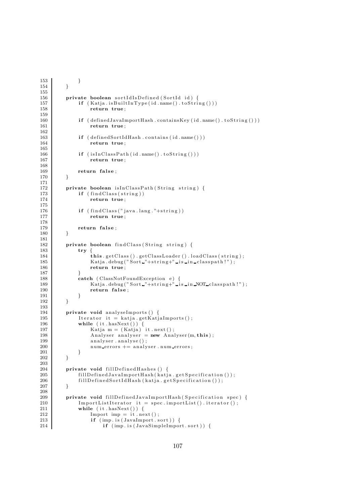```
153 }
154 }
155
156 private boolean sortIdIsDefined (SortId id) {
157 if (Katja . isBuiltInType (id . name () . toString ()))
158 return true;
\frac{159}{160}if (defined JavaImportHash. containsKey (id.name().toString()) )161 return true;
\begin{array}{c} 162 \\ 163 \end{array}if (definedSortIdHash.contains (id.name())164 return true;
\frac{165}{166}if (is In ClassPath (id.name() . to String())167 return true;
168
169 return false;
170 }
171
172 private boolean is InClass Path (String string) {
173 if (\text{findClass}(string))174 return true;
175
176 if (find Class("java.lang." +string))177 return true;
\frac{178}{179}return false;
180 }
\begin{array}{c} 181 \\ 182 \end{array}private boolean findClass(String string) {
183 try {
184 this . getClass () . getClassLoader () . loadClass (string);
185 Katja . debug ("Sort -"+string+" is in classpath!");
186 return true:
\begin{array}{c} 187 \\ 188 \end{array}188 catch ( ClassNotFoundException e) {
189 | Katja .debug ("Sort "+string+" is in NOT classpath!");
190 return false;
191 }
192 }
\frac{193}{194}194 private void analyse Imports () {<br>195 http:// Iterator it = katja getKatj
              Iterator it = katja.getKatjaImports();
196 | while (it \cdot hasNext()) {
197 | Katja m = (Katja) it . next ();
198 \Box Analyser analyser = new Analyser (m, this);
199 \qquad \qquad \text{analyser . analysis} ( );
200 num_errors += analyser . num_errors;
\begin{array}{ccc} 201 & & & \ & 202 & & \ \end{array}202 }
\frac{203}{204}private void fillDefinedHashes () {
205 fill D e fined Java Import Hash (katja . get Specification () );
206 fillDefinedSortIdHash (katja.getSpecification ());
207 }
208
209 private void fill Defined Java Import Hash (Specification spec) {<br>210 Import List Iterator it = spec. import List (), iterator ();
210 ImportListIterator it = spec.importList().iterator();<br>211 while (it.hasNext()) {
211 while (it . hasNext ()) {<br>212 Import imp = it . ne
                  Import imp = it.next();
213 if (imp. is (JavaImport. sort)) {
214 if (imp. is (JavaSimpleImport. sort)) {
```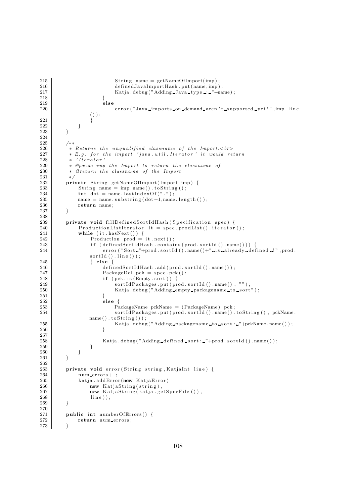```
215 \text{String name} = \text{getNameOfImport}( \text{imp} );216 definedJavaImportHash . put (name, imp);<br>217 Katia debug("Adding Java_type .: ..."+na
                                 Katja . debug ("Adding Java type : "+name) ;
218 }
219 else
220 error ("Java_imports_on_demand_aren 't_supported_yet!", imp. line
                      \left(\begin{smallmatrix} \cdot & \cdot \\ \cdot & \cdot \\ \cdot & \cdot \\ \cdot & \cdot \end{smallmatrix}\right) ;
\begin{tabular}{c} 221 \\ 222 \end{tabular} \hspace{3.5cm} \Big\}222 }
223 }
224
225 /**226 <sup>*</sup>* Returns the unqualified classname of the Import. \langle b \rangle<br>227 * E.g. for the import 'java.util. Iterator' it would re
             * E.g. for the import 'java.util.Iterator' it would return
\begin{array}{c|c}\n 228 \\
 229 \\
 \hline\n * & \text{Onaram } \text{imp}\n \end{array}* @param imp the Import to return the classname of
230 ∗ @return t h e classname o f t h e Import
\begin{array}{c|c} 231 & * \end{array}<br>232 pri
232 private String getNameOfImport (Import imp) {<br>233 String name = imp.name(), toString();
                 String name = imp.name() . to String () ;234 int dot = nameu2astIndexOf(" . " ) ;<br>
235 name = name.substring (dot+1,name
                 name = name.substring (dot+1,name.length ());236 return name;
237 }
238<br>239
239 private void fillDefinedSortIdHash (Specification spec) {<br>240 productionListIterator it = spec.prodList().iterator
240 ProductionListIterator it = spec.prodList().iterator();<br>241 while (it.hasNext()) {
                 while (it. hasNext()) {
242 Production prod = it . next();<br>243 if (defined SortId Hash . contai
                      if (defined SortIdHash. contains (prod. sortId() . name()) )244 error ("Sort "+prod . sort Id () . name ()+" is _already _defined _!", prod.
                      sortId(). line();
\begin{array}{c|c}\n 245 \overline{\smash)246} \\
 \end{array} } else {
246 definedSortIdHash.add (prod.sortId ().name());<br>247 PackageDcl pck = spec.pck();
247 PackageDcl pck = spec.pck();<br>248 if (pck.is (Empty.sort)) {
248 if (pck. is (Empty. sort)) {<br>249 sortIdPackages. put (pr
249 sortIdPackages.put (prod. sortId (). name (), "");<br>250 Satia debug ("Adding _empty_packagename_to_sort
                                 Katja. <math>\text{debug} ("Adding empty packagename to sort");
251 }
252 else {
253 PackageName pckName = (PackageName) pck;<br>254 sortIdPackages.put(prod.sortId().name().
                                 \texttt{sortIdPackages.put}(\texttt{prod}.\texttt{sortId}\;(\texttt{).name}(\texttt{).toString}(\texttt{).pckName}.name() . to String());255 Katja . debug ("Adding packagename to sort : "+pckName . name () ) ;<br>256
256 }
257
258 Katja . debug ("Adding defined sort : "+prod . sort Id () . name () ) ;<br>259
259 }
\begin{array}{c} 260 \\ 261 \end{array} }
261 }
\frac{262}{263}private void error (String string, KatjaInt line) {
264 num errors++;265 katja.addError (new KatjaError (
266 new KatjaString(string),
267 new KatjaString (katja . getSpecFile ()),
\begin{array}{c|c} 268 & \text{line} \ 269 & & \end{array}269 }
\frac{270}{271}public int numberOfErrors () {
272 return num errors;
273 }
```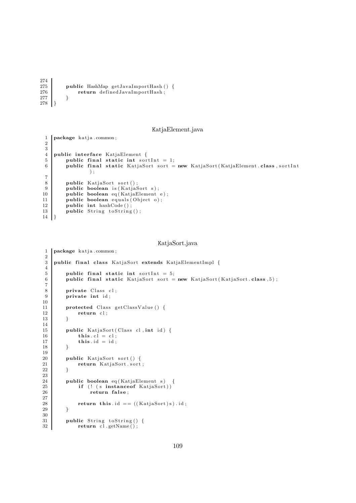```
\frac{274}{275}275 public HashMap getJavaImportHash () {<br>276 percent contract of the set of the set of the set of the set of the set of the set of the set of the set of the set of the set of the set of the set of the set of the set of
                                         return definedJavaImportHash;
277 }
278 | 3
```
KatjaElement.java

```
1 | package katja.common;
\overline{2}3
 4 public interface KatjaElement {
 5 public final static int sortInt = 1;
6 public final static KatjaSort sort = new KatjaSort (KatjaElement class, sortInt
                   ) ;
7
8 public KatjaSort sort ();<br>9 public boolean is (KatiaS
9 public boolean is (KatjaSort s);<br>10 public boolean eq (KatjaElementpublic boolean eq(KatjaElement e);
11 public boolean equals (Object o);
12 public int hashCode();<br>13 public String toString
         public String to String ();
14 }
```

```
KatjaSort.java
```

```
1 | package katja.common;
\frac{2}{3}public final class KatjaSort extends KatjaElementImpl {
 4
\begin{array}{c|c} 5 & \text{public final static int sortInt = 5;} \\ 6 & \text{public final static KatjaSort sort =} \end{array}public final static KatjaSort sort = new KatjaSort (KatjaSort class, 5);
 \frac{7}{8}private Class cl;
9 private int id;
10
11 protected Class getClassValue () {
12 return cl;
13 }
14
15 public KatjaSort (Class cl, int id) {<br>
this. cl = cl;
               this \overrightarrow{cl} = \overrightarrow{cl};
17 this id = id;18 }
19
20 public KatjaSort sort () {<br>21 public KatiaSort sort
               return KatjaSort.sort;
22 }
\frac{23}{24}public boolean eq (KatjaElement s) {
25 if (! ( s instance of KatjaSort))<br>
26 return false;
                     return false;
27
28 return this id = (KatjaSort)s) . id;
29 }
\begin{array}{c} 30 \\ 31 \end{array}31 public String to String () {<br>32 return cl.getName():
               return cl.getName();
```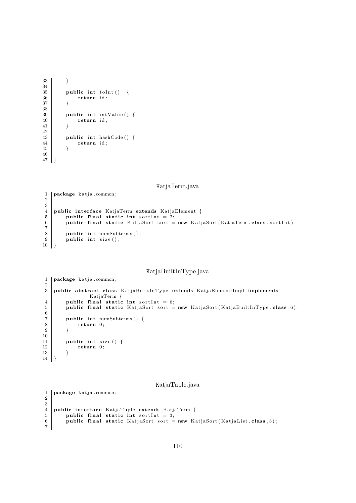```
33 }
\frac{34}{35}\begin{array}{c|c} 35 & \textbf{public int toInt()} & \{36 \} & \textbf{return id:} \end{array}return id;
37 }
38
\begin{array}{c|c} 39 & \textbf{public int } \text{intValue}() \\ 40 & \textbf{return } \text{id} \end{array}return id;
41 }
\begin{array}{c} 42 \\ 43 \end{array}public int hashCode() {
\begin{array}{c|c}\n 44 & \text{return id}; \\
 45 & \end{array}45 }
46
47 }
```
KatjaTerm.java

```
1 | package katja.common;
 2
 \frac{3}{4}4 public interface KatjaTerm extends KatjaElement {<br>5 public final static int sortInt = 2;
 \begin{bmatrix} 5 \\ 6 \end{bmatrix} public final static int sortInt = 2;<br>public final static KatjaSort sort =
              public final static KatjaSort sort = new KatjaSort (KatjaTerm.class, sortInt);
 \begin{array}{c} 7 \\ 8 \end{array}\begin{array}{c|c} 8 & \text{public int numSubterms}(); \\ 9 & \text{public int size}(); \end{array}public int size();
10 }
```
# KatjaBuiltInType.java

```
1 | package katja.common;
\frac{2}{3}public abstract class KatjaBuiltInType extends KatjaElementImpl implements
                      KatjaTerm {
 4 public final static int sortInt = 6;
\overline{5} public final static KatjaSort sort = new KatjaSort (KatjaBuiltInType class , 6);
 \frac{6}{7}7 public int numSubterms () {<br>8 return 0;
 \begin{array}{c|c} 8 & \text{return } 0; \\ 9 & \text{ } \end{array}9 }
10
\begin{array}{c|c} 11 & \textbf{public int size() } \{12 & \textbf{return 0}; \end{array}return 0;
13 }
14 }
```
#### KatjaTuple.java

```
1 package katja.common;
2
\frac{3}{4}4 public interface KatjaTuple extends KatjaTerm { public final static int sortInt = 3;
\begin{array}{c|c|c|c|c} 5 & \text{public final static int sortInt = 3;} \\ \hline \end{array} public final static KatjaSort sort =
           public final static KatjaSort sort = new KatjaSort (KatjaList.class, 3);
7
```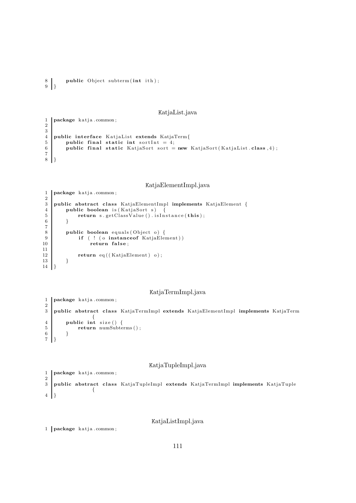```
public Object subterm (int ith);
\begin{bmatrix} 8 \\ 9 \end{bmatrix}
```
KatjaList.java

```
1 | package katja.common;
2
\begin{array}{c} 3 \\ 4 \end{array}4 public interface KatjaList extends KatjaTerm{<br>public final static int sortInt = 4;
           public final static int sortlnt = 4;
           public final static KatjaSort sort = new KatjaSort (KatjaList.class, 4);
\begin{array}{c} 6 \\ 7 \\ 8 \end{array}8 }
```
KatjaElementImpl.java

```
1 | package katja.common;
\frac{2}{3}public abstract class KatjaElementImpl implements KatjaElement {
4 public boolean is (KatjaSort s) {
\begin{array}{c|c} 5 & \textbf{return } s \cdot \textbf{getClassValue} \end{array} ( ) . is Instance (this);
          \}7
8 public boolean equals (Object o) {<br>9 if (! (o instance of KatjaEler
               if ( ! (o instanceof KatjaElement))
10 return false;
\frac{11}{12}return eq (( KatjaElement) o);13 }
14 }
```
KatjaTermImpl.java

```
1 | package katja.common;
\frac{2}{3}public abstract class KatjaTermImpl extends KatjaElementImpl implements KatjaTerm
               {
4 public int size () {
5 return numSubterms();
6 }
7 }
```
## KatjaTupleImpl.java

```
1 package katja.common;
\begin{array}{c} 2 \\ 3 \end{array}public abstract class KatjaTupleImpl extends KatjaTermImpl implements KatjaTuple
                     {
\frac{1}{4}
```
KatjaListImpl.java

```
1 | package katja.common;
```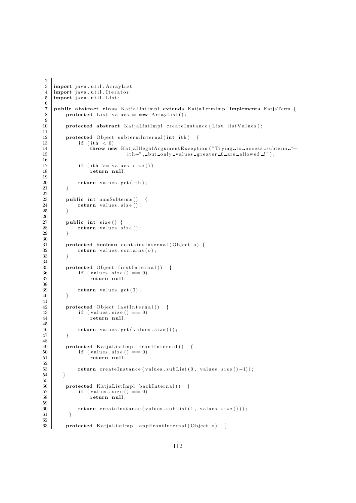```
2
 \frac{3}{4} import java.util. ArrayList;<br>\frac{4}{4} import java.util. Iterator;
    import java.util.Iterator;
 5 import java.util. List;
 6
 7 public abstract class KatjaListImpl extends KatjaTermImpl implements KatjaTerm {
 8 protected List values = new ArrayList();
 9
10 protected abstract KatjaListImpl createInstance(List listValues);
\begin{array}{c} 11 \\ 12 \end{array}protected Object subtermInternal(int ith) {
13 if (\text{ith} < 0)14 throw new KatjaIllegalArgumentException ("Trying to access subterm \Box"+<br>15 ith+", but only values greater \Box are allowed \Box");
                                   ith+", but only values greater 0 are allowed !!" ;
\frac{16}{17}if (int \gt= values.size())18 return null;
\frac{19}{20}return values.get (ith);
21 }
\frac{22}{23}23 public int numSubterms () \{24 return values size ():
              return \ values.size();
25 }
26
27 public int size () {<br>28 percentage return values.s
              return values  size();
29 }
\begin{array}{c} 30 \\ 31 \end{array}protected boolean containsInternal (Object o) {
32 return values . contains (o);
33 }
\frac{34}{35}\begin{array}{c|c} 35 & \textbf{protected Object firstInternal()} & \{36 \} & \textbf{if (values size() == 0)} \end{array}\begin{array}{c|c}\n 36 \\
 37 \\
 \hline\n 37\n \end{array}
if (values . size () == 0)
                    return null;
\frac{38}{39}return values . get (0);
40 }
41
42 protected Object lastInternal () {<br>
if (values size () - 0)
43 if (values size () == 0)<br>44 return null:
                    return null;
45
46 return values .get (values .size ());
47 }
48
49 protected KatjaListImpl frontInternal() {
50 if (values size () == 0)
51 return null:
\begin{array}{c} 52 \\ 53 \end{array}return \; createInstance\; (values.subList(0, values.size() - 1));54 }
55
56 protected KatjaListImpl backInternal () {
57 if (values.size() == 0)58 return null ;
59
               return createInstance (values.subList (1, value s.size());
61 }
62
63 protected KatjaListImpl appFrontInternal (Object o) {
```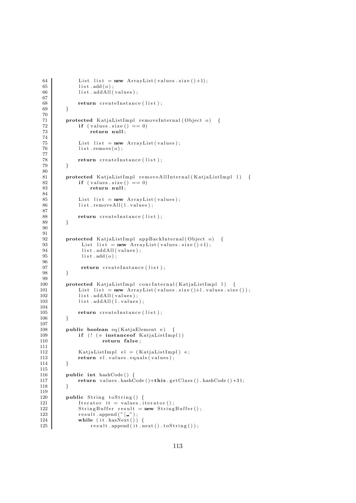```
64 List list = new ArrayList (values . size ( )+1);
65 list.add(o);<br>66 list.addAll(
              list.addAll(values);
 67
68 return createInstance (list);
 69 }
\begin{array}{c} 70 \\ 71 \end{array}protected KatjaListImpl removeInternal (Object o) {
72 if (values \text{size}(x) = 0)
73 return null ;
 74
75 List list = new ArrayList (values);
76 list.remove(o);
 77
78 return createInstance (list);<br>7979 }
80
81 protected KatjaListImpl removeAllInternal (KatjaListImpl 1) {<br>82 if (values size () == 0)
\begin{array}{c|c}\n 82 & \text{if (values size () == 0)} \\
 83 & \text{return null:}\n \end{array}return null;
84
85 List list = new ArrayList (values);
86 list.removeAll(1.values);
87
88 return createInstance (list);
89 }
90
91
92 protected KatjaListImpl appBackInternal (Object o) {<br>
\begin{array}{r} 93 \end{array} List list = new ArrayList(values.size()+1);
               List list = new ArrayList (values \text{ size } ( )+1 );
94 list.addAll(values);
95 list . add ( o ) ;
\frac{96}{97}return createInstance(list);
98 }
\frac{99}{100}protected KatjaListImpl concInternal(KatjaListImpl l) {
101 List list = new ArrayList (values size () + l . values size () );
102 list.addAll(values);
103 list.addAll(1.values);
\frac{104}{105}return createInstance (list);
106
107
108 public boolean eq (KatjaElement e) {
109 if (! ( e instance of KatjaListImpl))
110 return false;
111
112 KatjaListImpl el = (KatjaListImpl) e;
113 return el values equals (values);<br>
114 }
114 }
115
116 public int hashCode() {
117 return values . hashCode ( )+this . getClass ( ) . hashCode ( ) *31;
118 }
119
120 public String to String () {
121 I terator it = values.iterator();
122 StringBuffer result = new StringBuffer ();<br>
123 result append ("\lceil \_");
             result.append(" [-") ;124 while (it . hasNext ()) {
125 result . append (it . next () . to String () );
```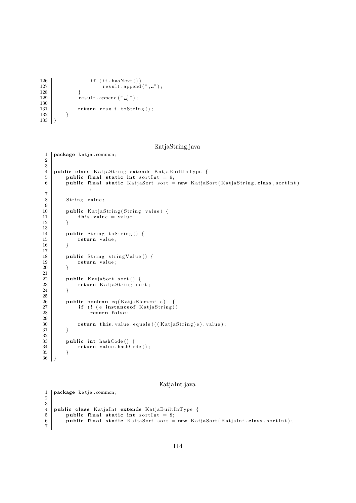```
126 if (it \cdot \text{hasNext}()127 \begin{bmatrix} \text{result} \end{bmatrix} . \begin{bmatrix} x^m \end{bmatrix};
\frac{128}{129}result.append(" ]" ;\begin{array}{c} 130 \\ 131 \end{array}return result. to String();
\begin{array}{c|c} 132 & \\ 133 & \end{array}133 }
```
KatjaString.java

```
1 package katja.common;
 2
 \frac{3}{4}public class KatjaString extends KatjaBuiltInType {
 5 public final static int sortlnt = 9;
 6 public final static KatjaSort sort = new KatjaSort (KatjaString class, sortInt)
                    ;
 7
 8 String value;
\frac{9}{10}10 public KatjaString (String value) {<br>
this value = value :
                this value = value;
12 }
\frac{13}{14}14 public String to String () {<br>15 return value:
               return value;
16 }
17
18 public String stringValue () {<br>19 return value:
               return value ;
20 }
\frac{21}{22}22 public KatjaSort sort () {<br>23 public KatjaString.so
               return KatjaString.sort;
24 }
25
26 public boolean eq (KatjaElement e)<br>27 if (! (e instanceof KatiaStrin
27 if ( ! (e instanceof KatjaString))<br>28 return false:
                     return false;
\frac{29}{30}return this value . equals ( ( ( KatjaString ) e ) . value ) ;
31 \,32
33 public int hashCode() {
\begin{array}{c|c}\n 34 & \text{return value } \text{.} \text{ hashCode } ( ) \; ; \\
 35 & \text{ } \end{array}35 }
36 }
```
#### KatjaInt.java

```
1 | package katja.common;
2
\frac{3}{4}4 public class KatjaInt extends KatjaBuiltInType { public final static int sortInt = 8;
5 public final static int sortInt = 8;<br>6 public final static KatjaSort sort =
          public final static KatjaSort sort = new KatjaSort (KatjaInt . class , sortInt);
7
```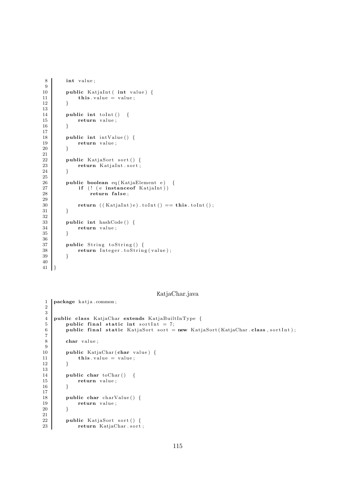```
8 int value;
\begin{array}{c} 9 \\ 10 \end{array}10 public KatjaInt (int value) {<br>\mathbf{t} this value = value:
           this value = value;12
13
14 public int toInt () {<br>15 public int value;
                 return value;
16 }
\frac{17}{18}public int intValue () {
\begin{array}{c|c} 19 \\ 20 \end{array} return value;
20 }
\frac{21}{22}22 public KatjaSort sort () {<br>23 public KatiaInt sort :
                 return KatjaInt . sort;
24 }
\frac{25}{26}26 public boolean eq (KatjaElement e) {<br>27 if (! (e instance of KatiaInt))
27 if (! (e instanceof KatjaInt))<br>
28 return false:
                       return false;
\frac{29}{30}return (( Katjalnt ) e ) . to Int () == this . to Int () ;31 }
32
33 public int hashCode () {<br>34 percentage return value :
                 return value;
35 }
\frac{36}{37}public String to String () {
38 return Integer.toString(value);
39 }
40
41 }
```
1 | package katja.common;

### KatjaChar.java

```
2
 \begin{array}{c} 3 \\ 4 \end{array}4 public class KatjaChar extends KatjaBuiltInType {<br>5 public final static int sortInt = 7:
 \begin{bmatrix} 5 \\ 6 \end{bmatrix} public final static int sortInt = 7;<br>public final static KatjaSort sort =
            public final static KatjaSort sort = new KatjaSort (KatjaChar . class , sortInt);
 7
 8 char value;
\frac{9}{10}10 public KatjaChar (char value) {<br>
this value = value;
                   this \cdot value = value;12 }
\begin{array}{c} 13 \\ 14 \end{array}public char toChar () {
15 return value;
16 }
\frac{17}{18}18 public char charValue () {<br>19 per return value ;
                  return value;
20 }
\frac{21}{22}22 public KatjaSort sort () {<br>23 public KatjaChar.sort
                  return KatjaChar . sort ;
```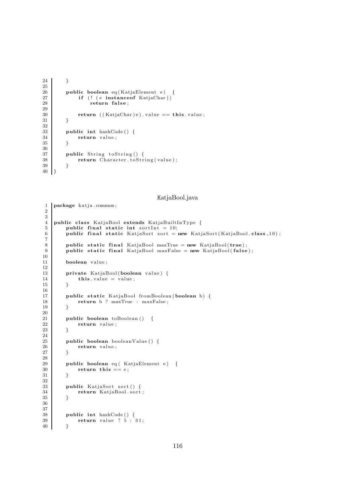```
24 }
\frac{25}{26}26 public boolean eq ( KatjaElement e ) {<br>27 if (! (e instance of KatiaChar) )if (! (e instanceof KatjaChar))
28 return false;
29
30 return ((\text{KatjaChar})e) \cdot \text{value} == \text{this} \cdot \text{value};<br>31 \}31 }
32
33 public int hashCode () {<br>34 return value;
               return value;
35 }
\frac{36}{37}public String to String () {
38 return Character.toString(value);
39 }
40 }
```
1 | package katja.common;

KatjaBool.java

```
2
 3
 4 public class KatjaBool extends KatjaBuiltInType {<br>5 public final static int sortInt = 10;
 5 public final static int sortInt = 10;
 6 public final static KatjaSort sort = new KatjaSort (KatjaBool class, 10);
 \begin{array}{c} 7 \\ 8 \end{array}8 public static final KatjaBool maxTrue = new KatjaBool(true);
 9 public static final KatjaBool maxFalse = new KatjaBool(false);
\begin{array}{c} 10 \\ 11 \end{array}boolean value:
\frac{12}{13}13 private KatjaBool (boolean value) {<br>
this, value = value:
           this value = value;
15 }
16
17 | public static KatjaBool fromBoolean (boolean b) {
18 return b ? maxTrue : maxFalse;
19 }
\begin{array}{c} 20 \\ 21 \end{array}21 public boolean toBoolean () {<br>22 perturn value:
           return value;
23 }
24
25 public boolean booleanValue () {
\begin{array}{c|c}\n 26 \\
 27\n \end{array} return value;
27 }
\frac{28}{29}29 public boolean eq ( KatjaElement e) {<br>30 perturn this == e:
          return this  == e;
31 }
32
33 public KatjaSort sort () {
34 return KatjaBool.sort;
35 }
36
\frac{37}{38}38 public int hashCode () {<br>39 public int hashCode () {<br>return value ? 5 :
                return value ? 5 : 31;
40 }
```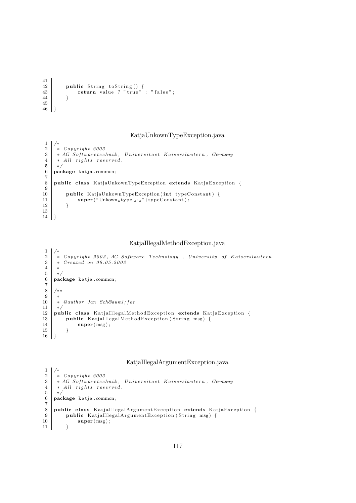```
41
42 public String to String () {
43 return value ? "true" : "false";
44 }
45
46 }
```
## KatjaUnkownTypeException.java

```
\frac{1}{2}\begin{array}{c|c} 2 & * & Copyright & 2003 \\ 3 & * & AG & Softwaretec \end{array}3 * AG Softwaretechnik, Universitaet Kaiserslautern, Germany<br>4 * All rights reserved.
 \begin{array}{c|c|c|c} 4 & * & All & right s & reserved. \end{array}\begin{array}{c|c} 5 & * \\ 6 & \mathbf{pa} \end{array}package katja.common;
 7
 8 public class KatjaUnkownTypeException extends KatjaException {
\frac{9}{10}10 public KatjaUnkownTypeException (int typeConstant) {<br>11 super ("Unkown_type::."+typeConstant);
              \text{super}(\text{"Unknown-type..."}+\text{typeConstant});12 }
13
14 }
```
## KatjaIllegalMethodException.java

```
12 \begin{array}{c|cc} 2 & * \textit{Copyright } 2003, \textit{AG Software Technology}, & University \textit{of Kaiserslautern} \\ 3 & * \textit{Create on } 08.05.2003 \end{array}* Created on 08.05.2003
 4 ∗
 \begin{array}{c|c} 5 & * \\ 6 & \mathbf{pa} \end{array}package katja.common;
 \begin{array}{c} 7 \\ 8 \end{array}8 /∗ ∗
\begin{array}{c} 9 \\ 10 \end{array}* @author Jan Schä fer
11 ∗/
12 public class KatjaIllegalMethodException extends KatjaException {<br>13 public KatiaIllegalMethodException (String msg) {
             public KatjaIllegalMethodException (String msg) {
14 super (msg);
15 }
16\,
```
### KatjaIllegalArgumentException.java

```
\frac{1}{2}\begin{array}{c|cc} 2 & * & Copyright & 2003 \\ 3 & * & AG & Softwaretec \end{array}* AG Softwaretechnik, Universitaet Kaiserslautern, Germany
 \begin{array}{c|cc} 4 & * & All & rights & reserved. \\ 5 & * & & \end{array}\begin{array}{c|c} 5 & * \\ 6 & \mathbf{pa} \end{array}package katja.common;
 \begin{array}{c} 7 \\ 8 \end{array}8 public class KatjaIllegalArgumentException extends KatjaException {<br>public KatjaIllegalArgumentException (String msg) {
9 public KatjaIllegalArgumentException (String msg) {<br>10\super\left(\text{msg}\right);11
```